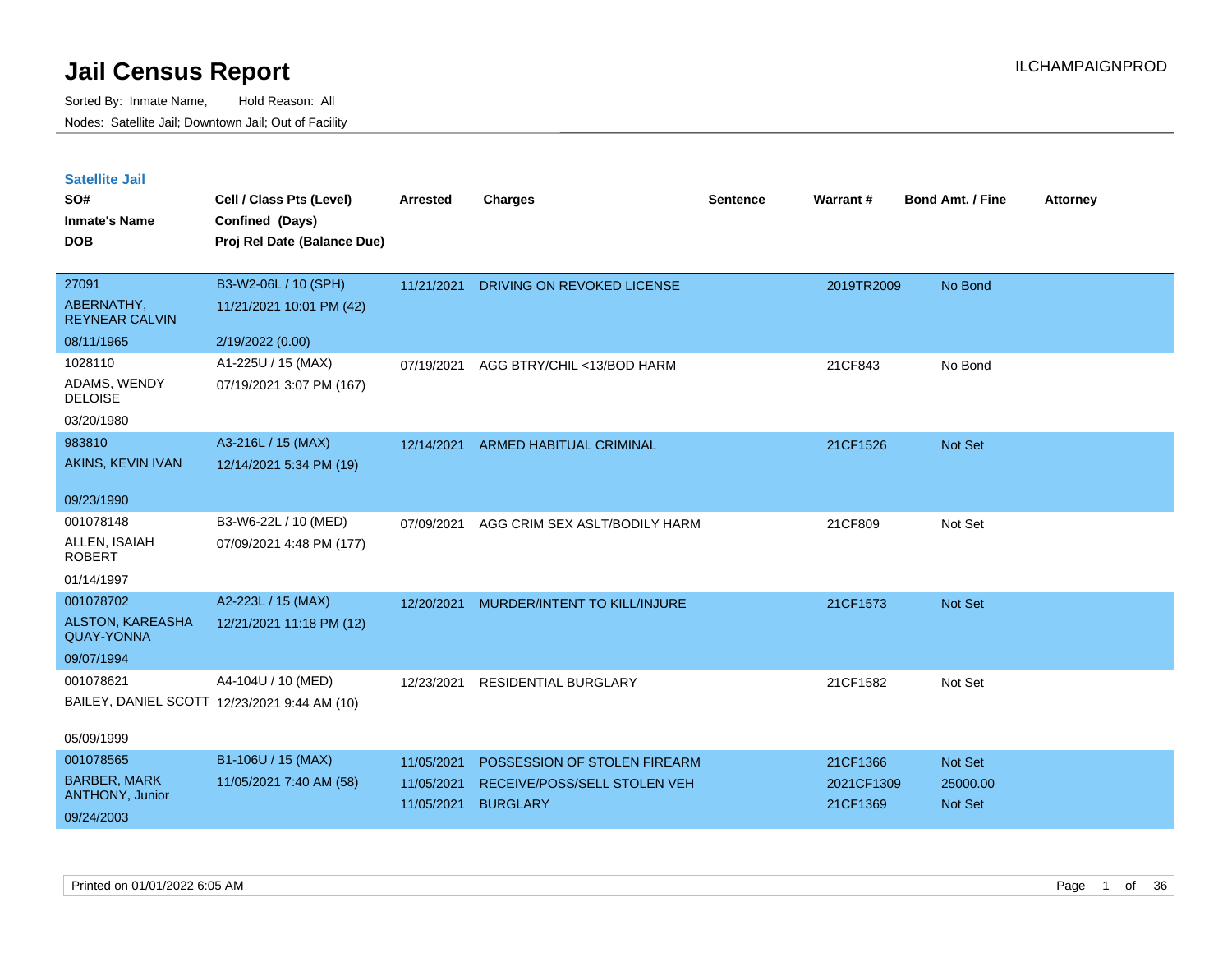| <b>Satellite Jail</b> |  |  |
|-----------------------|--|--|
|                       |  |  |

| SO#<br><b>Inmate's Name</b><br><b>DOB</b> | Cell / Class Pts (Level)<br>Confined (Days)<br>Proj Rel Date (Balance Due) | Arrested   | <b>Charges</b>                | <b>Sentence</b> | <b>Warrant#</b> | <b>Bond Amt. / Fine</b> | <b>Attorney</b> |
|-------------------------------------------|----------------------------------------------------------------------------|------------|-------------------------------|-----------------|-----------------|-------------------------|-----------------|
|                                           |                                                                            |            |                               |                 |                 |                         |                 |
| 27091                                     | B3-W2-06L / 10 (SPH)                                                       | 11/21/2021 | DRIVING ON REVOKED LICENSE    |                 | 2019TR2009      | No Bond                 |                 |
| ABERNATHY,<br><b>REYNEAR CALVIN</b>       | 11/21/2021 10:01 PM (42)                                                   |            |                               |                 |                 |                         |                 |
| 08/11/1965                                | 2/19/2022 (0.00)                                                           |            |                               |                 |                 |                         |                 |
| 1028110                                   | A1-225U / 15 (MAX)                                                         | 07/19/2021 | AGG BTRY/CHIL <13/BOD HARM    |                 | 21CF843         | No Bond                 |                 |
| ADAMS, WENDY<br><b>DELOISE</b>            | 07/19/2021 3:07 PM (167)                                                   |            |                               |                 |                 |                         |                 |
| 03/20/1980                                |                                                                            |            |                               |                 |                 |                         |                 |
| 983810                                    | A3-216L / 15 (MAX)                                                         | 12/14/2021 | ARMED HABITUAL CRIMINAL       |                 | 21CF1526        | Not Set                 |                 |
| AKINS, KEVIN IVAN                         | 12/14/2021 5:34 PM (19)                                                    |            |                               |                 |                 |                         |                 |
|                                           |                                                                            |            |                               |                 |                 |                         |                 |
| 09/23/1990                                |                                                                            |            |                               |                 |                 |                         |                 |
| 001078148                                 | B3-W6-22L / 10 (MED)                                                       | 07/09/2021 | AGG CRIM SEX ASLT/BODILY HARM |                 | 21CF809         | Not Set                 |                 |
| ALLEN, ISAIAH<br><b>ROBERT</b>            | 07/09/2021 4:48 PM (177)                                                   |            |                               |                 |                 |                         |                 |
| 01/14/1997                                |                                                                            |            |                               |                 |                 |                         |                 |
| 001078702                                 | A2-223L / 15 (MAX)                                                         | 12/20/2021 | MURDER/INTENT TO KILL/INJURE  |                 | 21CF1573        | Not Set                 |                 |
| ALSTON, KAREASHA<br><b>QUAY-YONNA</b>     | 12/21/2021 11:18 PM (12)                                                   |            |                               |                 |                 |                         |                 |
| 09/07/1994                                |                                                                            |            |                               |                 |                 |                         |                 |
| 001078621                                 | A4-104U / 10 (MED)                                                         | 12/23/2021 | <b>RESIDENTIAL BURGLARY</b>   |                 | 21CF1582        | Not Set                 |                 |
|                                           | BAILEY, DANIEL SCOTT 12/23/2021 9:44 AM (10)                               |            |                               |                 |                 |                         |                 |
|                                           |                                                                            |            |                               |                 |                 |                         |                 |
| 05/09/1999                                |                                                                            |            |                               |                 |                 |                         |                 |
| 001078565                                 | B1-106U / 15 (MAX)                                                         | 11/05/2021 | POSSESSION OF STOLEN FIREARM  |                 | 21CF1366        | Not Set                 |                 |
| <b>BARBER, MARK</b><br>ANTHONY, Junior    | 11/05/2021 7:40 AM (58)                                                    | 11/05/2021 | RECEIVE/POSS/SELL STOLEN VEH  |                 | 2021CF1309      | 25000.00                |                 |
|                                           |                                                                            | 11/05/2021 | <b>BURGLARY</b>               |                 | 21CF1369        | Not Set                 |                 |
| 09/24/2003                                |                                                                            |            |                               |                 |                 |                         |                 |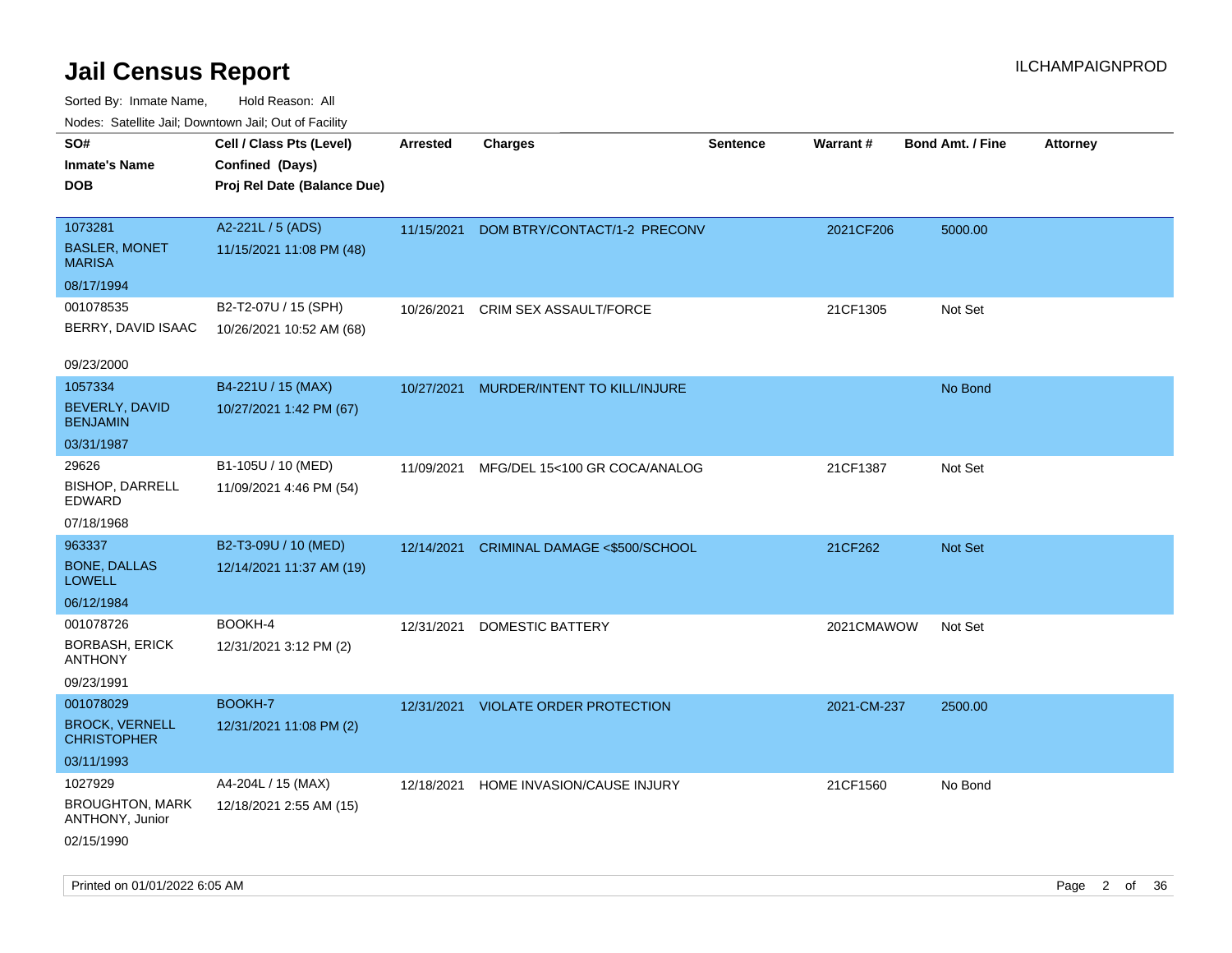| ivouss. Saleline Jali, Downtown Jali, Out of Facility |                             |                 |                                     |                 |             |                         |                 |
|-------------------------------------------------------|-----------------------------|-----------------|-------------------------------------|-----------------|-------------|-------------------------|-----------------|
| SO#                                                   | Cell / Class Pts (Level)    | <b>Arrested</b> | <b>Charges</b>                      | <b>Sentence</b> | Warrant#    | <b>Bond Amt. / Fine</b> | <b>Attorney</b> |
| <b>Inmate's Name</b>                                  | Confined (Days)             |                 |                                     |                 |             |                         |                 |
| DOB                                                   | Proj Rel Date (Balance Due) |                 |                                     |                 |             |                         |                 |
|                                                       |                             |                 |                                     |                 |             |                         |                 |
| 1073281                                               | A2-221L / 5 (ADS)           | 11/15/2021      | DOM BTRY/CONTACT/1-2 PRECONV        |                 | 2021CF206   | 5000.00                 |                 |
| <b>BASLER, MONET</b><br><b>MARISA</b>                 | 11/15/2021 11:08 PM (48)    |                 |                                     |                 |             |                         |                 |
| 08/17/1994                                            |                             |                 |                                     |                 |             |                         |                 |
| 001078535                                             | B2-T2-07U / 15 (SPH)        | 10/26/2021      | CRIM SEX ASSAULT/FORCE              |                 | 21CF1305    | Not Set                 |                 |
| BERRY, DAVID ISAAC                                    | 10/26/2021 10:52 AM (68)    |                 |                                     |                 |             |                         |                 |
| 09/23/2000                                            |                             |                 |                                     |                 |             |                         |                 |
| 1057334                                               | B4-221U / 15 (MAX)          | 10/27/2021      | MURDER/INTENT TO KILL/INJURE        |                 |             | No Bond                 |                 |
| BEVERLY, DAVID<br><b>BENJAMIN</b>                     | 10/27/2021 1:42 PM (67)     |                 |                                     |                 |             |                         |                 |
| 03/31/1987                                            |                             |                 |                                     |                 |             |                         |                 |
| 29626                                                 | B1-105U / 10 (MED)          | 11/09/2021      | MFG/DEL 15<100 GR COCA/ANALOG       |                 | 21CF1387    | Not Set                 |                 |
| <b>BISHOP, DARRELL</b><br>EDWARD                      | 11/09/2021 4:46 PM (54)     |                 |                                     |                 |             |                         |                 |
| 07/18/1968                                            |                             |                 |                                     |                 |             |                         |                 |
| 963337                                                | B2-T3-09U / 10 (MED)        | 12/14/2021      | CRIMINAL DAMAGE <\$500/SCHOOL       |                 | 21CF262     | Not Set                 |                 |
| <b>BONE, DALLAS</b><br><b>LOWELL</b>                  | 12/14/2021 11:37 AM (19)    |                 |                                     |                 |             |                         |                 |
| 06/12/1984                                            |                             |                 |                                     |                 |             |                         |                 |
| 001078726                                             | BOOKH-4                     | 12/31/2021      | DOMESTIC BATTERY                    |                 | 2021CMAWOW  | Not Set                 |                 |
| BORBASH, ERICK<br><b>ANTHONY</b>                      | 12/31/2021 3:12 PM (2)      |                 |                                     |                 |             |                         |                 |
| 09/23/1991                                            |                             |                 |                                     |                 |             |                         |                 |
| 001078029                                             | BOOKH-7                     |                 | 12/31/2021 VIOLATE ORDER PROTECTION |                 | 2021-CM-237 | 2500.00                 |                 |
| <b>BROCK, VERNELL</b><br><b>CHRISTOPHER</b>           | 12/31/2021 11:08 PM (2)     |                 |                                     |                 |             |                         |                 |
| 03/11/1993                                            |                             |                 |                                     |                 |             |                         |                 |
| 1027929                                               | A4-204L / 15 (MAX)          | 12/18/2021      | HOME INVASION/CAUSE INJURY          |                 | 21CF1560    | No Bond                 |                 |
| <b>BROUGHTON, MARK</b><br>ANTHONY, Junior             | 12/18/2021 2:55 AM (15)     |                 |                                     |                 |             |                         |                 |
| 02/15/1990                                            |                             |                 |                                     |                 |             |                         |                 |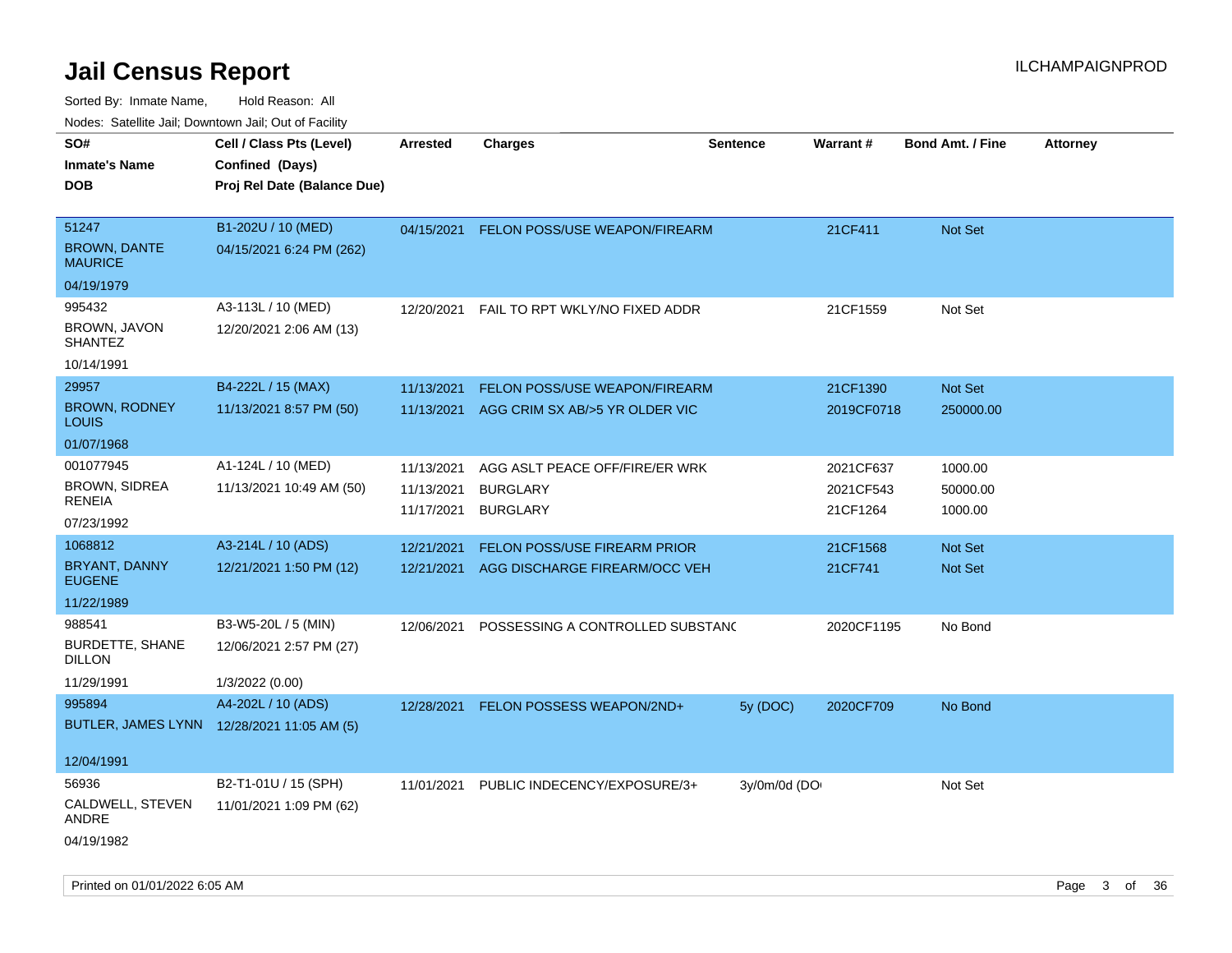| rouco. Calcinic Jan, Downtown Jan, Out of Facility |                                            |                 |                                      |                 |            |                         |                 |
|----------------------------------------------------|--------------------------------------------|-----------------|--------------------------------------|-----------------|------------|-------------------------|-----------------|
| SO#                                                | Cell / Class Pts (Level)                   | <b>Arrested</b> | <b>Charges</b>                       | <b>Sentence</b> | Warrant#   | <b>Bond Amt. / Fine</b> | <b>Attorney</b> |
| Inmate's Name                                      | Confined (Days)                            |                 |                                      |                 |            |                         |                 |
| <b>DOB</b>                                         | Proj Rel Date (Balance Due)                |                 |                                      |                 |            |                         |                 |
|                                                    |                                            |                 |                                      |                 |            |                         |                 |
| 51247                                              | B1-202U / 10 (MED)                         | 04/15/2021      | <b>FELON POSS/USE WEAPON/FIREARM</b> |                 | 21CF411    | Not Set                 |                 |
| <b>BROWN, DANTE</b><br>MAURICE                     | 04/15/2021 6:24 PM (262)                   |                 |                                      |                 |            |                         |                 |
| 04/19/1979                                         |                                            |                 |                                      |                 |            |                         |                 |
| 995432                                             | A3-113L / 10 (MED)                         | 12/20/2021      | FAIL TO RPT WKLY/NO FIXED ADDR       |                 | 21CF1559   | Not Set                 |                 |
| BROWN, JAVON<br>SHANTEZ                            | 12/20/2021 2:06 AM (13)                    |                 |                                      |                 |            |                         |                 |
| 10/14/1991                                         |                                            |                 |                                      |                 |            |                         |                 |
| 29957                                              | B4-222L / 15 (MAX)                         | 11/13/2021      | FELON POSS/USE WEAPON/FIREARM        |                 | 21CF1390   | <b>Not Set</b>          |                 |
| <b>BROWN, RODNEY</b><br>Louis                      | 11/13/2021 8:57 PM (50)                    | 11/13/2021      | AGG CRIM SX AB/>5 YR OLDER VIC       |                 | 2019CF0718 | 250000.00               |                 |
| 01/07/1968                                         |                                            |                 |                                      |                 |            |                         |                 |
| 001077945                                          | A1-124L / 10 (MED)                         | 11/13/2021      | AGG ASLT PEACE OFF/FIRE/ER WRK       |                 | 2021CF637  | 1000.00                 |                 |
| <b>BROWN, SIDREA</b><br>RENEIA                     | 11/13/2021 10:49 AM (50)                   | 11/13/2021      | <b>BURGLARY</b>                      |                 | 2021CF543  | 50000.00                |                 |
| 07/23/1992                                         |                                            | 11/17/2021      | <b>BURGLARY</b>                      |                 | 21CF1264   | 1000.00                 |                 |
| 1068812                                            | A3-214L / 10 (ADS)                         | 12/21/2021      | <b>FELON POSS/USE FIREARM PRIOR</b>  |                 | 21CF1568   | <b>Not Set</b>          |                 |
| <b>BRYANT, DANNY</b>                               | 12/21/2021 1:50 PM (12)                    | 12/21/2021      | AGG DISCHARGE FIREARM/OCC VEH        |                 | 21CF741    | Not Set                 |                 |
| <b>EUGENE</b>                                      |                                            |                 |                                      |                 |            |                         |                 |
| 11/22/1989                                         |                                            |                 |                                      |                 |            |                         |                 |
| 988541                                             | B3-W5-20L / 5 (MIN)                        | 12/06/2021      | POSSESSING A CONTROLLED SUBSTAND     |                 | 2020CF1195 | No Bond                 |                 |
| BURDETTE, SHANE<br>DILLON                          | 12/06/2021 2:57 PM (27)                    |                 |                                      |                 |            |                         |                 |
| 11/29/1991                                         | 1/3/2022 (0.00)                            |                 |                                      |                 |            |                         |                 |
| 995894                                             | A4-202L / 10 (ADS)                         | 12/28/2021      | FELON POSSESS WEAPON/2ND+            | 5y(DOC)         | 2020CF709  | No Bond                 |                 |
|                                                    | BUTLER, JAMES LYNN 12/28/2021 11:05 AM (5) |                 |                                      |                 |            |                         |                 |
| 12/04/1991                                         |                                            |                 |                                      |                 |            |                         |                 |
| 56936                                              | B2-T1-01U / 15 (SPH)                       | 11/01/2021      | PUBLIC INDECENCY/EXPOSURE/3+         | 3y/0m/0d (DO    |            | Not Set                 |                 |
| CALDWELL, STEVEN<br>ANDRE                          | 11/01/2021 1:09 PM (62)                    |                 |                                      |                 |            |                         |                 |
| 04/19/1982                                         |                                            |                 |                                      |                 |            |                         |                 |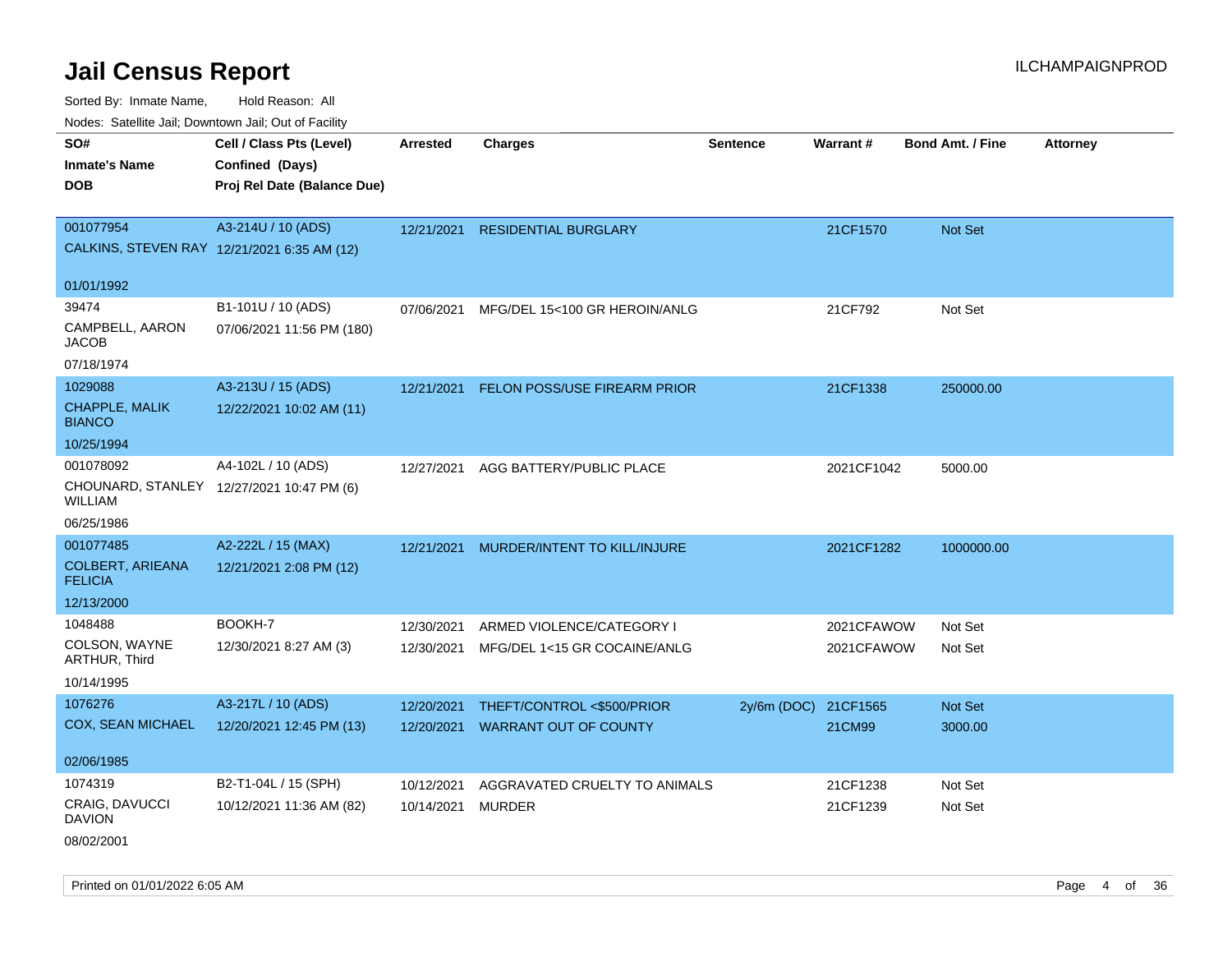Sorted By: Inmate Name, Hold Reason: All Nodes: Satellite Jail; Downtown Jail; Out of Facility

| Noues. Sateme Jan, Downtown Jan, Out or Facility |                                           |                 |                               |                 |            |                         |                 |
|--------------------------------------------------|-------------------------------------------|-----------------|-------------------------------|-----------------|------------|-------------------------|-----------------|
| SO#                                              | Cell / Class Pts (Level)                  | <b>Arrested</b> | <b>Charges</b>                | <b>Sentence</b> | Warrant#   | <b>Bond Amt. / Fine</b> | <b>Attorney</b> |
| <b>Inmate's Name</b>                             | Confined (Days)                           |                 |                               |                 |            |                         |                 |
| DOB                                              | Proj Rel Date (Balance Due)               |                 |                               |                 |            |                         |                 |
|                                                  |                                           |                 |                               |                 |            |                         |                 |
| 001077954                                        | A3-214U / 10 (ADS)                        | 12/21/2021      | <b>RESIDENTIAL BURGLARY</b>   |                 | 21CF1570   | Not Set                 |                 |
| CALKINS, STEVEN RAY 12/21/2021 6:35 AM (12)      |                                           |                 |                               |                 |            |                         |                 |
| 01/01/1992                                       |                                           |                 |                               |                 |            |                         |                 |
| 39474                                            | B1-101U / 10 (ADS)                        | 07/06/2021      | MFG/DEL 15<100 GR HEROIN/ANLG |                 | 21CF792    | Not Set                 |                 |
| CAMPBELL, AARON<br>JACOB                         | 07/06/2021 11:56 PM (180)                 |                 |                               |                 |            |                         |                 |
| 07/18/1974                                       |                                           |                 |                               |                 |            |                         |                 |
| 1029088                                          | A3-213U / 15 (ADS)                        | 12/21/2021      | FELON POSS/USE FIREARM PRIOR  |                 | 21CF1338   | 250000.00               |                 |
| CHAPPLE, MALIK<br><b>BIANCO</b>                  | 12/22/2021 10:02 AM (11)                  |                 |                               |                 |            |                         |                 |
| 10/25/1994                                       |                                           |                 |                               |                 |            |                         |                 |
| 001078092                                        | A4-102L / 10 (ADS)                        | 12/27/2021      | AGG BATTERY/PUBLIC PLACE      |                 | 2021CF1042 | 5000.00                 |                 |
| WILLIAM                                          | CHOUNARD, STANLEY 12/27/2021 10:47 PM (6) |                 |                               |                 |            |                         |                 |
| 06/25/1986                                       |                                           |                 |                               |                 |            |                         |                 |
| 001077485                                        | A2-222L / 15 (MAX)                        | 12/21/2021      | MURDER/INTENT TO KILL/INJURE  |                 | 2021CF1282 | 1000000.00              |                 |
| <b>COLBERT, ARIEANA</b><br><b>FELICIA</b>        | 12/21/2021 2:08 PM (12)                   |                 |                               |                 |            |                         |                 |
| 12/13/2000                                       |                                           |                 |                               |                 |            |                         |                 |
| 1048488                                          | BOOKH-7                                   | 12/30/2021      | ARMED VIOLENCE/CATEGORY I     |                 | 2021CFAWOW | Not Set                 |                 |
| COLSON, WAYNE<br>ARTHUR, Third                   | 12/30/2021 8:27 AM (3)                    | 12/30/2021      | MFG/DEL 1<15 GR COCAINE/ANLG  |                 | 2021CFAWOW | Not Set                 |                 |
| 10/14/1995                                       |                                           |                 |                               |                 |            |                         |                 |
| 1076276                                          | A3-217L / 10 (ADS)                        | 12/20/2021      | THEFT/CONTROL <\$500/PRIOR    | 2y/6m (DOC)     | 21CF1565   | <b>Not Set</b>          |                 |
| <b>COX, SEAN MICHAEL</b>                         | 12/20/2021 12:45 PM (13)                  | 12/20/2021      | <b>WARRANT OUT OF COUNTY</b>  |                 | 21CM99     | 3000.00                 |                 |
| 02/06/1985                                       |                                           |                 |                               |                 |            |                         |                 |
| 1074319                                          | B2-T1-04L / 15 (SPH)                      |                 |                               |                 |            |                         |                 |
| CRAIG, DAVUCCI                                   | 10/12/2021 11:36 AM (82)                  | 10/12/2021      | AGGRAVATED CRUELTY TO ANIMALS |                 | 21CF1238   | Not Set                 |                 |
| DAVION                                           |                                           | 10/14/2021      | <b>MURDER</b>                 |                 | 21CF1239   | Not Set                 |                 |
|                                                  |                                           |                 |                               |                 |            |                         |                 |

08/02/2001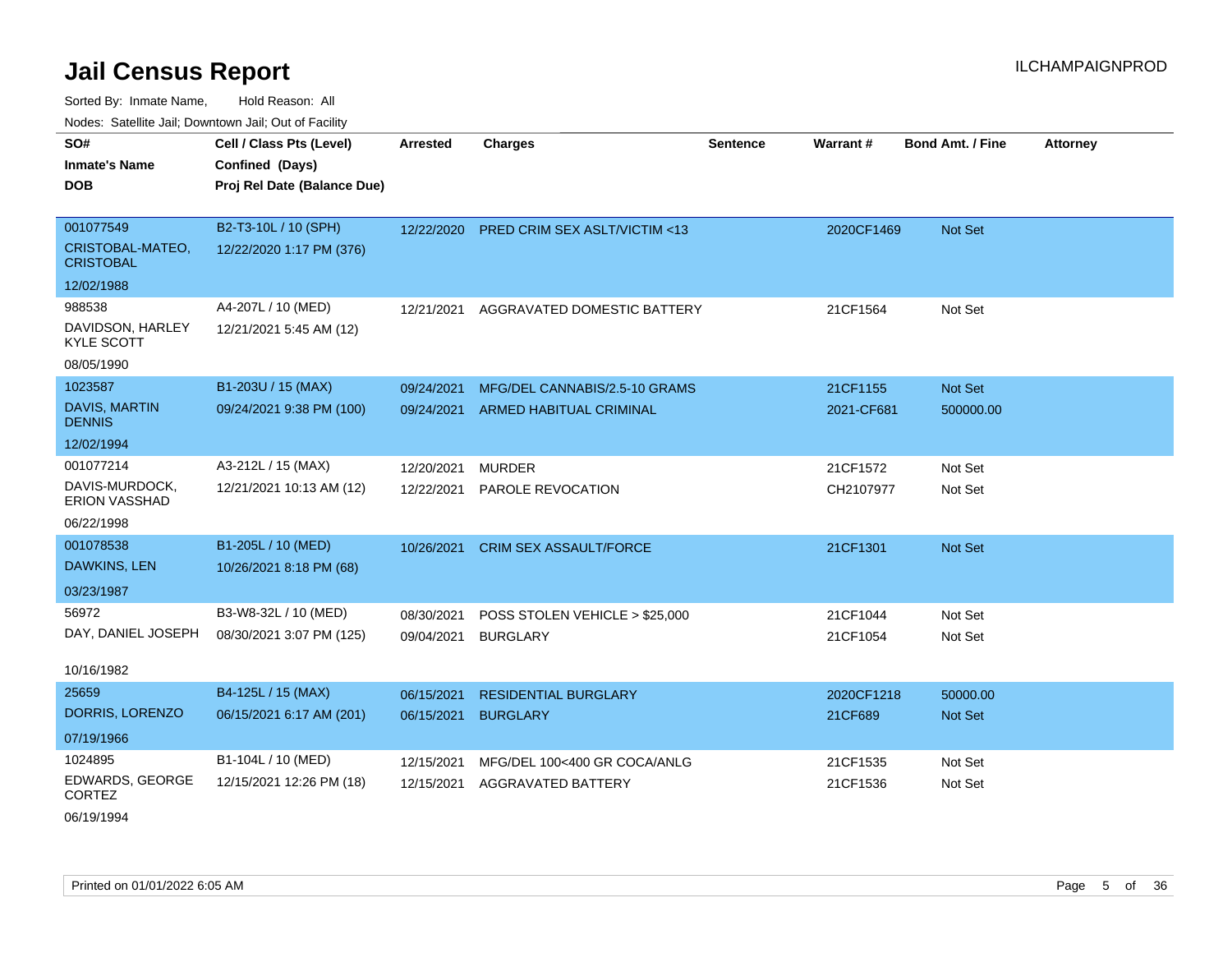Sorted By: Inmate Name, Hold Reason: All Nodes: Satellite Jail; Downtown Jail; Out of Facility

| Todos. Catolino can, Downtown can, Out of Fability |                             |            |                                         |                 |            |                         |                 |
|----------------------------------------------------|-----------------------------|------------|-----------------------------------------|-----------------|------------|-------------------------|-----------------|
| SO#                                                | Cell / Class Pts (Level)    | Arrested   | <b>Charges</b>                          | <b>Sentence</b> | Warrant#   | <b>Bond Amt. / Fine</b> | <b>Attorney</b> |
| <b>Inmate's Name</b>                               | Confined (Days)             |            |                                         |                 |            |                         |                 |
| <b>DOB</b>                                         | Proj Rel Date (Balance Due) |            |                                         |                 |            |                         |                 |
|                                                    |                             |            |                                         |                 |            |                         |                 |
| 001077549                                          | B2-T3-10L / 10 (SPH)        | 12/22/2020 | <b>PRED CRIM SEX ASLT/VICTIM &lt;13</b> |                 | 2020CF1469 | <b>Not Set</b>          |                 |
| CRISTOBAL-MATEO,<br><b>CRISTOBAL</b>               | 12/22/2020 1:17 PM (376)    |            |                                         |                 |            |                         |                 |
| 12/02/1988                                         |                             |            |                                         |                 |            |                         |                 |
| 988538                                             | A4-207L / 10 (MED)          | 12/21/2021 | AGGRAVATED DOMESTIC BATTERY             |                 | 21CF1564   | Not Set                 |                 |
| DAVIDSON, HARLEY<br><b>KYLE SCOTT</b>              | 12/21/2021 5:45 AM (12)     |            |                                         |                 |            |                         |                 |
| 08/05/1990                                         |                             |            |                                         |                 |            |                         |                 |
| 1023587                                            | B1-203U / 15 (MAX)          | 09/24/2021 | MFG/DEL CANNABIS/2.5-10 GRAMS           |                 | 21CF1155   | Not Set                 |                 |
| <b>DAVIS, MARTIN</b><br><b>DENNIS</b>              | 09/24/2021 9:38 PM (100)    | 09/24/2021 | ARMED HABITUAL CRIMINAL                 |                 | 2021-CF681 | 500000.00               |                 |
| 12/02/1994                                         |                             |            |                                         |                 |            |                         |                 |
| 001077214                                          | A3-212L / 15 (MAX)          | 12/20/2021 | <b>MURDER</b>                           |                 | 21CF1572   | Not Set                 |                 |
| DAVIS-MURDOCK,<br><b>ERION VASSHAD</b>             | 12/21/2021 10:13 AM (12)    | 12/22/2021 | PAROLE REVOCATION                       |                 | CH2107977  | Not Set                 |                 |
| 06/22/1998                                         |                             |            |                                         |                 |            |                         |                 |
| 001078538                                          | B1-205L / 10 (MED)          | 10/26/2021 | <b>CRIM SEX ASSAULT/FORCE</b>           |                 | 21CF1301   | <b>Not Set</b>          |                 |
| DAWKINS, LEN                                       | 10/26/2021 8:18 PM (68)     |            |                                         |                 |            |                         |                 |
| 03/23/1987                                         |                             |            |                                         |                 |            |                         |                 |
| 56972                                              | B3-W8-32L / 10 (MED)        | 08/30/2021 | POSS STOLEN VEHICLE > \$25,000          |                 | 21CF1044   | Not Set                 |                 |
| DAY, DANIEL JOSEPH                                 | 08/30/2021 3:07 PM (125)    | 09/04/2021 | <b>BURGLARY</b>                         |                 | 21CF1054   | Not Set                 |                 |
|                                                    |                             |            |                                         |                 |            |                         |                 |
| 10/16/1982                                         |                             |            |                                         |                 |            |                         |                 |
| 25659                                              | B4-125L / 15 (MAX)          | 06/15/2021 | <b>RESIDENTIAL BURGLARY</b>             |                 | 2020CF1218 | 50000.00                |                 |
| DORRIS, LORENZO                                    | 06/15/2021 6:17 AM (201)    | 06/15/2021 | <b>BURGLARY</b>                         |                 | 21CF689    | <b>Not Set</b>          |                 |
| 07/19/1966                                         |                             |            |                                         |                 |            |                         |                 |
| 1024895                                            | B1-104L / 10 (MED)          | 12/15/2021 | MFG/DEL 100<400 GR COCA/ANLG            |                 | 21CF1535   | Not Set                 |                 |
| EDWARDS, GEORGE<br><b>CORTEZ</b>                   | 12/15/2021 12:26 PM (18)    | 12/15/2021 | <b>AGGRAVATED BATTERY</b>               |                 | 21CF1536   | Not Set                 |                 |

06/19/1994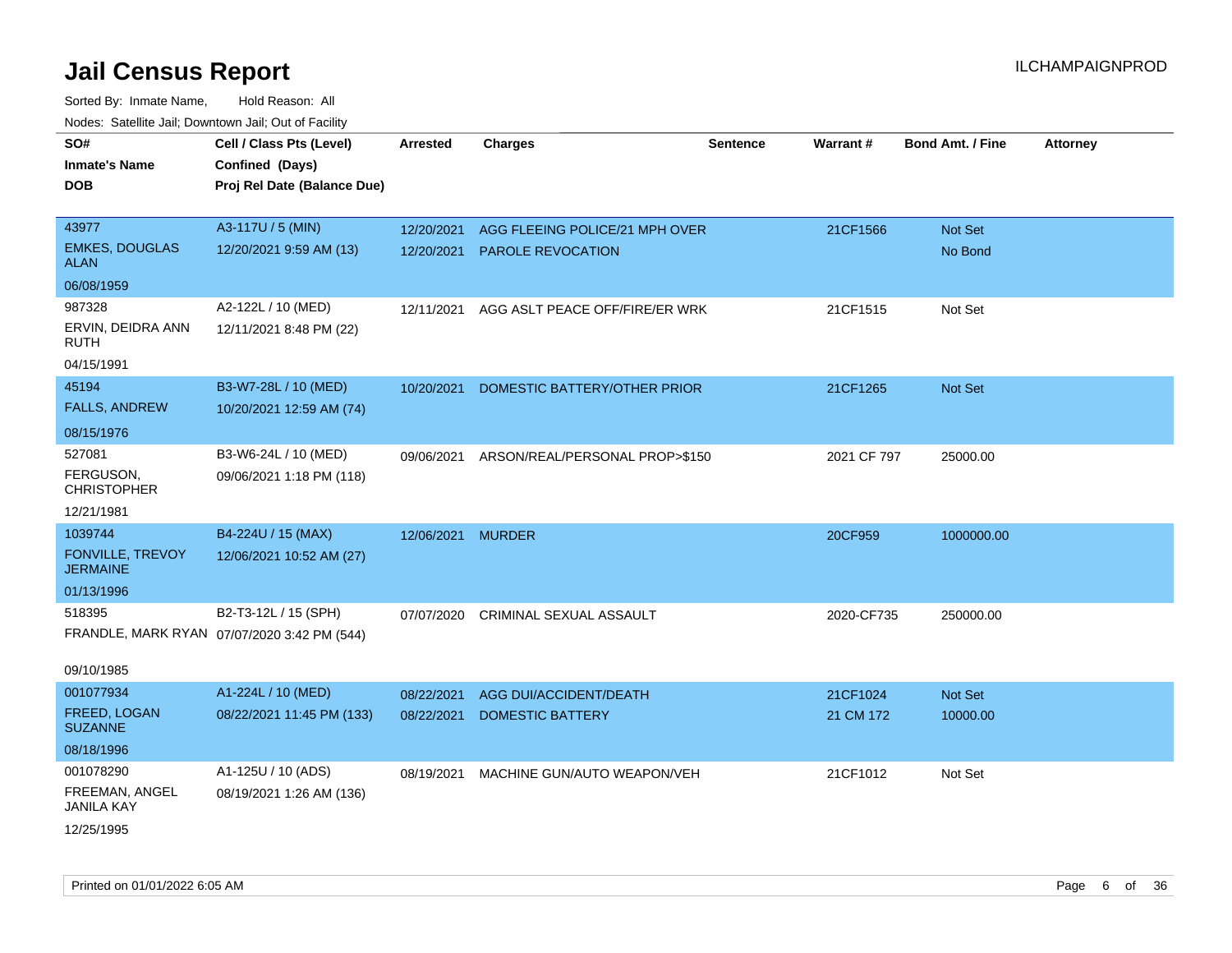| roaco. Odichile Jan, Downtown Jan, Out of Facility |                                             |                   |                                |                 |             |                         |                 |
|----------------------------------------------------|---------------------------------------------|-------------------|--------------------------------|-----------------|-------------|-------------------------|-----------------|
| SO#<br><b>Inmate's Name</b>                        | Cell / Class Pts (Level)<br>Confined (Days) | <b>Arrested</b>   | <b>Charges</b>                 | <b>Sentence</b> | Warrant#    | <b>Bond Amt. / Fine</b> | <b>Attorney</b> |
| <b>DOB</b>                                         | Proj Rel Date (Balance Due)                 |                   |                                |                 |             |                         |                 |
| 43977                                              | A3-117U / 5 (MIN)                           | 12/20/2021        | AGG FLEEING POLICE/21 MPH OVER |                 | 21CF1566    | Not Set                 |                 |
| <b>EMKES, DOUGLAS</b><br><b>ALAN</b>               | 12/20/2021 9:59 AM (13)                     | 12/20/2021        | <b>PAROLE REVOCATION</b>       |                 |             | No Bond                 |                 |
| 06/08/1959                                         |                                             |                   |                                |                 |             |                         |                 |
| 987328                                             | A2-122L / 10 (MED)                          | 12/11/2021        | AGG ASLT PEACE OFF/FIRE/ER WRK |                 | 21CF1515    | Not Set                 |                 |
| ERVIN, DEIDRA ANN<br><b>RUTH</b>                   | 12/11/2021 8:48 PM (22)                     |                   |                                |                 |             |                         |                 |
| 04/15/1991                                         |                                             |                   |                                |                 |             |                         |                 |
| 45194                                              | B3-W7-28L / 10 (MED)                        | 10/20/2021        | DOMESTIC BATTERY/OTHER PRIOR   |                 | 21CF1265    | Not Set                 |                 |
| <b>FALLS, ANDREW</b>                               | 10/20/2021 12:59 AM (74)                    |                   |                                |                 |             |                         |                 |
| 08/15/1976                                         |                                             |                   |                                |                 |             |                         |                 |
| 527081                                             | B3-W6-24L / 10 (MED)                        | 09/06/2021        | ARSON/REAL/PERSONAL PROP>\$150 |                 | 2021 CF 797 | 25000.00                |                 |
| FERGUSON,<br><b>CHRISTOPHER</b>                    | 09/06/2021 1:18 PM (118)                    |                   |                                |                 |             |                         |                 |
| 12/21/1981                                         |                                             |                   |                                |                 |             |                         |                 |
| 1039744                                            | B4-224U / 15 (MAX)                          | 12/06/2021 MURDER |                                |                 | 20CF959     | 1000000.00              |                 |
| <b>FONVILLE, TREVOY</b><br><b>JERMAINE</b>         | 12/06/2021 10:52 AM (27)                    |                   |                                |                 |             |                         |                 |
| 01/13/1996                                         |                                             |                   |                                |                 |             |                         |                 |
| 518395                                             | B2-T3-12L / 15 (SPH)                        | 07/07/2020        | CRIMINAL SEXUAL ASSAULT        |                 | 2020-CF735  | 250000.00               |                 |
|                                                    | FRANDLE, MARK RYAN 07/07/2020 3:42 PM (544) |                   |                                |                 |             |                         |                 |
| 09/10/1985                                         |                                             |                   |                                |                 |             |                         |                 |
| 001077934                                          | A1-224L / 10 (MED)                          | 08/22/2021        | AGG DUI/ACCIDENT/DEATH         |                 | 21CF1024    | Not Set                 |                 |
| FREED, LOGAN<br><b>SUZANNE</b>                     | 08/22/2021 11:45 PM (133)                   | 08/22/2021        | <b>DOMESTIC BATTERY</b>        |                 | 21 CM 172   | 10000.00                |                 |
| 08/18/1996                                         |                                             |                   |                                |                 |             |                         |                 |
| 001078290                                          | A1-125U / 10 (ADS)                          | 08/19/2021        | MACHINE GUN/AUTO WEAPON/VEH    |                 | 21CF1012    | Not Set                 |                 |
| FREEMAN, ANGEL<br><b>JANILA KAY</b>                | 08/19/2021 1:26 AM (136)                    |                   |                                |                 |             |                         |                 |
| 12/25/1995                                         |                                             |                   |                                |                 |             |                         |                 |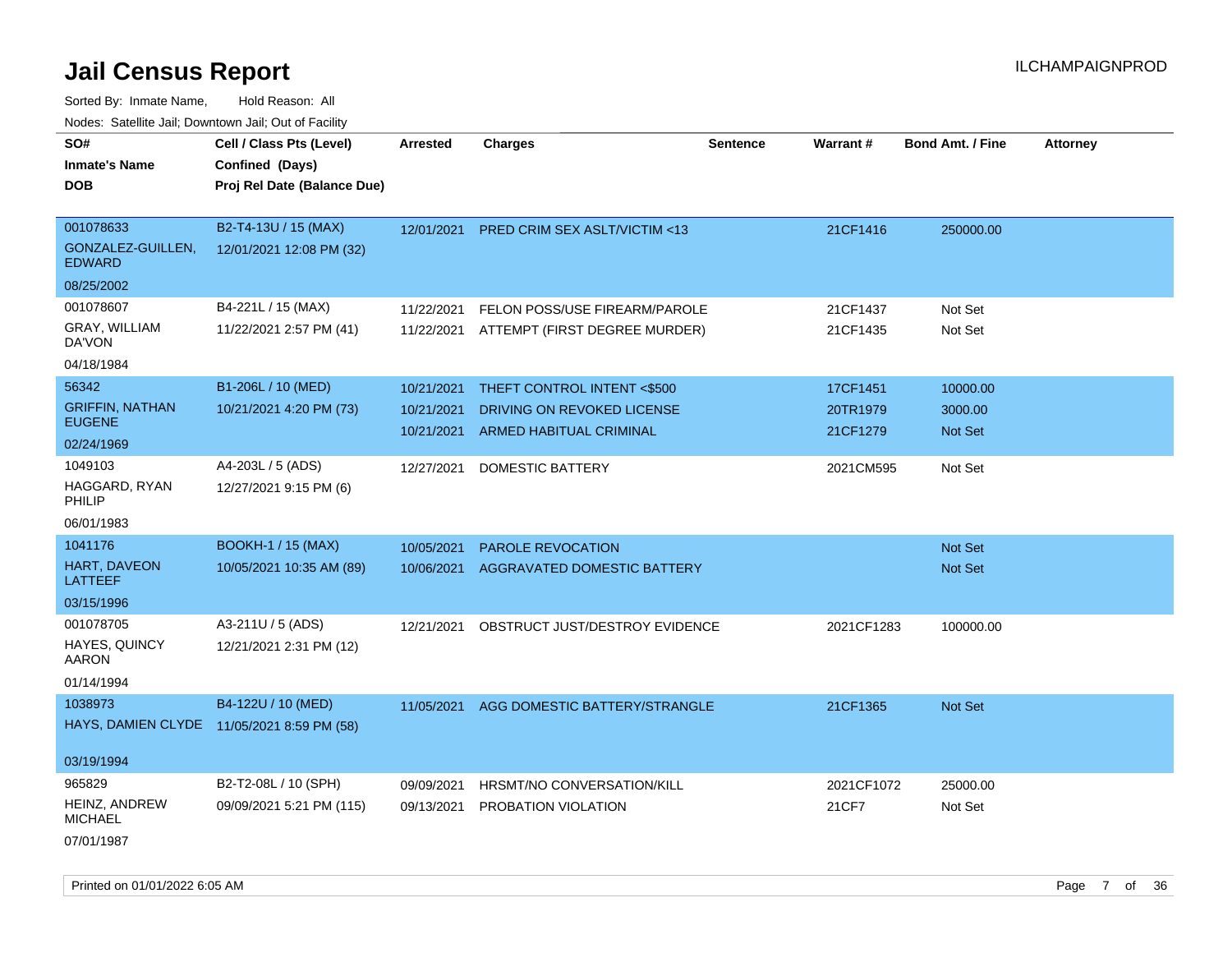Sorted By: Inmate Name, Hold Reason: All Nodes: Satellite Jail; Downtown Jail; Out of Facility

| SO#                                | Cell / Class Pts (Level)                   | <b>Arrested</b> | <b>Charges</b>                           | <b>Sentence</b> | Warrant#   | <b>Bond Amt. / Fine</b> | <b>Attorney</b> |
|------------------------------------|--------------------------------------------|-----------------|------------------------------------------|-----------------|------------|-------------------------|-----------------|
| <b>Inmate's Name</b>               | Confined (Days)                            |                 |                                          |                 |            |                         |                 |
| <b>DOB</b>                         | Proj Rel Date (Balance Due)                |                 |                                          |                 |            |                         |                 |
|                                    |                                            |                 |                                          |                 |            |                         |                 |
| 001078633                          | B2-T4-13U / 15 (MAX)                       | 12/01/2021      | <b>PRED CRIM SEX ASLT/VICTIM &lt;13</b>  |                 | 21CF1416   | 250000.00               |                 |
| GONZALEZ-GUILLEN.<br><b>EDWARD</b> | 12/01/2021 12:08 PM (32)                   |                 |                                          |                 |            |                         |                 |
| 08/25/2002                         |                                            |                 |                                          |                 |            |                         |                 |
| 001078607                          | B4-221L / 15 (MAX)                         | 11/22/2021      | FELON POSS/USE FIREARM/PAROLE            |                 | 21CF1437   | Not Set                 |                 |
| GRAY, WILLIAM<br>DA'VON            | 11/22/2021 2:57 PM (41)                    |                 | 11/22/2021 ATTEMPT (FIRST DEGREE MURDER) |                 | 21CF1435   | Not Set                 |                 |
| 04/18/1984                         |                                            |                 |                                          |                 |            |                         |                 |
| 56342                              | B1-206L / 10 (MED)                         | 10/21/2021      | THEFT CONTROL INTENT <\$500              |                 | 17CF1451   | 10000.00                |                 |
| <b>GRIFFIN, NATHAN</b>             | 10/21/2021 4:20 PM (73)                    | 10/21/2021      | DRIVING ON REVOKED LICENSE               |                 | 20TR1979   | 3000.00                 |                 |
| <b>EUGENE</b>                      |                                            | 10/21/2021      | <b>ARMED HABITUAL CRIMINAL</b>           |                 | 21CF1279   | <b>Not Set</b>          |                 |
| 02/24/1969                         |                                            |                 |                                          |                 |            |                         |                 |
| 1049103                            | A4-203L / 5 (ADS)                          | 12/27/2021      | <b>DOMESTIC BATTERY</b>                  |                 | 2021CM595  | Not Set                 |                 |
| HAGGARD, RYAN<br>PHILIP            | 12/27/2021 9:15 PM (6)                     |                 |                                          |                 |            |                         |                 |
| 06/01/1983                         |                                            |                 |                                          |                 |            |                         |                 |
| 1041176                            | <b>BOOKH-1 / 15 (MAX)</b>                  | 10/05/2021      | <b>PAROLE REVOCATION</b>                 |                 |            | Not Set                 |                 |
| HART, DAVEON<br>LATTEEF            | 10/05/2021 10:35 AM (89)                   | 10/06/2021      | AGGRAVATED DOMESTIC BATTERY              |                 |            | Not Set                 |                 |
| 03/15/1996                         |                                            |                 |                                          |                 |            |                         |                 |
| 001078705                          | A3-211U / 5 (ADS)                          | 12/21/2021      | OBSTRUCT JUST/DESTROY EVIDENCE           |                 | 2021CF1283 | 100000.00               |                 |
| HAYES, QUINCY<br>AARON             | 12/21/2021 2:31 PM (12)                    |                 |                                          |                 |            |                         |                 |
| 01/14/1994                         |                                            |                 |                                          |                 |            |                         |                 |
| 1038973                            | B4-122U / 10 (MED)                         | 11/05/2021      | AGG DOMESTIC BATTERY/STRANGLE            |                 | 21CF1365   | <b>Not Set</b>          |                 |
|                                    | HAYS, DAMIEN CLYDE 11/05/2021 8:59 PM (58) |                 |                                          |                 |            |                         |                 |
|                                    |                                            |                 |                                          |                 |            |                         |                 |
| 03/19/1994                         |                                            |                 |                                          |                 |            |                         |                 |
| 965829                             | B2-T2-08L / 10 (SPH)                       | 09/09/2021      | HRSMT/NO CONVERSATION/KILL               |                 | 2021CF1072 | 25000.00                |                 |
| HEINZ, ANDREW<br><b>MICHAEL</b>    | 09/09/2021 5:21 PM (115)                   | 09/13/2021      | PROBATION VIOLATION                      |                 | 21CF7      | Not Set                 |                 |
| 07/01/1987                         |                                            |                 |                                          |                 |            |                         |                 |

Printed on 01/01/2022 6:05 AM Page 7 of 36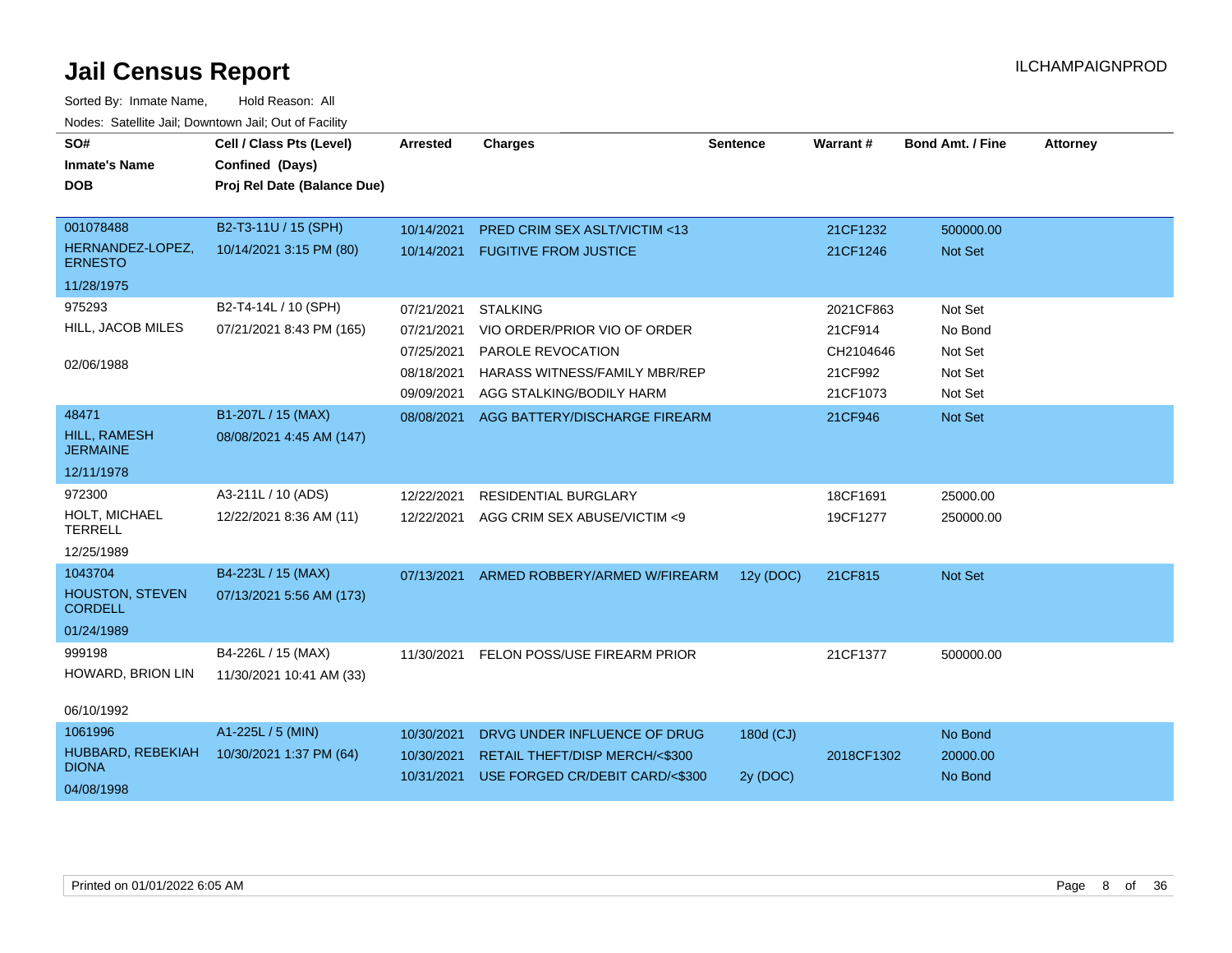| SO#<br><b>Inmate's Name</b><br><b>DOB</b> | Cell / Class Pts (Level)<br>Confined (Days)<br>Proj Rel Date (Balance Due) | <b>Arrested</b> | <b>Charges</b>                  | <b>Sentence</b> | Warrant#   | <b>Bond Amt. / Fine</b> | <b>Attorney</b> |
|-------------------------------------------|----------------------------------------------------------------------------|-----------------|---------------------------------|-----------------|------------|-------------------------|-----------------|
| 001078488                                 | B2-T3-11U / 15 (SPH)                                                       | 10/14/2021      | PRED CRIM SEX ASLT/VICTIM <13   |                 | 21CF1232   | 500000.00               |                 |
| HERNANDEZ-LOPEZ,<br><b>ERNESTO</b>        | 10/14/2021 3:15 PM (80)                                                    | 10/14/2021      | <b>FUGITIVE FROM JUSTICE</b>    |                 | 21CF1246   | <b>Not Set</b>          |                 |
| 11/28/1975                                |                                                                            |                 |                                 |                 |            |                         |                 |
| 975293                                    | B2-T4-14L / 10 (SPH)                                                       | 07/21/2021      | <b>STALKING</b>                 |                 | 2021CF863  | Not Set                 |                 |
| HILL, JACOB MILES                         | 07/21/2021 8:43 PM (165)                                                   | 07/21/2021      | VIO ORDER/PRIOR VIO OF ORDER    |                 | 21CF914    | No Bond                 |                 |
|                                           |                                                                            | 07/25/2021      | PAROLE REVOCATION               |                 | CH2104646  | Not Set                 |                 |
| 02/06/1988                                |                                                                            | 08/18/2021      | HARASS WITNESS/FAMILY MBR/REP   |                 | 21CF992    | Not Set                 |                 |
|                                           |                                                                            | 09/09/2021      | AGG STALKING/BODILY HARM        |                 | 21CF1073   | Not Set                 |                 |
| 48471                                     | B1-207L / 15 (MAX)                                                         | 08/08/2021      | AGG BATTERY/DISCHARGE FIREARM   |                 | 21CF946    | Not Set                 |                 |
| <b>HILL, RAMESH</b><br><b>JERMAINE</b>    | 08/08/2021 4:45 AM (147)                                                   |                 |                                 |                 |            |                         |                 |
| 12/11/1978                                |                                                                            |                 |                                 |                 |            |                         |                 |
| 972300                                    | A3-211L / 10 (ADS)                                                         | 12/22/2021      | <b>RESIDENTIAL BURGLARY</b>     |                 | 18CF1691   | 25000.00                |                 |
| HOLT, MICHAEL<br><b>TERRELL</b>           | 12/22/2021 8:36 AM (11)                                                    | 12/22/2021      | AGG CRIM SEX ABUSE/VICTIM <9    |                 | 19CF1277   | 250000.00               |                 |
| 12/25/1989                                |                                                                            |                 |                                 |                 |            |                         |                 |
| 1043704                                   | B4-223L / 15 (MAX)                                                         | 07/13/2021      | ARMED ROBBERY/ARMED W/FIREARM   | 12y (DOC)       | 21CF815    | Not Set                 |                 |
| <b>HOUSTON, STEVEN</b><br><b>CORDELL</b>  | 07/13/2021 5:56 AM (173)                                                   |                 |                                 |                 |            |                         |                 |
| 01/24/1989                                |                                                                            |                 |                                 |                 |            |                         |                 |
| 999198                                    | B4-226L / 15 (MAX)                                                         | 11/30/2021      | FELON POSS/USE FIREARM PRIOR    |                 | 21CF1377   | 500000.00               |                 |
| HOWARD, BRION LIN                         | 11/30/2021 10:41 AM (33)                                                   |                 |                                 |                 |            |                         |                 |
| 06/10/1992                                |                                                                            |                 |                                 |                 |            |                         |                 |
| 1061996                                   | A1-225L / 5 (MIN)                                                          | 10/30/2021      | DRVG UNDER INFLUENCE OF DRUG    | 180d (CJ)       |            | No Bond                 |                 |
| HUBBARD, REBEKIAH                         | 10/30/2021 1:37 PM (64)                                                    | 10/30/2021      | RETAIL THEFT/DISP MERCH/<\$300  |                 | 2018CF1302 | 20000.00                |                 |
| <b>DIONA</b>                              |                                                                            | 10/31/2021      | USE FORGED CR/DEBIT CARD/<\$300 | 2y (DOC)        |            | No Bond                 |                 |
| 04/08/1998                                |                                                                            |                 |                                 |                 |            |                         |                 |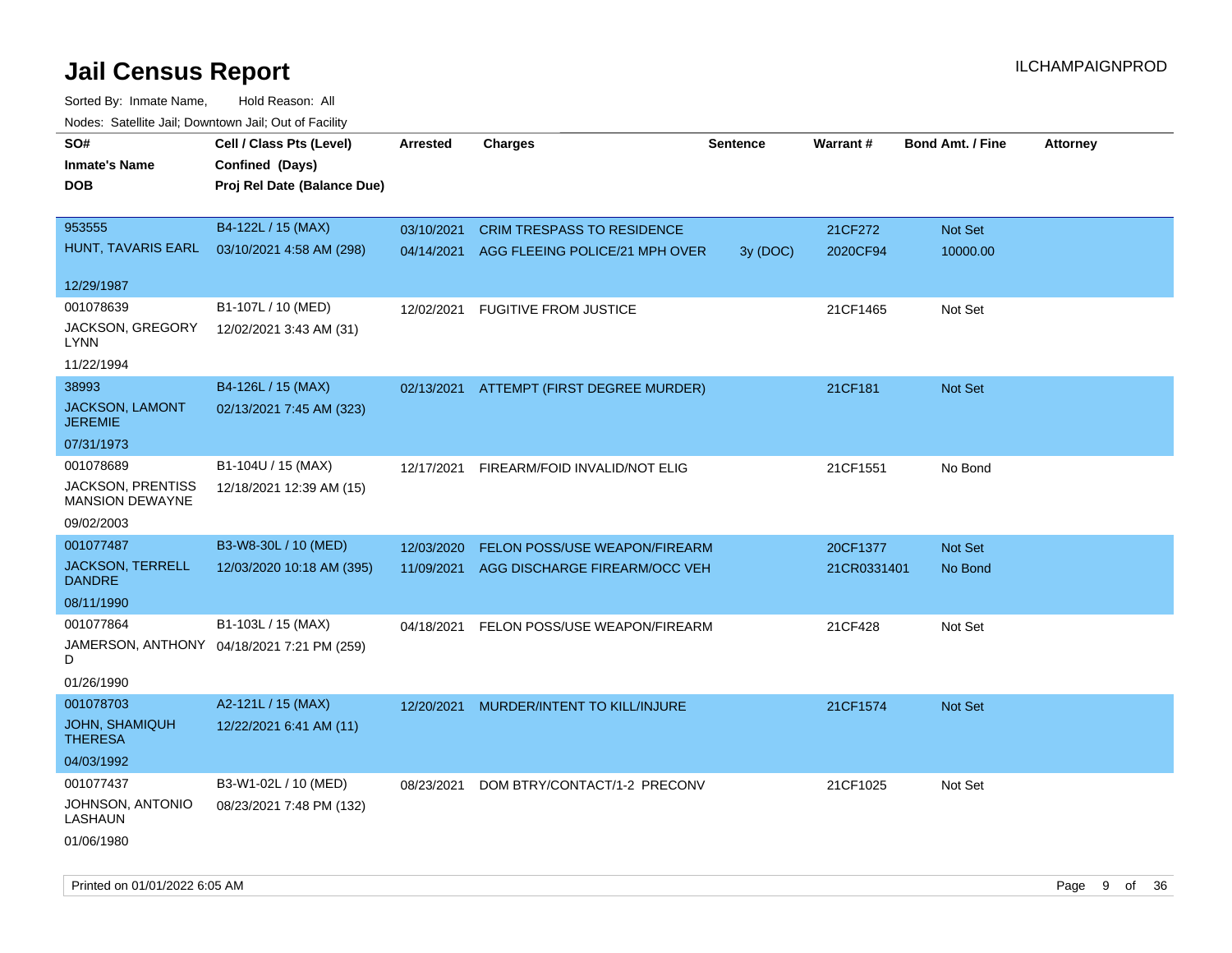| SO#<br><b>Inmate's Name</b><br><b>DOB</b>          | Cell / Class Pts (Level)<br>Confined (Days)<br>Proj Rel Date (Balance Due) | Arrested   | <b>Charges</b>                           | <b>Sentence</b> | <b>Warrant#</b> | <b>Bond Amt. / Fine</b> | <b>Attorney</b> |
|----------------------------------------------------|----------------------------------------------------------------------------|------------|------------------------------------------|-----------------|-----------------|-------------------------|-----------------|
| 953555                                             | B4-122L / 15 (MAX)                                                         | 03/10/2021 | <b>CRIM TRESPASS TO RESIDENCE</b>        |                 | 21CF272         | Not Set                 |                 |
| HUNT, TAVARIS EARL                                 | 03/10/2021 4:58 AM (298)                                                   | 04/14/2021 | AGG FLEEING POLICE/21 MPH OVER           | 3y (DOC)        | 2020CF94        | 10000.00                |                 |
| 12/29/1987                                         |                                                                            |            |                                          |                 |                 |                         |                 |
| 001078639                                          | B1-107L / 10 (MED)                                                         | 12/02/2021 | <b>FUGITIVE FROM JUSTICE</b>             |                 | 21CF1465        | Not Set                 |                 |
| JACKSON, GREGORY<br>LYNN                           | 12/02/2021 3:43 AM (31)                                                    |            |                                          |                 |                 |                         |                 |
| 11/22/1994                                         |                                                                            |            |                                          |                 |                 |                         |                 |
| 38993                                              | B4-126L / 15 (MAX)                                                         |            | 02/13/2021 ATTEMPT (FIRST DEGREE MURDER) |                 | 21CF181         | Not Set                 |                 |
| JACKSON, LAMONT<br><b>JEREMIE</b>                  | 02/13/2021 7:45 AM (323)                                                   |            |                                          |                 |                 |                         |                 |
| 07/31/1973                                         |                                                                            |            |                                          |                 |                 |                         |                 |
| 001078689                                          | B1-104U / 15 (MAX)                                                         | 12/17/2021 | FIREARM/FOID INVALID/NOT ELIG            |                 | 21CF1551        | No Bond                 |                 |
| <b>JACKSON, PRENTISS</b><br><b>MANSION DEWAYNE</b> | 12/18/2021 12:39 AM (15)                                                   |            |                                          |                 |                 |                         |                 |
| 09/02/2003                                         |                                                                            |            |                                          |                 |                 |                         |                 |
| 001077487                                          | B3-W8-30L / 10 (MED)                                                       | 12/03/2020 | FELON POSS/USE WEAPON/FIREARM            |                 | 20CF1377        | <b>Not Set</b>          |                 |
| <b>JACKSON, TERRELL</b><br><b>DANDRE</b>           | 12/03/2020 10:18 AM (395)                                                  | 11/09/2021 | AGG DISCHARGE FIREARM/OCC VEH            |                 | 21CR0331401     | No Bond                 |                 |
| 08/11/1990                                         |                                                                            |            |                                          |                 |                 |                         |                 |
| 001077864                                          | B1-103L / 15 (MAX)                                                         | 04/18/2021 | FELON POSS/USE WEAPON/FIREARM            |                 | 21CF428         | Not Set                 |                 |
| D                                                  | JAMERSON, ANTHONY 04/18/2021 7:21 PM (259)                                 |            |                                          |                 |                 |                         |                 |
| 01/26/1990                                         |                                                                            |            |                                          |                 |                 |                         |                 |
| 001078703                                          | A2-121L / 15 (MAX)                                                         | 12/20/2021 | MURDER/INTENT TO KILL/INJURE             |                 | 21CF1574        | Not Set                 |                 |
| <b>JOHN, SHAMIQUH</b><br><b>THERESA</b>            | 12/22/2021 6:41 AM (11)                                                    |            |                                          |                 |                 |                         |                 |
| 04/03/1992                                         |                                                                            |            |                                          |                 |                 |                         |                 |
| 001077437                                          | B3-W1-02L / 10 (MED)                                                       | 08/23/2021 | DOM BTRY/CONTACT/1-2 PRECONV             |                 | 21CF1025        | Not Set                 |                 |
| JOHNSON, ANTONIO<br>LASHAUN<br>01/06/1980          | 08/23/2021 7:48 PM (132)                                                   |            |                                          |                 |                 |                         |                 |
|                                                    |                                                                            |            |                                          |                 |                 |                         |                 |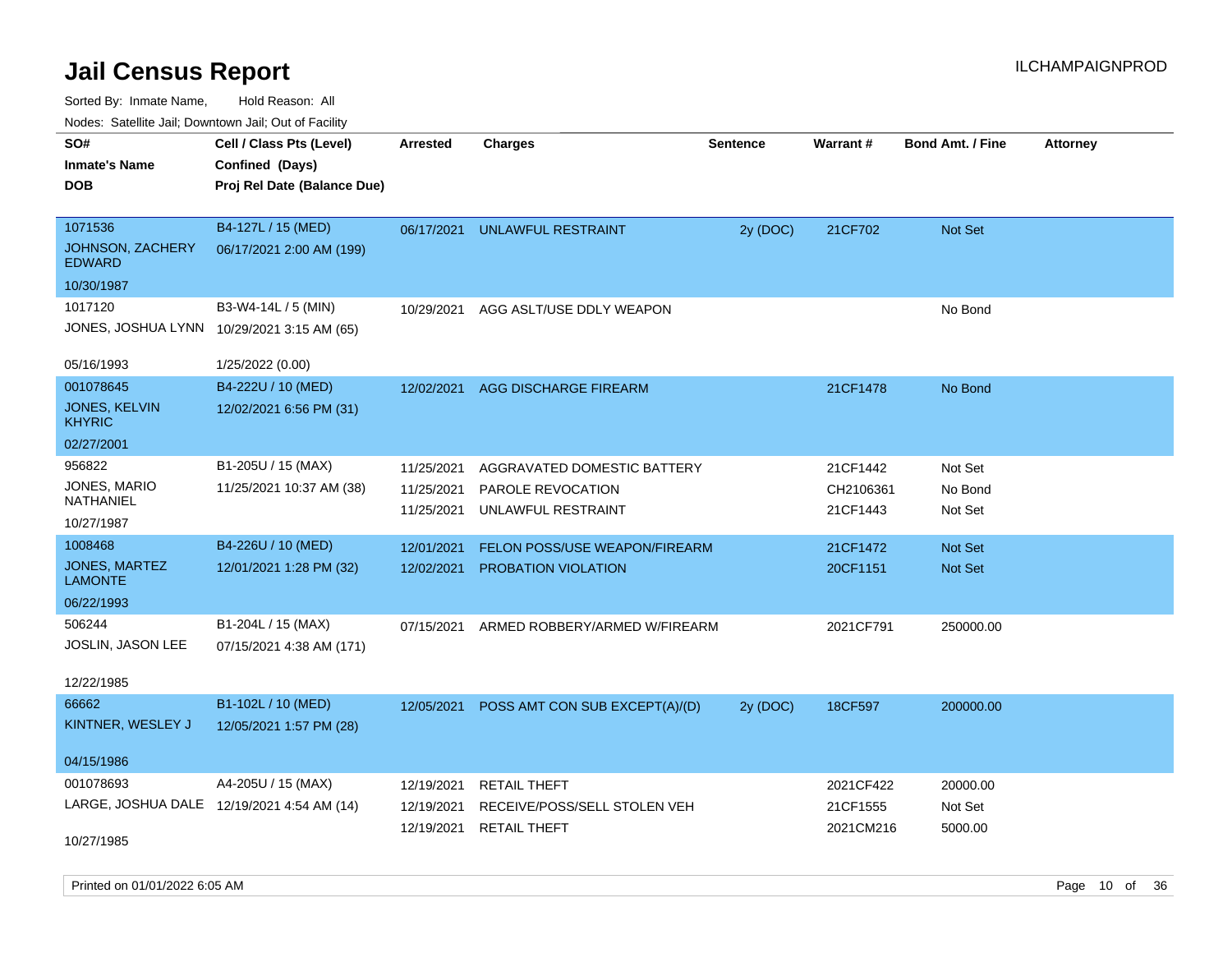Sorted By: Inmate Name, Hold Reason: All Nodes: Satellite Jail; Downtown Jail; Out of Facility

| Noues. Salemie Jan, Downtown Jan, Out of Facility |                                            |            |                                |                 |           |                         |                 |
|---------------------------------------------------|--------------------------------------------|------------|--------------------------------|-----------------|-----------|-------------------------|-----------------|
| SO#                                               | Cell / Class Pts (Level)                   | Arrested   | <b>Charges</b>                 | <b>Sentence</b> | Warrant#  | <b>Bond Amt. / Fine</b> | <b>Attorney</b> |
| <b>Inmate's Name</b>                              | Confined (Days)                            |            |                                |                 |           |                         |                 |
| <b>DOB</b>                                        | Proj Rel Date (Balance Due)                |            |                                |                 |           |                         |                 |
|                                                   |                                            |            |                                |                 |           |                         |                 |
| 1071536                                           | B4-127L / 15 (MED)                         | 06/17/2021 | UNLAWFUL RESTRAINT             | 2y (DOC)        | 21CF702   | Not Set                 |                 |
| JOHNSON, ZACHERY<br><b>EDWARD</b>                 | 06/17/2021 2:00 AM (199)                   |            |                                |                 |           |                         |                 |
| 10/30/1987                                        |                                            |            |                                |                 |           |                         |                 |
| 1017120                                           | B3-W4-14L / 5 (MIN)                        | 10/29/2021 | AGG ASLT/USE DDLY WEAPON       |                 |           | No Bond                 |                 |
|                                                   | JONES, JOSHUA LYNN 10/29/2021 3:15 AM (65) |            |                                |                 |           |                         |                 |
| 05/16/1993                                        | 1/25/2022 (0.00)                           |            |                                |                 |           |                         |                 |
| 001078645                                         | B4-222U / 10 (MED)                         | 12/02/2021 | AGG DISCHARGE FIREARM          |                 | 21CF1478  | No Bond                 |                 |
| JONES, KELVIN<br>KHYRIC                           | 12/02/2021 6:56 PM (31)                    |            |                                |                 |           |                         |                 |
| 02/27/2001                                        |                                            |            |                                |                 |           |                         |                 |
| 956822                                            | B1-205U / 15 (MAX)                         | 11/25/2021 | AGGRAVATED DOMESTIC BATTERY    |                 | 21CF1442  | Not Set                 |                 |
| JONES, MARIO                                      | 11/25/2021 10:37 AM (38)                   | 11/25/2021 | PAROLE REVOCATION              |                 | CH2106361 | No Bond                 |                 |
| NATHANIEL                                         |                                            | 11/25/2021 | UNLAWFUL RESTRAINT             |                 | 21CF1443  | Not Set                 |                 |
| 10/27/1987                                        |                                            |            |                                |                 |           |                         |                 |
| 1008468                                           | B4-226U / 10 (MED)                         | 12/01/2021 | FELON POSS/USE WEAPON/FIREARM  |                 | 21CF1472  | <b>Not Set</b>          |                 |
| JONES, MARTEZ<br>LAMONTE                          | 12/01/2021 1:28 PM (32)                    | 12/02/2021 | <b>PROBATION VIOLATION</b>     |                 | 20CF1151  | Not Set                 |                 |
| 06/22/1993                                        |                                            |            |                                |                 |           |                         |                 |
| 506244                                            | B1-204L / 15 (MAX)                         | 07/15/2021 | ARMED ROBBERY/ARMED W/FIREARM  |                 | 2021CF791 | 250000.00               |                 |
| JOSLIN, JASON LEE                                 | 07/15/2021 4:38 AM (171)                   |            |                                |                 |           |                         |                 |
|                                                   |                                            |            |                                |                 |           |                         |                 |
| 12/22/1985                                        |                                            |            |                                |                 |           |                         |                 |
| 66662                                             | B1-102L / 10 (MED)                         | 12/05/2021 | POSS AMT CON SUB EXCEPT(A)/(D) | 2y (DOC)        | 18CF597   | 200000.00               |                 |
| KINTNER, WESLEY J                                 | 12/05/2021 1:57 PM (28)                    |            |                                |                 |           |                         |                 |
| 04/15/1986                                        |                                            |            |                                |                 |           |                         |                 |
| 001078693                                         | A4-205U / 15 (MAX)                         | 12/19/2021 | <b>RETAIL THEFT</b>            |                 | 2021CF422 | 20000.00                |                 |
|                                                   | LARGE, JOSHUA DALE 12/19/2021 4:54 AM (14) | 12/19/2021 | RECEIVE/POSS/SELL STOLEN VEH   |                 | 21CF1555  | Not Set                 |                 |
|                                                   |                                            | 12/19/2021 | <b>RETAIL THEFT</b>            |                 | 2021CM216 | 5000.00                 |                 |
| 10/27/1985                                        |                                            |            |                                |                 |           |                         |                 |

Printed on 01/01/2022 6:05 AM Page 10 of 36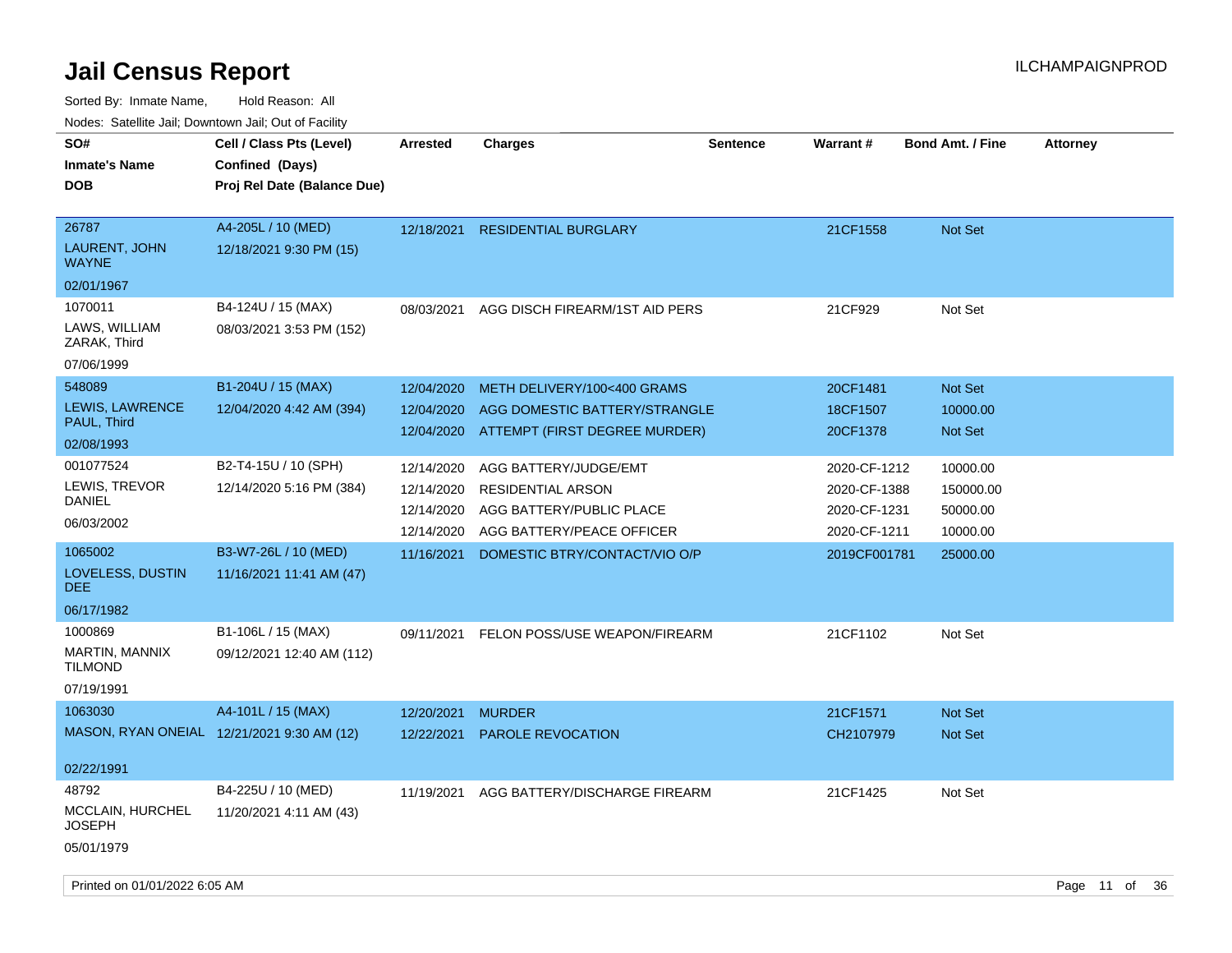| ivuutos. Saltiilit Jall, Duwilluwii Jall, Oul of Facility |                                            |                 |                                |                 |              |                         |                 |
|-----------------------------------------------------------|--------------------------------------------|-----------------|--------------------------------|-----------------|--------------|-------------------------|-----------------|
| SO#                                                       | Cell / Class Pts (Level)                   | <b>Arrested</b> | Charges                        | <b>Sentence</b> | Warrant#     | <b>Bond Amt. / Fine</b> | <b>Attorney</b> |
| <b>Inmate's Name</b>                                      | Confined (Days)                            |                 |                                |                 |              |                         |                 |
| <b>DOB</b>                                                | Proj Rel Date (Balance Due)                |                 |                                |                 |              |                         |                 |
|                                                           |                                            |                 |                                |                 |              |                         |                 |
| 26787                                                     | A4-205L / 10 (MED)                         | 12/18/2021      | <b>RESIDENTIAL BURGLARY</b>    |                 | 21CF1558     | <b>Not Set</b>          |                 |
| <b>LAURENT, JOHN</b><br><b>WAYNE</b>                      | 12/18/2021 9:30 PM (15)                    |                 |                                |                 |              |                         |                 |
| 02/01/1967                                                |                                            |                 |                                |                 |              |                         |                 |
| 1070011                                                   | B4-124U / 15 (MAX)                         | 08/03/2021      | AGG DISCH FIREARM/1ST AID PERS |                 | 21CF929      | Not Set                 |                 |
| LAWS, WILLIAM<br>ZARAK, Third                             | 08/03/2021 3:53 PM (152)                   |                 |                                |                 |              |                         |                 |
| 07/06/1999                                                |                                            |                 |                                |                 |              |                         |                 |
| 548089                                                    | B1-204U / 15 (MAX)                         | 12/04/2020      | METH DELIVERY/100<400 GRAMS    |                 | 20CF1481     | <b>Not Set</b>          |                 |
| LEWIS, LAWRENCE                                           | 12/04/2020 4:42 AM (394)                   | 12/04/2020      | AGG DOMESTIC BATTERY/STRANGLE  |                 | 18CF1507     | 10000.00                |                 |
| PAUL, Third                                               |                                            | 12/04/2020      | ATTEMPT (FIRST DEGREE MURDER)  |                 | 20CF1378     | <b>Not Set</b>          |                 |
| 02/08/1993                                                |                                            |                 |                                |                 |              |                         |                 |
| 001077524                                                 | B2-T4-15U / 10 (SPH)                       | 12/14/2020      | AGG BATTERY/JUDGE/EMT          |                 | 2020-CF-1212 | 10000.00                |                 |
| LEWIS, TREVOR                                             | 12/14/2020 5:16 PM (384)                   | 12/14/2020      | <b>RESIDENTIAL ARSON</b>       |                 | 2020-CF-1388 | 150000.00               |                 |
| DANIEL                                                    |                                            | 12/14/2020      | AGG BATTERY/PUBLIC PLACE       |                 | 2020-CF-1231 | 50000.00                |                 |
| 06/03/2002                                                |                                            | 12/14/2020      | AGG BATTERY/PEACE OFFICER      |                 | 2020-CF-1211 | 10000.00                |                 |
| 1065002                                                   | B3-W7-26L / 10 (MED)                       | 11/16/2021      | DOMESTIC BTRY/CONTACT/VIO O/P  |                 | 2019CF001781 | 25000.00                |                 |
| LOVELESS, DUSTIN<br><b>DEE</b>                            | 11/16/2021 11:41 AM (47)                   |                 |                                |                 |              |                         |                 |
| 06/17/1982                                                |                                            |                 |                                |                 |              |                         |                 |
| 1000869                                                   | B1-106L / 15 (MAX)                         | 09/11/2021      | FELON POSS/USE WEAPON/FIREARM  |                 | 21CF1102     | Not Set                 |                 |
| MARTIN, MANNIX<br><b>TILMOND</b>                          | 09/12/2021 12:40 AM (112)                  |                 |                                |                 |              |                         |                 |
| 07/19/1991                                                |                                            |                 |                                |                 |              |                         |                 |
| 1063030                                                   | A4-101L / 15 (MAX)                         | 12/20/2021      | <b>MURDER</b>                  |                 | 21CF1571     | <b>Not Set</b>          |                 |
|                                                           | MASON, RYAN ONEIAL 12/21/2021 9:30 AM (12) | 12/22/2021      | <b>PAROLE REVOCATION</b>       |                 | CH2107979    | <b>Not Set</b>          |                 |
|                                                           |                                            |                 |                                |                 |              |                         |                 |
| 02/22/1991                                                |                                            |                 |                                |                 |              |                         |                 |
| 48792                                                     | B4-225U / 10 (MED)                         | 11/19/2021      | AGG BATTERY/DISCHARGE FIREARM  |                 | 21CF1425     | Not Set                 |                 |
| MCCLAIN, HURCHEL<br>JOSEPH                                | 11/20/2021 4:11 AM (43)                    |                 |                                |                 |              |                         |                 |
| 05/01/1979                                                |                                            |                 |                                |                 |              |                         |                 |
|                                                           |                                            |                 |                                |                 |              |                         |                 |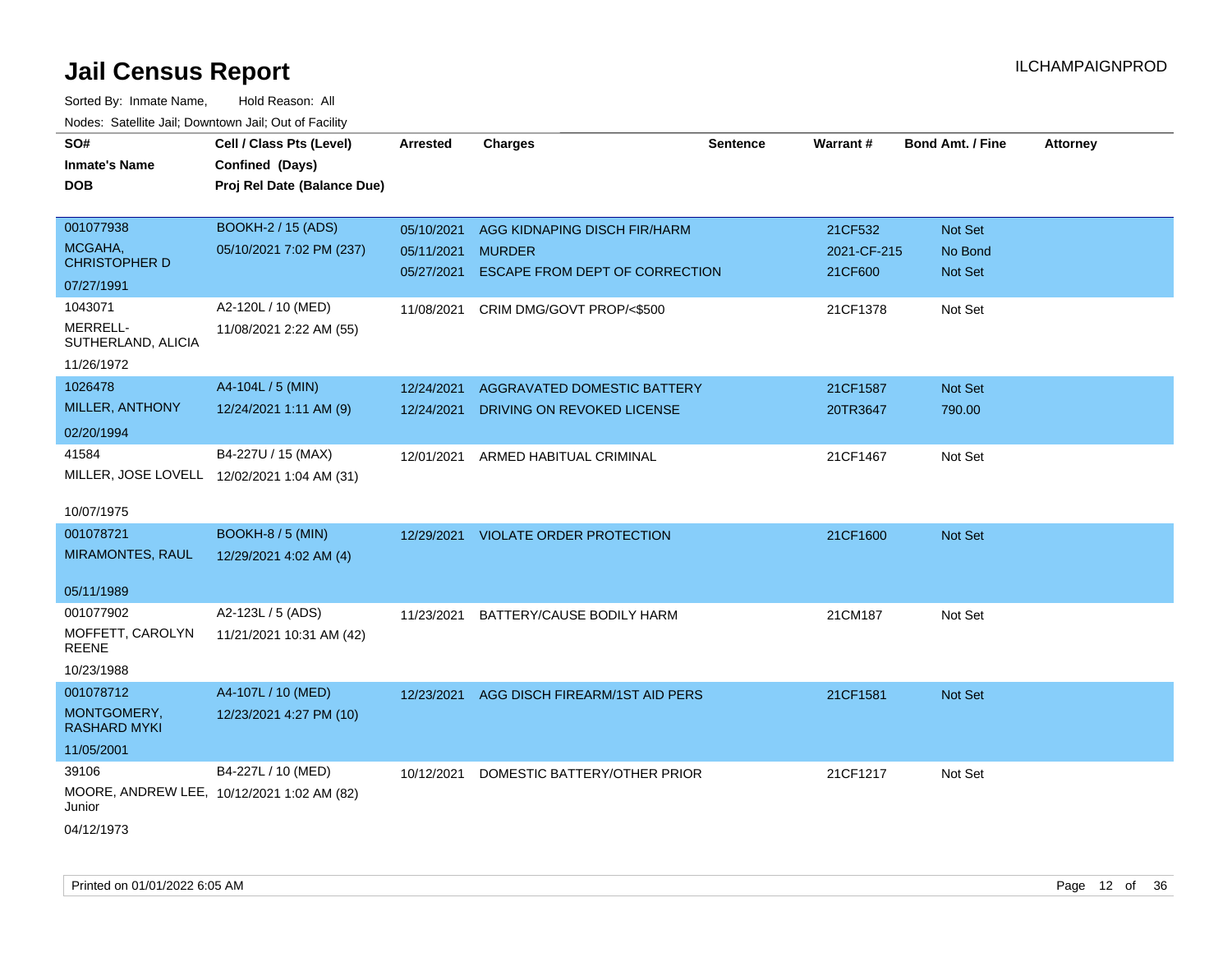| SO#                                         | Cell / Class Pts (Level)    | Arrested   | <b>Charges</b>                        | Sentence | Warrant#    | <b>Bond Amt. / Fine</b> | <b>Attorney</b> |
|---------------------------------------------|-----------------------------|------------|---------------------------------------|----------|-------------|-------------------------|-----------------|
| <b>Inmate's Name</b>                        | Confined (Days)             |            |                                       |          |             |                         |                 |
| <b>DOB</b>                                  | Proj Rel Date (Balance Due) |            |                                       |          |             |                         |                 |
|                                             |                             |            |                                       |          |             |                         |                 |
| 001077938                                   | <b>BOOKH-2 / 15 (ADS)</b>   | 05/10/2021 | AGG KIDNAPING DISCH FIR/HARM          |          | 21CF532     | Not Set                 |                 |
| MCGAHA,                                     | 05/10/2021 7:02 PM (237)    | 05/11/2021 | <b>MURDER</b>                         |          | 2021-CF-215 | No Bond                 |                 |
| <b>CHRISTOPHER D</b>                        |                             | 05/27/2021 | <b>ESCAPE FROM DEPT OF CORRECTION</b> |          | 21CF600     | Not Set                 |                 |
| 07/27/1991                                  |                             |            |                                       |          |             |                         |                 |
| 1043071                                     | A2-120L / 10 (MED)          | 11/08/2021 | CRIM DMG/GOVT PROP/<\$500             |          | 21CF1378    | Not Set                 |                 |
| MERRELL-<br>SUTHERLAND, ALICIA              | 11/08/2021 2:22 AM (55)     |            |                                       |          |             |                         |                 |
| 11/26/1972                                  |                             |            |                                       |          |             |                         |                 |
| 1026478                                     | A4-104L / 5 (MIN)           | 12/24/2021 | AGGRAVATED DOMESTIC BATTERY           |          | 21CF1587    | Not Set                 |                 |
| MILLER, ANTHONY                             | 12/24/2021 1:11 AM (9)      | 12/24/2021 | DRIVING ON REVOKED LICENSE            |          | 20TR3647    | 790.00                  |                 |
| 02/20/1994                                  |                             |            |                                       |          |             |                         |                 |
| 41584                                       | B4-227U / 15 (MAX)          | 12/01/2021 | ARMED HABITUAL CRIMINAL               |          | 21CF1467    | Not Set                 |                 |
| MILLER, JOSE LOVELL 12/02/2021 1:04 AM (31) |                             |            |                                       |          |             |                         |                 |
|                                             |                             |            |                                       |          |             |                         |                 |
| 10/07/1975                                  |                             |            |                                       |          |             |                         |                 |
| 001078721                                   | <b>BOOKH-8 / 5 (MIN)</b>    | 12/29/2021 | <b>VIOLATE ORDER PROTECTION</b>       |          | 21CF1600    | Not Set                 |                 |
| <b>MIRAMONTES, RAUL</b>                     | 12/29/2021 4:02 AM (4)      |            |                                       |          |             |                         |                 |
|                                             |                             |            |                                       |          |             |                         |                 |
| 05/11/1989                                  |                             |            |                                       |          |             |                         |                 |
| 001077902                                   | A2-123L / 5 (ADS)           | 11/23/2021 | BATTERY/CAUSE BODILY HARM             |          | 21CM187     | Not Set                 |                 |
| MOFFETT, CAROLYN                            | 11/21/2021 10:31 AM (42)    |            |                                       |          |             |                         |                 |
| REENE                                       |                             |            |                                       |          |             |                         |                 |
| 10/23/1988                                  |                             |            |                                       |          |             |                         |                 |
| 001078712                                   | A4-107L / 10 (MED)          | 12/23/2021 | AGG DISCH FIREARM/1ST AID PERS        |          | 21CF1581    | Not Set                 |                 |
| MONTGOMERY,<br><b>RASHARD MYKI</b>          | 12/23/2021 4:27 PM (10)     |            |                                       |          |             |                         |                 |
| 11/05/2001                                  |                             |            |                                       |          |             |                         |                 |
| 39106                                       | B4-227L / 10 (MED)          | 10/12/2021 | DOMESTIC BATTERY/OTHER PRIOR          |          | 21CF1217    | Not Set                 |                 |
| MOORE, ANDREW LEE, 10/12/2021 1:02 AM (82)  |                             |            |                                       |          |             |                         |                 |
| Junior                                      |                             |            |                                       |          |             |                         |                 |
| 04/12/1973                                  |                             |            |                                       |          |             |                         |                 |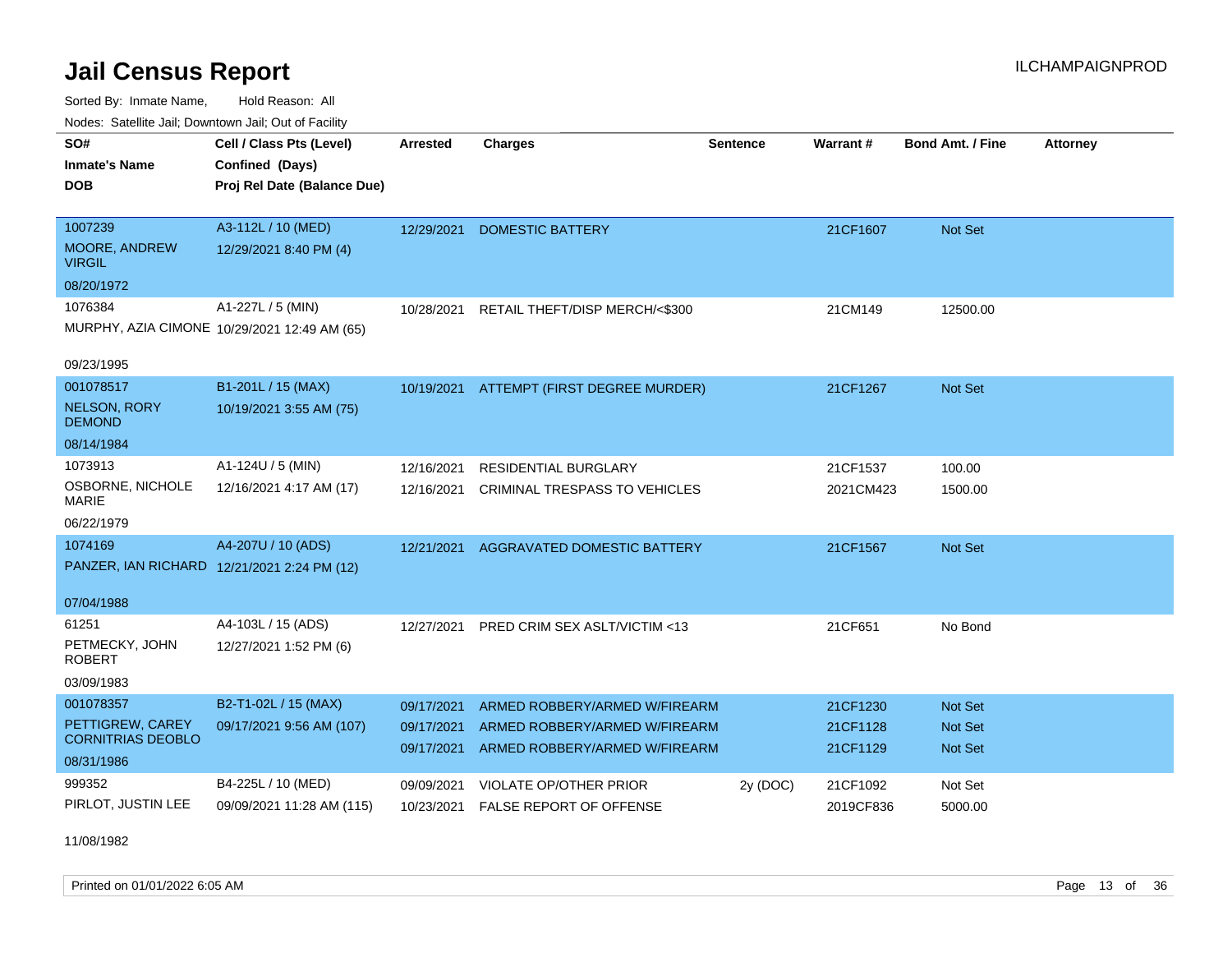Sorted By: Inmate Name, Hold Reason: All Nodes: Satellite Jail; Downtown Jail; Out of Facility

| Noucs. Catchitic sail, Downtown sail, Out of Facility |                                              |                 |                                          |                 |           |                         |                 |
|-------------------------------------------------------|----------------------------------------------|-----------------|------------------------------------------|-----------------|-----------|-------------------------|-----------------|
| SO#                                                   | Cell / Class Pts (Level)                     | <b>Arrested</b> | <b>Charges</b>                           | <b>Sentence</b> | Warrant#  | <b>Bond Amt. / Fine</b> | <b>Attorney</b> |
| <b>Inmate's Name</b>                                  | Confined (Days)                              |                 |                                          |                 |           |                         |                 |
| <b>DOB</b>                                            | Proj Rel Date (Balance Due)                  |                 |                                          |                 |           |                         |                 |
|                                                       |                                              |                 |                                          |                 |           |                         |                 |
| 1007239                                               | A3-112L / 10 (MED)                           | 12/29/2021      | <b>DOMESTIC BATTERY</b>                  |                 | 21CF1607  | Not Set                 |                 |
| MOORE, ANDREW<br><b>VIRGIL</b>                        | 12/29/2021 8:40 PM (4)                       |                 |                                          |                 |           |                         |                 |
| 08/20/1972                                            |                                              |                 |                                          |                 |           |                         |                 |
| 1076384                                               | A1-227L / 5 (MIN)                            | 10/28/2021      | RETAIL THEFT/DISP MERCH/<\$300           |                 | 21CM149   | 12500.00                |                 |
|                                                       | MURPHY, AZIA CIMONE 10/29/2021 12:49 AM (65) |                 |                                          |                 |           |                         |                 |
|                                                       |                                              |                 |                                          |                 |           |                         |                 |
| 09/23/1995                                            |                                              |                 |                                          |                 |           |                         |                 |
| 001078517                                             | B1-201L / 15 (MAX)                           |                 | 10/19/2021 ATTEMPT (FIRST DEGREE MURDER) |                 | 21CF1267  | Not Set                 |                 |
| NELSON, RORY<br><b>DEMOND</b>                         | 10/19/2021 3:55 AM (75)                      |                 |                                          |                 |           |                         |                 |
| 08/14/1984                                            |                                              |                 |                                          |                 |           |                         |                 |
| 1073913                                               | A1-124U / 5 (MIN)                            | 12/16/2021      | <b>RESIDENTIAL BURGLARY</b>              |                 | 21CF1537  | 100.00                  |                 |
| OSBORNE, NICHOLE<br><b>MARIE</b>                      | 12/16/2021 4:17 AM (17)                      | 12/16/2021      | <b>CRIMINAL TRESPASS TO VEHICLES</b>     |                 | 2021CM423 | 1500.00                 |                 |
| 06/22/1979                                            |                                              |                 |                                          |                 |           |                         |                 |
| 1074169                                               | A4-207U / 10 (ADS)                           | 12/21/2021      | AGGRAVATED DOMESTIC BATTERY              |                 | 21CF1567  | Not Set                 |                 |
| PANZER, IAN RICHARD 12/21/2021 2:24 PM (12)           |                                              |                 |                                          |                 |           |                         |                 |
|                                                       |                                              |                 |                                          |                 |           |                         |                 |
| 07/04/1988                                            |                                              |                 |                                          |                 |           |                         |                 |
| 61251                                                 | A4-103L / 15 (ADS)                           | 12/27/2021      | PRED CRIM SEX ASLT/VICTIM <13            |                 | 21CF651   | No Bond                 |                 |
| PETMECKY, JOHN<br><b>ROBERT</b>                       | 12/27/2021 1:52 PM (6)                       |                 |                                          |                 |           |                         |                 |
| 03/09/1983                                            |                                              |                 |                                          |                 |           |                         |                 |
| 001078357                                             | B2-T1-02L / 15 (MAX)                         | 09/17/2021      | ARMED ROBBERY/ARMED W/FIREARM            |                 | 21CF1230  | <b>Not Set</b>          |                 |
| PETTIGREW, CAREY                                      | 09/17/2021 9:56 AM (107)                     | 09/17/2021      | ARMED ROBBERY/ARMED W/FIREARM            |                 | 21CF1128  | Not Set                 |                 |
| <b>CORNITRIAS DEOBLO</b>                              |                                              |                 | 09/17/2021 ARMED ROBBERY/ARMED W/FIREARM |                 | 21CF1129  | Not Set                 |                 |
| 08/31/1986                                            |                                              |                 |                                          |                 |           |                         |                 |
| 999352                                                | B4-225L / 10 (MED)                           | 09/09/2021      | VIOLATE OP/OTHER PRIOR                   | 2y (DOC)        | 21CF1092  | Not Set                 |                 |
| PIRLOT, JUSTIN LEE                                    | 09/09/2021 11:28 AM (115)                    | 10/23/2021      | FALSE REPORT OF OFFENSE                  |                 | 2019CF836 | 5000.00                 |                 |

11/08/1982

Printed on 01/01/2022 6:05 AM **Page 13** of 36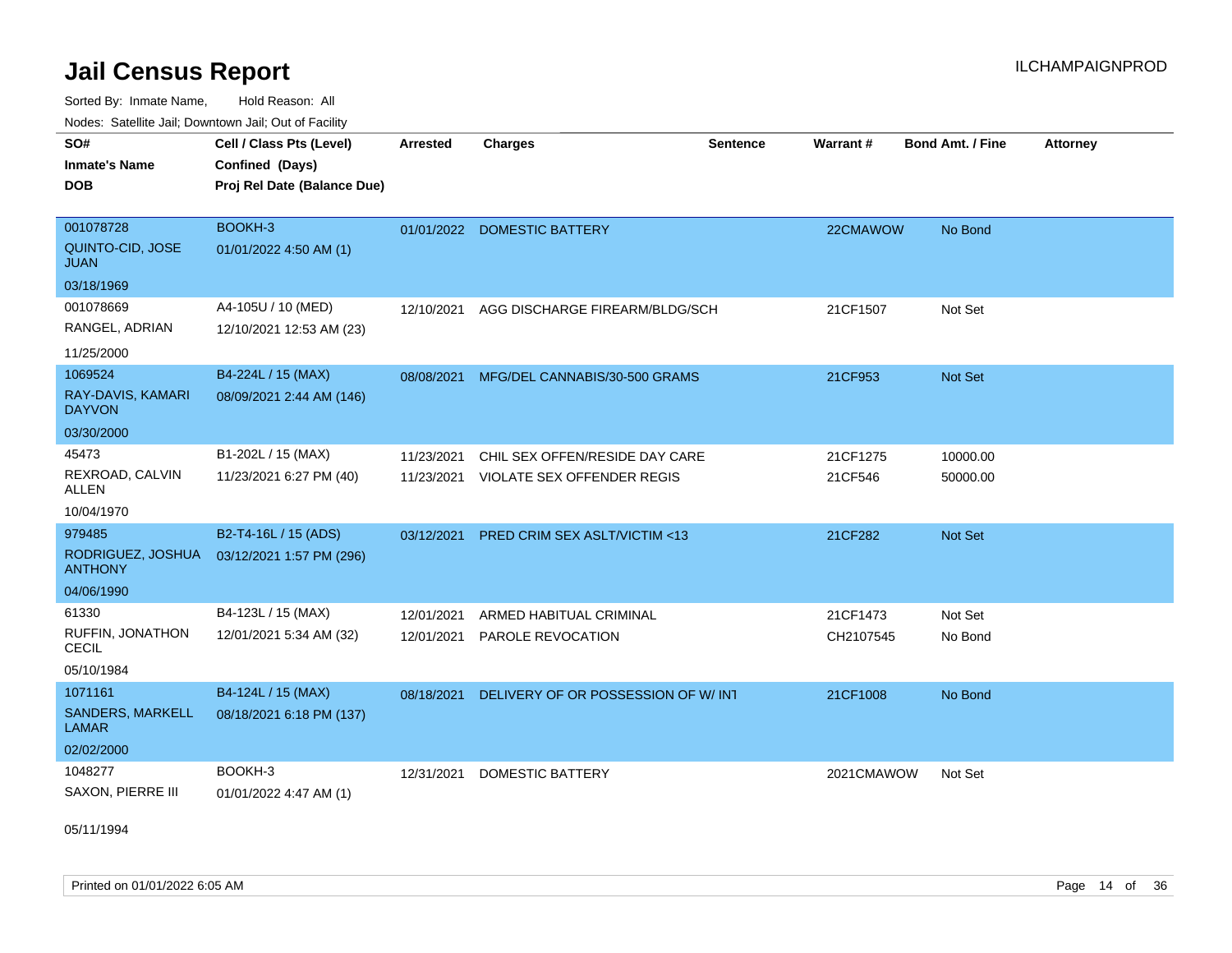Sorted By: Inmate Name, Hold Reason: All Nodes: Satellite Jail; Downtown Jail; Out of Facility

| SO#<br><b>Inmate's Name</b><br><b>DOB</b> | Cell / Class Pts (Level)<br>Confined (Days)<br>Proj Rel Date (Balance Due) | Arrested   | <b>Charges</b>                      | Sentence | Warrant#   | <b>Bond Amt. / Fine</b> | <b>Attorney</b> |
|-------------------------------------------|----------------------------------------------------------------------------|------------|-------------------------------------|----------|------------|-------------------------|-----------------|
| 001078728                                 | BOOKH-3                                                                    |            | 01/01/2022 DOMESTIC BATTERY         |          | 22CMAWOW   | No Bond                 |                 |
| QUINTO-CID, JOSE<br><b>JUAN</b>           | 01/01/2022 4:50 AM (1)                                                     |            |                                     |          |            |                         |                 |
| 03/18/1969                                |                                                                            |            |                                     |          |            |                         |                 |
| 001078669                                 | A4-105U / 10 (MED)                                                         | 12/10/2021 | AGG DISCHARGE FIREARM/BLDG/SCH      |          | 21CF1507   | Not Set                 |                 |
| RANGEL, ADRIAN                            | 12/10/2021 12:53 AM (23)                                                   |            |                                     |          |            |                         |                 |
| 11/25/2000                                |                                                                            |            |                                     |          |            |                         |                 |
| 1069524                                   | B4-224L / 15 (MAX)                                                         | 08/08/2021 | MFG/DEL CANNABIS/30-500 GRAMS       |          | 21CF953    | Not Set                 |                 |
| RAY-DAVIS, KAMARI<br><b>DAYVON</b>        | 08/09/2021 2:44 AM (146)                                                   |            |                                     |          |            |                         |                 |
| 03/30/2000                                |                                                                            |            |                                     |          |            |                         |                 |
| 45473                                     | B1-202L / 15 (MAX)                                                         | 11/23/2021 | CHIL SEX OFFEN/RESIDE DAY CARE      |          | 21CF1275   | 10000.00                |                 |
| REXROAD, CALVIN<br><b>ALLEN</b>           | 11/23/2021 6:27 PM (40)                                                    | 11/23/2021 | <b>VIOLATE SEX OFFENDER REGIS</b>   |          | 21CF546    | 50000.00                |                 |
| 10/04/1970                                |                                                                            |            |                                     |          |            |                         |                 |
| 979485                                    | B2-T4-16L / 15 (ADS)                                                       | 03/12/2021 | PRED CRIM SEX ASLT/VICTIM <13       |          | 21CF282    | Not Set                 |                 |
| RODRIGUEZ, JOSHUA<br><b>ANTHONY</b>       | 03/12/2021 1:57 PM (296)                                                   |            |                                     |          |            |                         |                 |
| 04/06/1990                                |                                                                            |            |                                     |          |            |                         |                 |
| 61330                                     | B4-123L / 15 (MAX)                                                         | 12/01/2021 | ARMED HABITUAL CRIMINAL             |          | 21CF1473   | Not Set                 |                 |
| RUFFIN, JONATHON<br><b>CECIL</b>          | 12/01/2021 5:34 AM (32)                                                    | 12/01/2021 | PAROLE REVOCATION                   |          | CH2107545  | No Bond                 |                 |
| 05/10/1984                                |                                                                            |            |                                     |          |            |                         |                 |
| 1071161                                   | B4-124L / 15 (MAX)                                                         | 08/18/2021 | DELIVERY OF OR POSSESSION OF W/ INT |          | 21CF1008   | No Bond                 |                 |
| SANDERS, MARKELL<br><b>LAMAR</b>          | 08/18/2021 6:18 PM (137)                                                   |            |                                     |          |            |                         |                 |
| 02/02/2000                                |                                                                            |            |                                     |          |            |                         |                 |
| 1048277                                   | BOOKH-3                                                                    | 12/31/2021 | <b>DOMESTIC BATTERY</b>             |          | 2021CMAWOW | Not Set                 |                 |
| SAXON, PIERRE III                         | 01/01/2022 4:47 AM (1)                                                     |            |                                     |          |            |                         |                 |

05/11/1994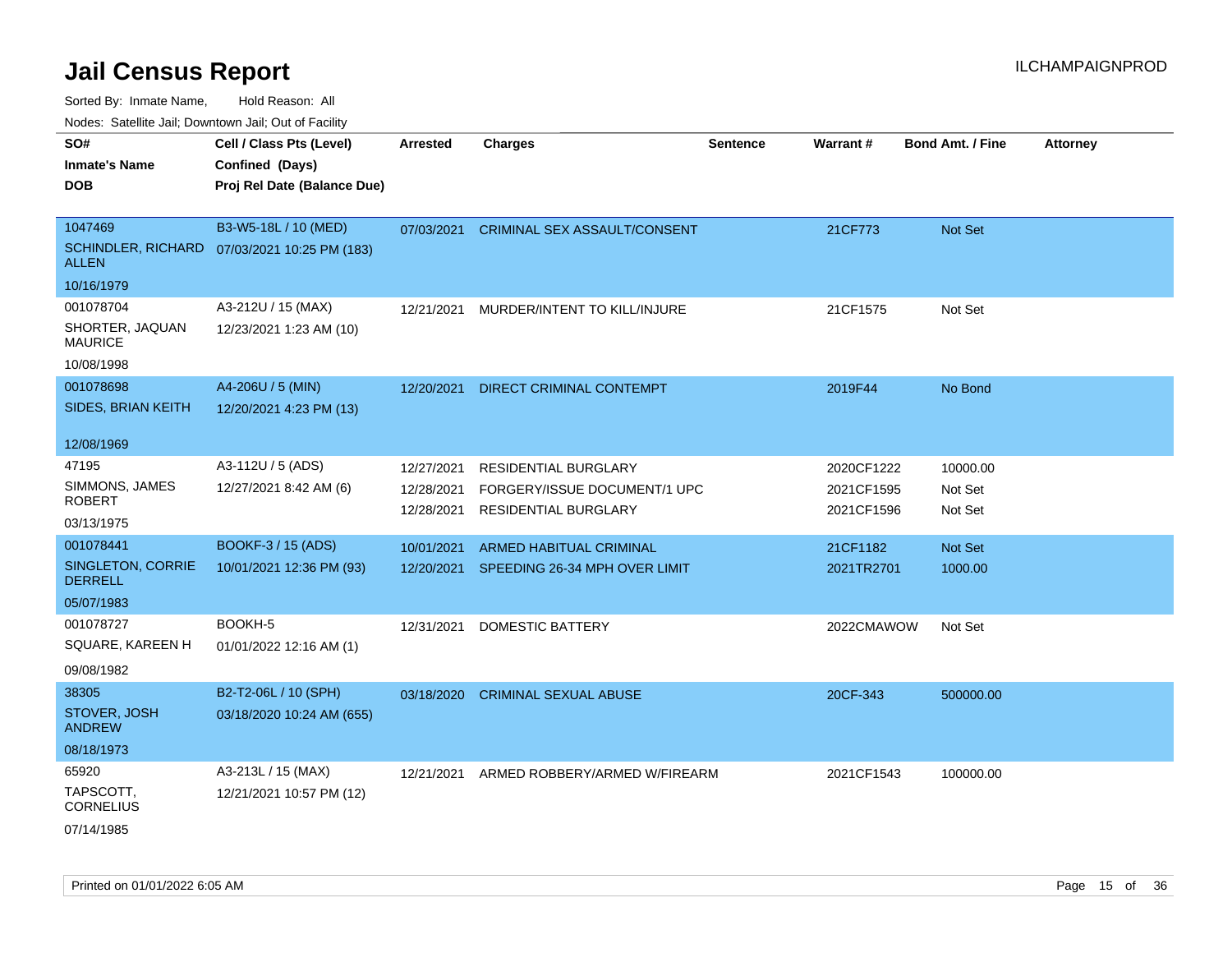Sorted By: Inmate Name, Hold Reason: All

Nodes: Satellite Jail; Downtown Jail; Out of Facility

| SO#                                        | Cell / Class Pts (Level)                     | <b>Arrested</b> | <b>Charges</b>                | <b>Sentence</b> | Warrant#   | <b>Bond Amt. / Fine</b> | <b>Attorney</b> |
|--------------------------------------------|----------------------------------------------|-----------------|-------------------------------|-----------------|------------|-------------------------|-----------------|
| <b>Inmate's Name</b>                       | Confined (Days)                              |                 |                               |                 |            |                         |                 |
| <b>DOB</b>                                 | Proj Rel Date (Balance Due)                  |                 |                               |                 |            |                         |                 |
|                                            |                                              |                 |                               |                 |            |                         |                 |
| 1047469                                    | B3-W5-18L / 10 (MED)                         | 07/03/2021      | CRIMINAL SEX ASSAULT/CONSENT  |                 | 21CF773    | Not Set                 |                 |
| <b>ALLEN</b>                               | SCHINDLER, RICHARD 07/03/2021 10:25 PM (183) |                 |                               |                 |            |                         |                 |
| 10/16/1979                                 |                                              |                 |                               |                 |            |                         |                 |
| 001078704                                  | A3-212U / 15 (MAX)                           | 12/21/2021      | MURDER/INTENT TO KILL/INJURE  |                 | 21CF1575   | Not Set                 |                 |
| SHORTER, JAQUAN<br><b>MAURICE</b>          | 12/23/2021 1:23 AM (10)                      |                 |                               |                 |            |                         |                 |
| 10/08/1998                                 |                                              |                 |                               |                 |            |                         |                 |
| 001078698                                  | A4-206U / 5 (MIN)                            | 12/20/2021      | DIRECT CRIMINAL CONTEMPT      |                 | 2019F44    | No Bond                 |                 |
| SIDES, BRIAN KEITH                         | 12/20/2021 4:23 PM (13)                      |                 |                               |                 |            |                         |                 |
|                                            |                                              |                 |                               |                 |            |                         |                 |
| 12/08/1969                                 |                                              |                 |                               |                 |            |                         |                 |
| 47195                                      | A3-112U / 5 (ADS)                            | 12/27/2021      | <b>RESIDENTIAL BURGLARY</b>   |                 | 2020CF1222 | 10000.00                |                 |
| SIMMONS, JAMES                             | 12/27/2021 8:42 AM (6)                       | 12/28/2021      | FORGERY/ISSUE DOCUMENT/1 UPC  |                 | 2021CF1595 | Not Set                 |                 |
| <b>ROBERT</b>                              |                                              | 12/28/2021      | RESIDENTIAL BURGLARY          |                 | 2021CF1596 | Not Set                 |                 |
| 03/13/1975                                 |                                              |                 |                               |                 |            |                         |                 |
| 001078441                                  | <b>BOOKF-3 / 15 (ADS)</b>                    | 10/01/2021      | ARMED HABITUAL CRIMINAL       |                 | 21CF1182   | Not Set                 |                 |
| <b>SINGLETON, CORRIE</b><br><b>DERRELL</b> | 10/01/2021 12:36 PM (93)                     | 12/20/2021      | SPEEDING 26-34 MPH OVER LIMIT |                 | 2021TR2701 | 1000.00                 |                 |
| 05/07/1983                                 |                                              |                 |                               |                 |            |                         |                 |
| 001078727                                  | BOOKH-5                                      | 12/31/2021      | <b>DOMESTIC BATTERY</b>       |                 | 2022CMAWOW | Not Set                 |                 |
| SQUARE, KAREEN H                           | 01/01/2022 12:16 AM (1)                      |                 |                               |                 |            |                         |                 |
| 09/08/1982                                 |                                              |                 |                               |                 |            |                         |                 |
| 38305                                      | B2-T2-06L / 10 (SPH)                         | 03/18/2020      | <b>CRIMINAL SEXUAL ABUSE</b>  |                 | 20CF-343   | 500000.00               |                 |
| STOVER, JOSH<br><b>ANDREW</b>              | 03/18/2020 10:24 AM (655)                    |                 |                               |                 |            |                         |                 |
| 08/18/1973                                 |                                              |                 |                               |                 |            |                         |                 |
| 65920                                      | A3-213L / 15 (MAX)                           | 12/21/2021      | ARMED ROBBERY/ARMED W/FIREARM |                 | 2021CF1543 | 100000.00               |                 |
| TAPSCOTT,<br><b>CORNELIUS</b>              | 12/21/2021 10:57 PM (12)                     |                 |                               |                 |            |                         |                 |
| 07/14/1985                                 |                                              |                 |                               |                 |            |                         |                 |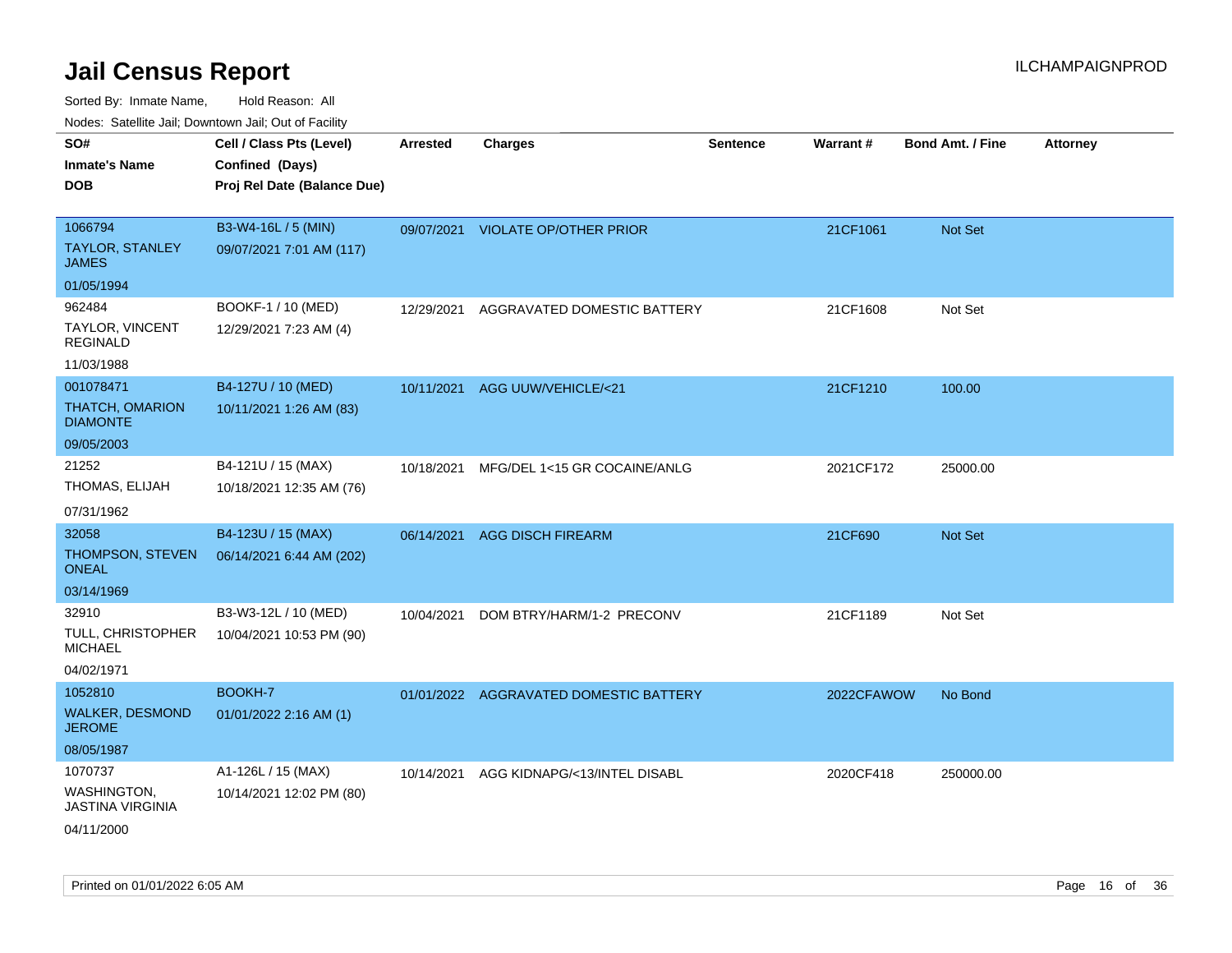| rougs. Calcinic Jan, Downtown Jan, Out of Facility                              |                                                                            |                 |                                        |                 |            |                  |                 |
|---------------------------------------------------------------------------------|----------------------------------------------------------------------------|-----------------|----------------------------------------|-----------------|------------|------------------|-----------------|
| SO#<br><b>Inmate's Name</b><br><b>DOB</b>                                       | Cell / Class Pts (Level)<br>Confined (Days)<br>Proj Rel Date (Balance Due) | <b>Arrested</b> | <b>Charges</b>                         | <b>Sentence</b> | Warrant#   | Bond Amt. / Fine | <b>Attorney</b> |
| 1066794<br><b>TAYLOR, STANLEY</b><br><b>JAMES</b>                               | B3-W4-16L / 5 (MIN)<br>09/07/2021 7:01 AM (117)                            |                 | 09/07/2021 VIOLATE OP/OTHER PRIOR      |                 | 21CF1061   | <b>Not Set</b>   |                 |
| 01/05/1994<br>962484<br><b>TAYLOR, VINCENT</b><br><b>REGINALD</b><br>11/03/1988 | BOOKF-1 / 10 (MED)<br>12/29/2021 7:23 AM (4)                               | 12/29/2021      | AGGRAVATED DOMESTIC BATTERY            |                 | 21CF1608   | Not Set          |                 |
| 001078471<br><b>THATCH, OMARION</b><br><b>DIAMONTE</b><br>09/05/2003            | B4-127U / 10 (MED)<br>10/11/2021 1:26 AM (83)                              | 10/11/2021      | AGG UUW/VEHICLE/<21                    |                 | 21CF1210   | 100.00           |                 |
| 21252<br>THOMAS, ELIJAH<br>07/31/1962                                           | B4-121U / 15 (MAX)<br>10/18/2021 12:35 AM (76)                             | 10/18/2021      | MFG/DEL 1<15 GR COCAINE/ANLG           |                 | 2021CF172  | 25000.00         |                 |
| 32058<br>THOMPSON, STEVEN<br><b>ONEAL</b><br>03/14/1969                         | B4-123U / 15 (MAX)<br>06/14/2021 6:44 AM (202)                             | 06/14/2021      | <b>AGG DISCH FIREARM</b>               |                 | 21CF690    | Not Set          |                 |
| 32910<br>TULL, CHRISTOPHER<br><b>MICHAEL</b><br>04/02/1971                      | B3-W3-12L / 10 (MED)<br>10/04/2021 10:53 PM (90)                           | 10/04/2021      | DOM BTRY/HARM/1-2 PRECONV              |                 | 21CF1189   | Not Set          |                 |
| 1052810<br><b>WALKER, DESMOND</b><br><b>JEROME</b><br>08/05/1987                | <b>BOOKH-7</b><br>01/01/2022 2:16 AM (1)                                   |                 | 01/01/2022 AGGRAVATED DOMESTIC BATTERY |                 | 2022CFAWOW | No Bond          |                 |
| 1070737<br>WASHINGTON,<br><b>JASTINA VIRGINIA</b><br>04/11/2000                 | A1-126L / 15 (MAX)<br>10/14/2021 12:02 PM (80)                             | 10/14/2021      | AGG KIDNAPG/<13/INTEL DISABL           |                 | 2020CF418  | 250000.00        |                 |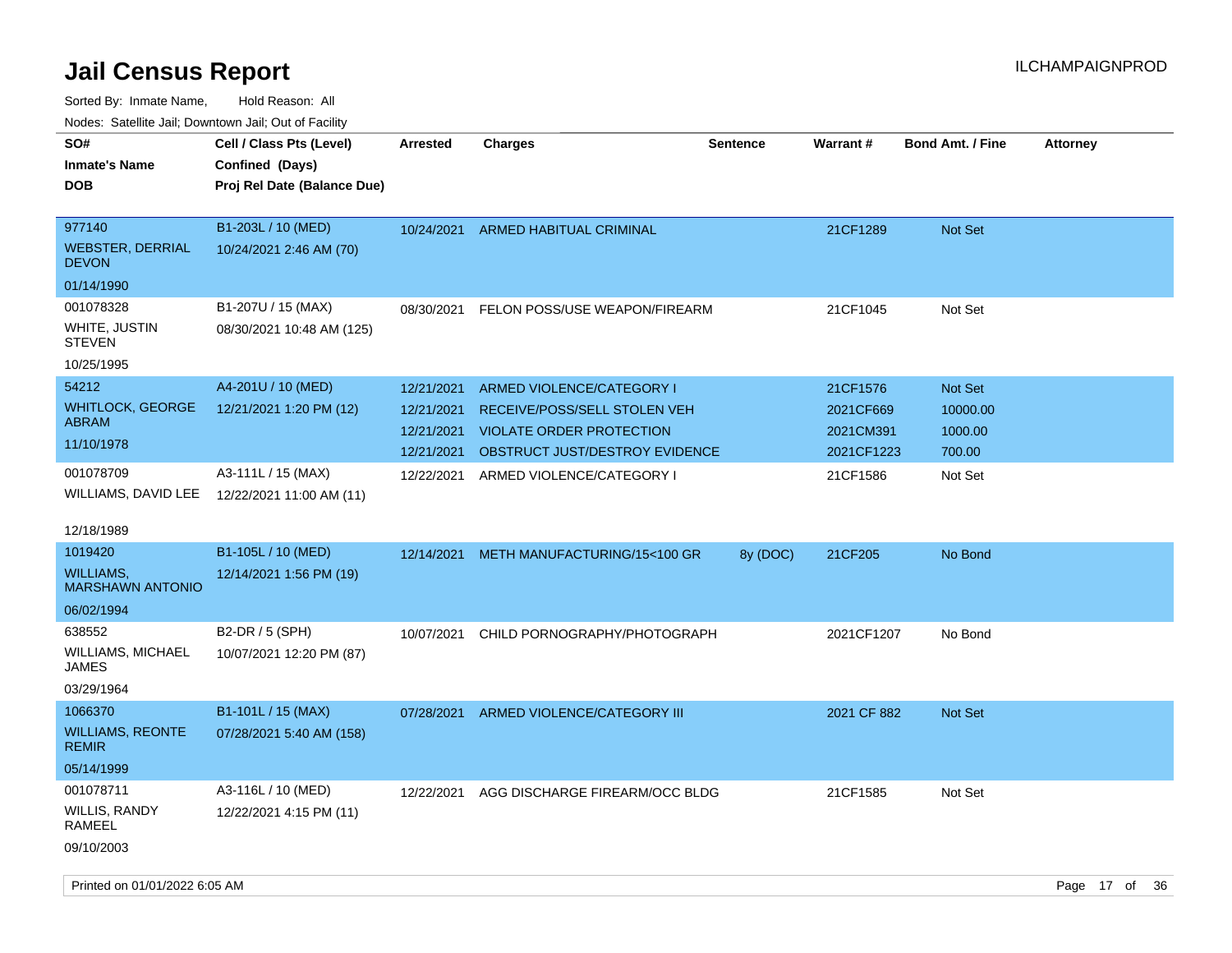| ivodes. Satellite Jali, Downtown Jali, Out of Facility |                             |                 |                                 |                 |             |                         |                 |     |
|--------------------------------------------------------|-----------------------------|-----------------|---------------------------------|-----------------|-------------|-------------------------|-----------------|-----|
| SO#                                                    | Cell / Class Pts (Level)    | <b>Arrested</b> | <b>Charges</b>                  | <b>Sentence</b> | Warrant#    | <b>Bond Amt. / Fine</b> | <b>Attorney</b> |     |
| Inmate's Name                                          | Confined (Days)             |                 |                                 |                 |             |                         |                 |     |
| <b>DOB</b>                                             | Proj Rel Date (Balance Due) |                 |                                 |                 |             |                         |                 |     |
|                                                        |                             |                 |                                 |                 |             |                         |                 |     |
| 977140                                                 | B1-203L / 10 (MED)          | 10/24/2021      | ARMED HABITUAL CRIMINAL         |                 | 21CF1289    | <b>Not Set</b>          |                 |     |
| WEBSTER, DERRIAL<br><b>DEVON</b>                       | 10/24/2021 2:46 AM (70)     |                 |                                 |                 |             |                         |                 |     |
| 01/14/1990                                             |                             |                 |                                 |                 |             |                         |                 |     |
| 001078328                                              | B1-207U / 15 (MAX)          | 08/30/2021      | FELON POSS/USE WEAPON/FIREARM   |                 | 21CF1045    | Not Set                 |                 |     |
| WHITE, JUSTIN<br>STEVEN                                | 08/30/2021 10:48 AM (125)   |                 |                                 |                 |             |                         |                 |     |
| 10/25/1995                                             |                             |                 |                                 |                 |             |                         |                 |     |
| 54212                                                  | A4-201U / 10 (MED)          | 12/21/2021      | ARMED VIOLENCE/CATEGORY I       |                 | 21CF1576    | <b>Not Set</b>          |                 |     |
| WHITLOCK, GEORGE                                       | 12/21/2021 1:20 PM (12)     | 12/21/2021      | RECEIVE/POSS/SELL STOLEN VEH    |                 | 2021CF669   | 10000.00                |                 |     |
| ABRAM                                                  |                             | 12/21/2021      | <b>VIOLATE ORDER PROTECTION</b> |                 | 2021CM391   | 1000.00                 |                 |     |
| 11/10/1978                                             |                             | 12/21/2021      | OBSTRUCT JUST/DESTROY EVIDENCE  |                 | 2021CF1223  | 700.00                  |                 |     |
| 001078709                                              | A3-111L / 15 (MAX)          | 12/22/2021      | ARMED VIOLENCE/CATEGORY I       |                 | 21CF1586    | Not Set                 |                 |     |
| WILLIAMS, DAVID LEE                                    | 12/22/2021 11:00 AM (11)    |                 |                                 |                 |             |                         |                 |     |
|                                                        |                             |                 |                                 |                 |             |                         |                 |     |
| 12/18/1989                                             |                             |                 |                                 |                 |             |                         |                 |     |
| 1019420                                                | B1-105L / 10 (MED)          | 12/14/2021      | METH MANUFACTURING/15<100 GR    | 8y (DOC)        | 21CF205     | No Bond                 |                 |     |
| WILLIAMS.<br><b>MARSHAWN ANTONIO</b>                   | 12/14/2021 1:56 PM (19)     |                 |                                 |                 |             |                         |                 |     |
| 06/02/1994                                             |                             |                 |                                 |                 |             |                         |                 |     |
| 638552                                                 | B2-DR / 5 (SPH)             | 10/07/2021      | CHILD PORNOGRAPHY/PHOTOGRAPH    |                 | 2021CF1207  | No Bond                 |                 |     |
| WILLIAMS, MICHAEL<br>JAMES                             | 10/07/2021 12:20 PM (87)    |                 |                                 |                 |             |                         |                 |     |
| 03/29/1964                                             |                             |                 |                                 |                 |             |                         |                 |     |
| 1066370                                                | B1-101L / 15 (MAX)          | 07/28/2021      | ARMED VIOLENCE/CATEGORY III     |                 | 2021 CF 882 | <b>Not Set</b>          |                 |     |
| <b>WILLIAMS, REONTE</b><br><b>REMIR</b>                | 07/28/2021 5:40 AM (158)    |                 |                                 |                 |             |                         |                 |     |
| 05/14/1999                                             |                             |                 |                                 |                 |             |                         |                 |     |
| 001078711                                              | A3-116L / 10 (MED)          | 12/22/2021      | AGG DISCHARGE FIREARM/OCC BLDG  |                 | 21CF1585    | Not Set                 |                 |     |
| WILLIS, RANDY<br>RAMEEL                                | 12/22/2021 4:15 PM (11)     |                 |                                 |                 |             |                         |                 |     |
| 09/10/2003                                             |                             |                 |                                 |                 |             |                         |                 |     |
|                                                        |                             |                 |                                 |                 |             |                         |                 |     |
| Printed on 01/01/2022 6:05 AM                          |                             |                 |                                 |                 |             |                         | Page 17 of      | -36 |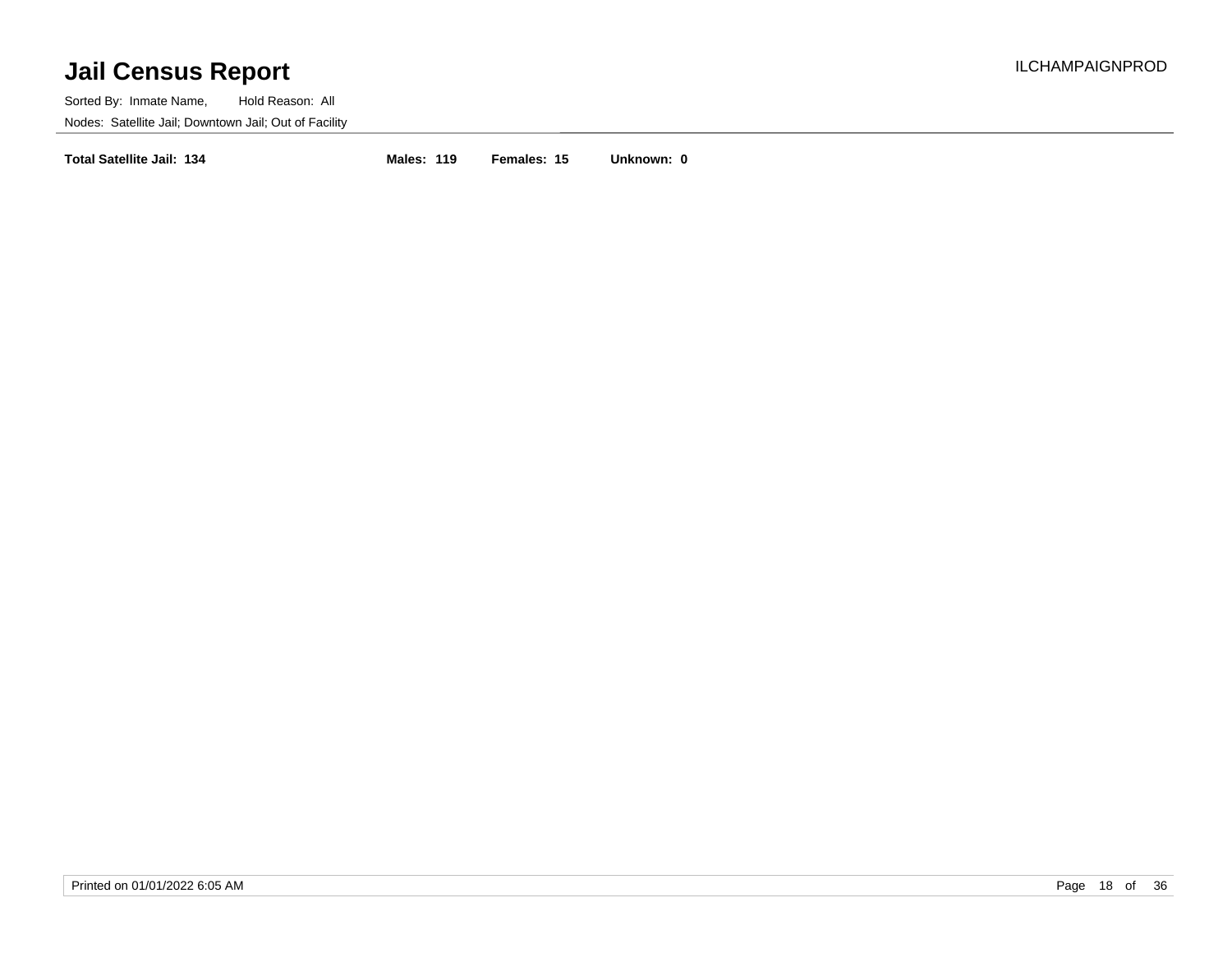Sorted By: Inmate Name, Hold Reason: All Nodes: Satellite Jail; Downtown Jail; Out of Facility

**Total Satellite Jail: 134 Males: 119 Females: 15 Unknown: 0**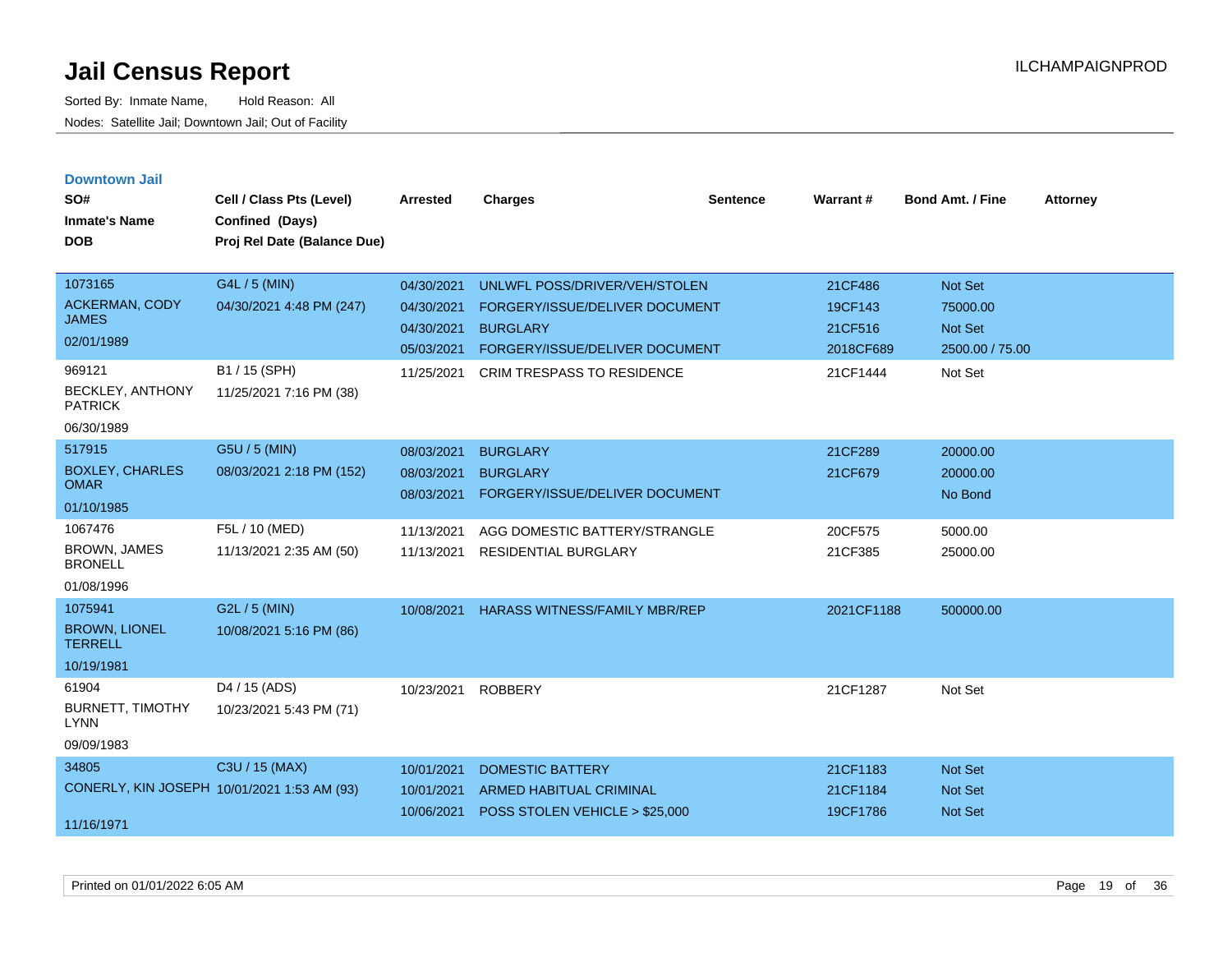| <b>Downtown Jail</b><br>SO#<br><b>Inmate's Name</b><br><b>DOB</b>                                   | Cell / Class Pts (Level)<br>Confined (Days)<br>Proj Rel Date (Balance Due)            | Arrested                                                           | <b>Charges</b>                                                                                                                                            | <b>Sentence</b> | <b>Warrant#</b>                                        | <b>Bond Amt. / Fine</b>                                             | <b>Attorney</b> |
|-----------------------------------------------------------------------------------------------------|---------------------------------------------------------------------------------------|--------------------------------------------------------------------|-----------------------------------------------------------------------------------------------------------------------------------------------------------|-----------------|--------------------------------------------------------|---------------------------------------------------------------------|-----------------|
| 1073165<br><b>ACKERMAN, CODY</b><br><b>JAMES</b><br>02/01/1989<br>969121<br><b>BECKLEY, ANTHONY</b> | G4L / 5 (MIN)<br>04/30/2021 4:48 PM (247)<br>B1 / 15 (SPH)<br>11/25/2021 7:16 PM (38) | 04/30/2021<br>04/30/2021<br>04/30/2021<br>05/03/2021<br>11/25/2021 | UNLWFL POSS/DRIVER/VEH/STOLEN<br>FORGERY/ISSUE/DELIVER DOCUMENT<br><b>BURGLARY</b><br>FORGERY/ISSUE/DELIVER DOCUMENT<br><b>CRIM TRESPASS TO RESIDENCE</b> |                 | 21CF486<br>19CF143<br>21CF516<br>2018CF689<br>21CF1444 | Not Set<br>75000.00<br><b>Not Set</b><br>2500.00 / 75.00<br>Not Set |                 |
| <b>PATRICK</b><br>06/30/1989                                                                        |                                                                                       |                                                                    |                                                                                                                                                           |                 |                                                        |                                                                     |                 |
| 517915<br><b>BOXLEY, CHARLES</b><br><b>OMAR</b><br>01/10/1985                                       | G5U / 5 (MIN)<br>08/03/2021 2:18 PM (152)                                             | 08/03/2021<br>08/03/2021<br>08/03/2021                             | <b>BURGLARY</b><br><b>BURGLARY</b><br>FORGERY/ISSUE/DELIVER DOCUMENT                                                                                      |                 | 21CF289<br>21CF679                                     | 20000.00<br>20000.00<br>No Bond                                     |                 |
| 1067476<br><b>BROWN, JAMES</b><br><b>BRONELL</b><br>01/08/1996                                      | F5L / 10 (MED)<br>11/13/2021 2:35 AM (50)                                             | 11/13/2021<br>11/13/2021                                           | AGG DOMESTIC BATTERY/STRANGLE<br><b>RESIDENTIAL BURGLARY</b>                                                                                              |                 | 20CF575<br>21CF385                                     | 5000.00<br>25000.00                                                 |                 |
| 1075941<br><b>BROWN, LIONEL</b><br><b>TERRELL</b><br>10/19/1981                                     | G2L / 5 (MIN)<br>10/08/2021 5:16 PM (86)                                              | 10/08/2021                                                         | <b>HARASS WITNESS/FAMILY MBR/REP</b>                                                                                                                      |                 | 2021CF1188                                             | 500000.00                                                           |                 |
| 61904<br><b>BURNETT, TIMOTHY</b><br><b>LYNN</b><br>09/09/1983                                       | D4 / 15 (ADS)<br>10/23/2021 5:43 PM (71)                                              | 10/23/2021                                                         | <b>ROBBERY</b>                                                                                                                                            |                 | 21CF1287                                               | Not Set                                                             |                 |
| 34805<br>CONERLY, KIN JOSEPH 10/01/2021 1:53 AM (93)<br>11/16/1971                                  | C3U / 15 (MAX)                                                                        | 10/01/2021<br>10/01/2021<br>10/06/2021                             | <b>DOMESTIC BATTERY</b><br><b>ARMED HABITUAL CRIMINAL</b><br>POSS STOLEN VEHICLE > \$25,000                                                               |                 | 21CF1183<br>21CF1184<br>19CF1786                       | <b>Not Set</b><br><b>Not Set</b><br><b>Not Set</b>                  |                 |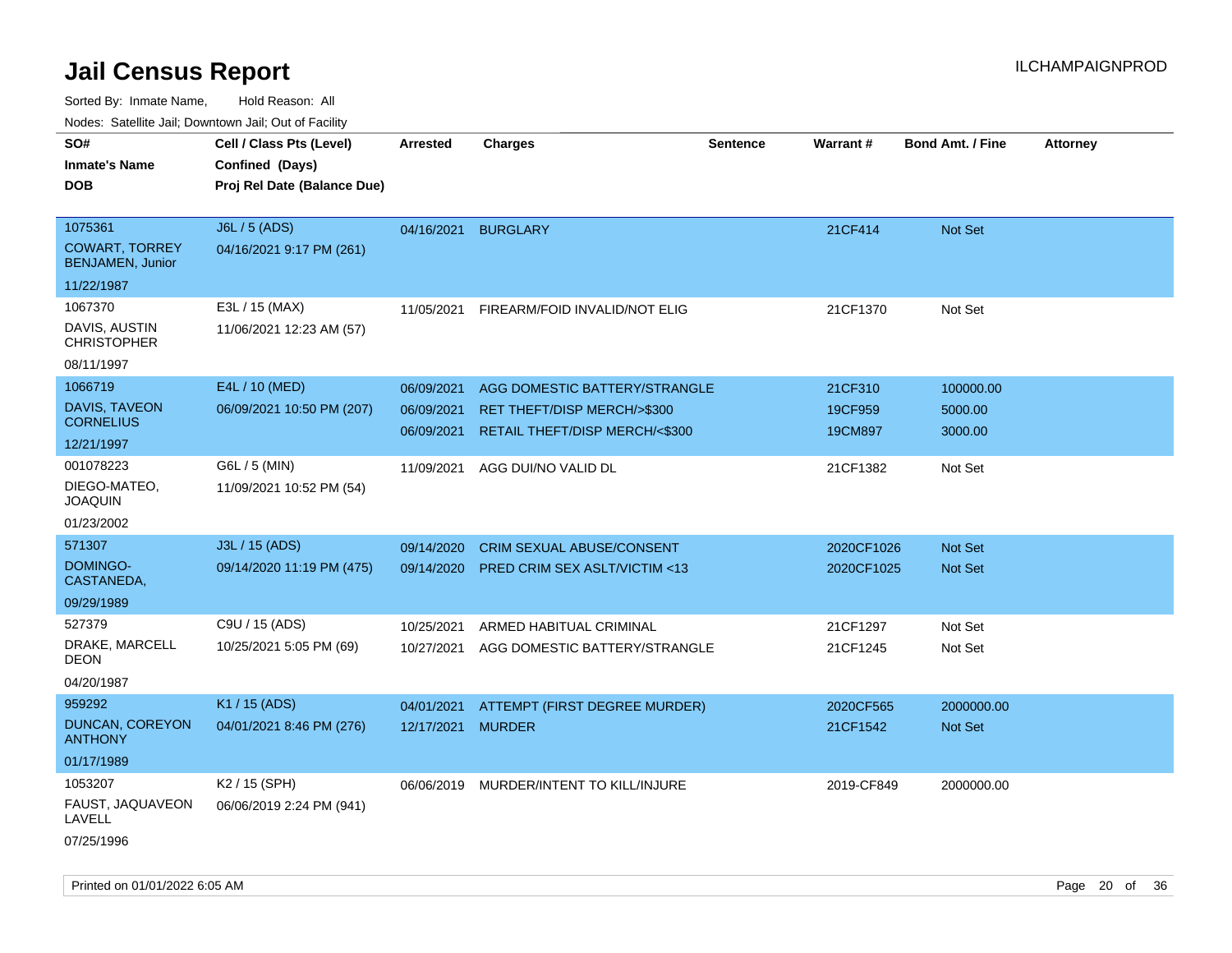| roucs. Calcillic Jali, Downtown Jali, Out of Facility |                                             |                     |                                         |                 |            |                         |                 |
|-------------------------------------------------------|---------------------------------------------|---------------------|-----------------------------------------|-----------------|------------|-------------------------|-----------------|
| SO#<br><b>Inmate's Name</b>                           | Cell / Class Pts (Level)<br>Confined (Days) | <b>Arrested</b>     | <b>Charges</b>                          | <b>Sentence</b> | Warrant#   | <b>Bond Amt. / Fine</b> | <b>Attorney</b> |
| <b>DOB</b>                                            | Proj Rel Date (Balance Due)                 |                     |                                         |                 |            |                         |                 |
| 1075361                                               | J6L / 5 (ADS)                               | 04/16/2021 BURGLARY |                                         |                 | 21CF414    | Not Set                 |                 |
| <b>COWART, TORREY</b><br><b>BENJAMEN, Junior</b>      | 04/16/2021 9:17 PM (261)                    |                     |                                         |                 |            |                         |                 |
| 11/22/1987                                            |                                             |                     |                                         |                 |            |                         |                 |
| 1067370                                               | E3L / 15 (MAX)                              | 11/05/2021          | FIREARM/FOID INVALID/NOT ELIG           |                 | 21CF1370   | Not Set                 |                 |
| DAVIS, AUSTIN<br><b>CHRISTOPHER</b>                   | 11/06/2021 12:23 AM (57)                    |                     |                                         |                 |            |                         |                 |
| 08/11/1997                                            |                                             |                     |                                         |                 |            |                         |                 |
| 1066719                                               | E4L / 10 (MED)                              | 06/09/2021          | AGG DOMESTIC BATTERY/STRANGLE           |                 | 21CF310    | 100000.00               |                 |
| <b>DAVIS, TAVEON</b>                                  | 06/09/2021 10:50 PM (207)                   | 06/09/2021          | RET THEFT/DISP MERCH/>\$300             |                 | 19CF959    | 5000.00                 |                 |
| <b>CORNELIUS</b>                                      |                                             | 06/09/2021          | RETAIL THEFT/DISP MERCH/<\$300          |                 | 19CM897    | 3000.00                 |                 |
| 12/21/1997                                            |                                             |                     |                                         |                 |            |                         |                 |
| 001078223                                             | G6L / 5 (MIN)                               | 11/09/2021          | AGG DUI/NO VALID DL                     |                 | 21CF1382   | Not Set                 |                 |
| DIEGO-MATEO,<br><b>JOAQUIN</b>                        | 11/09/2021 10:52 PM (54)                    |                     |                                         |                 |            |                         |                 |
| 01/23/2002                                            |                                             |                     |                                         |                 |            |                         |                 |
| 571307                                                | J3L / 15 (ADS)                              | 09/14/2020          | <b>CRIM SEXUAL ABUSE/CONSENT</b>        |                 | 2020CF1026 | <b>Not Set</b>          |                 |
| DOMINGO-<br>CASTANEDA,                                | 09/14/2020 11:19 PM (475)                   | 09/14/2020          | PRED CRIM SEX ASLT/VICTIM <13           |                 | 2020CF1025 | Not Set                 |                 |
| 09/29/1989                                            |                                             |                     |                                         |                 |            |                         |                 |
| 527379                                                | C9U / 15 (ADS)                              | 10/25/2021          | ARMED HABITUAL CRIMINAL                 |                 | 21CF1297   | Not Set                 |                 |
| DRAKE, MARCELL<br>DEON                                | 10/25/2021 5:05 PM (69)                     | 10/27/2021          | AGG DOMESTIC BATTERY/STRANGLE           |                 | 21CF1245   | Not Set                 |                 |
| 04/20/1987                                            |                                             |                     |                                         |                 |            |                         |                 |
| 959292                                                | K1 / 15 (ADS)                               | 04/01/2021          | ATTEMPT (FIRST DEGREE MURDER)           |                 | 2020CF565  | 2000000.00              |                 |
| DUNCAN, COREYON<br><b>ANTHONY</b>                     | 04/01/2021 8:46 PM (276)                    | 12/17/2021          | <b>MURDER</b>                           |                 | 21CF1542   | Not Set                 |                 |
| 01/17/1989                                            |                                             |                     |                                         |                 |            |                         |                 |
| 1053207                                               | K2 / 15 (SPH)                               |                     | 06/06/2019 MURDER/INTENT TO KILL/INJURE |                 | 2019-CF849 | 2000000.00              |                 |
| FAUST, JAQUAVEON<br>LAVELL                            | 06/06/2019 2:24 PM (941)                    |                     |                                         |                 |            |                         |                 |
| 07/25/1996                                            |                                             |                     |                                         |                 |            |                         |                 |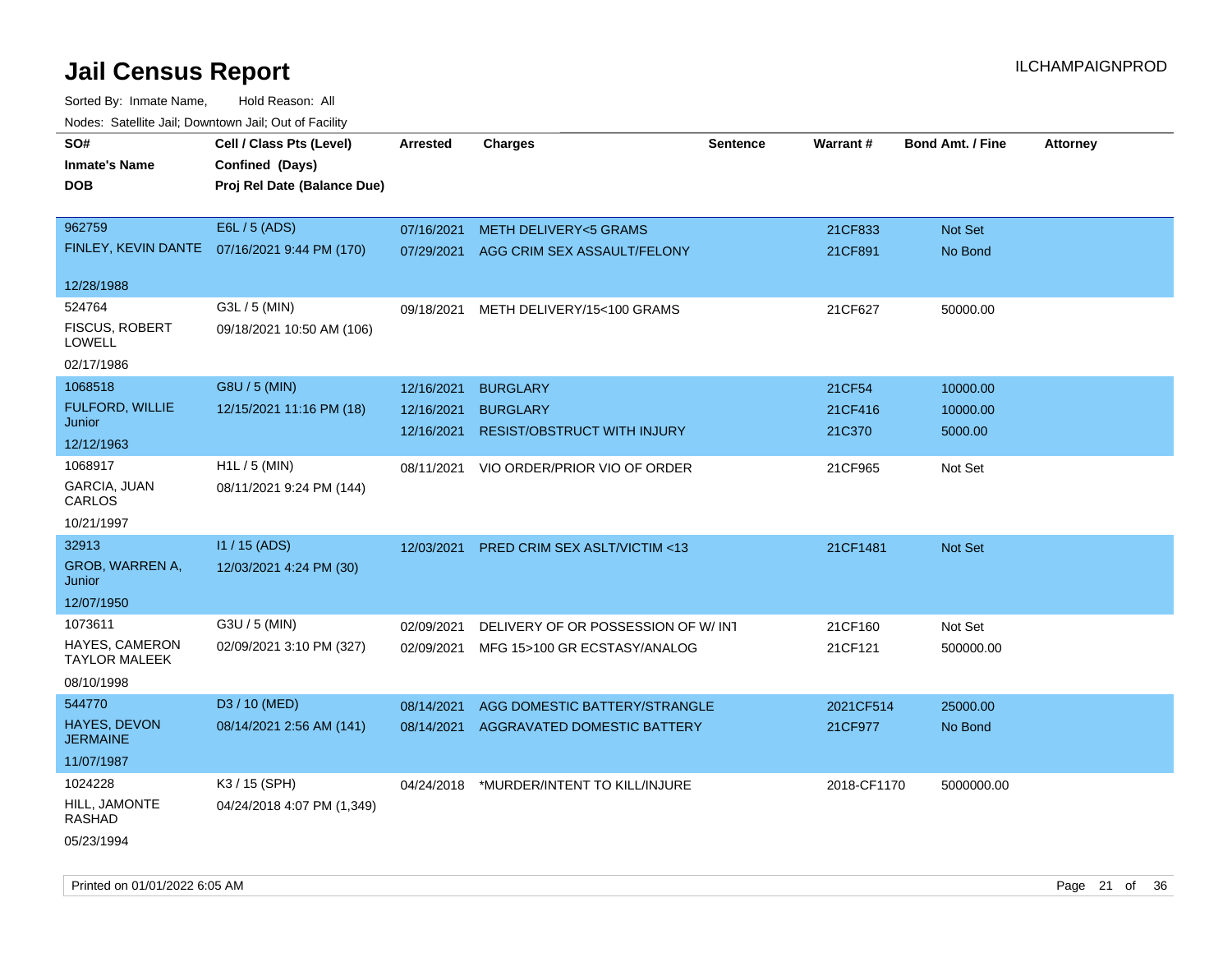| roaco. Catolino dall, Downtown dall, Out of Fability |                                               |                 |                                          |                 |             |                         |                 |
|------------------------------------------------------|-----------------------------------------------|-----------------|------------------------------------------|-----------------|-------------|-------------------------|-----------------|
| SO#<br><b>Inmate's Name</b>                          | Cell / Class Pts (Level)<br>Confined (Days)   | <b>Arrested</b> | <b>Charges</b>                           | <b>Sentence</b> | Warrant#    | <b>Bond Amt. / Fine</b> | <b>Attorney</b> |
| <b>DOB</b>                                           | Proj Rel Date (Balance Due)                   |                 |                                          |                 |             |                         |                 |
| 962759                                               | E6L / 5 (ADS)                                 | 07/16/2021      | METH DELIVERY<5 GRAMS                    |                 | 21CF833     | Not Set                 |                 |
|                                                      | FINLEY, KEVIN DANTE  07/16/2021 9:44 PM (170) | 07/29/2021      | AGG CRIM SEX ASSAULT/FELONY              |                 | 21CF891     | No Bond                 |                 |
| 12/28/1988                                           |                                               |                 |                                          |                 |             |                         |                 |
| 524764<br><b>FISCUS, ROBERT</b><br>LOWELL            | G3L / 5 (MIN)<br>09/18/2021 10:50 AM (106)    | 09/18/2021      | METH DELIVERY/15<100 GRAMS               |                 | 21CF627     | 50000.00                |                 |
| 02/17/1986                                           |                                               |                 |                                          |                 |             |                         |                 |
| 1068518                                              | G8U / 5 (MIN)                                 | 12/16/2021      | <b>BURGLARY</b>                          |                 | 21CF54      | 10000.00                |                 |
| <b>FULFORD, WILLIE</b><br>Junior                     | 12/15/2021 11:16 PM (18)                      | 12/16/2021      | <b>BURGLARY</b>                          |                 | 21CF416     | 10000.00                |                 |
| 12/12/1963                                           |                                               | 12/16/2021      | <b>RESIST/OBSTRUCT WITH INJURY</b>       |                 | 21C370      | 5000.00                 |                 |
| 1068917<br>GARCIA, JUAN<br>CARLOS                    | H1L / 5 (MIN)<br>08/11/2021 9:24 PM (144)     | 08/11/2021      | VIO ORDER/PRIOR VIO OF ORDER             |                 | 21CF965     | Not Set                 |                 |
| 10/21/1997                                           |                                               |                 |                                          |                 |             |                         |                 |
| 32913                                                | I1 / 15 (ADS)                                 | 12/03/2021      | PRED CRIM SEX ASLT/VICTIM <13            |                 | 21CF1481    | <b>Not Set</b>          |                 |
| <b>GROB, WARREN A,</b><br>Junior                     | 12/03/2021 4:24 PM (30)                       |                 |                                          |                 |             |                         |                 |
| 12/07/1950                                           |                                               |                 |                                          |                 |             |                         |                 |
| 1073611                                              | G3U / 5 (MIN)                                 | 02/09/2021      | DELIVERY OF OR POSSESSION OF W/INT       |                 | 21CF160     | Not Set                 |                 |
| HAYES, CAMERON<br><b>TAYLOR MALEEK</b>               | 02/09/2021 3:10 PM (327)                      | 02/09/2021      | MFG 15>100 GR ECSTASY/ANALOG             |                 | 21CF121     | 500000.00               |                 |
| 08/10/1998                                           |                                               |                 |                                          |                 |             |                         |                 |
| 544770                                               | D3 / 10 (MED)                                 | 08/14/2021      | AGG DOMESTIC BATTERY/STRANGLE            |                 | 2021CF514   | 25000.00                |                 |
| HAYES, DEVON<br><b>JERMAINE</b>                      | 08/14/2021 2:56 AM (141)                      | 08/14/2021      | AGGRAVATED DOMESTIC BATTERY              |                 | 21CF977     | No Bond                 |                 |
| 11/07/1987                                           |                                               |                 |                                          |                 |             |                         |                 |
| 1024228                                              | K3 / 15 (SPH)                                 |                 | 04/24/2018 *MURDER/INTENT TO KILL/INJURE |                 | 2018-CF1170 | 5000000.00              |                 |
| HILL, JAMONTE<br>RASHAD                              | 04/24/2018 4:07 PM (1,349)                    |                 |                                          |                 |             |                         |                 |
| 05/23/1994                                           |                                               |                 |                                          |                 |             |                         |                 |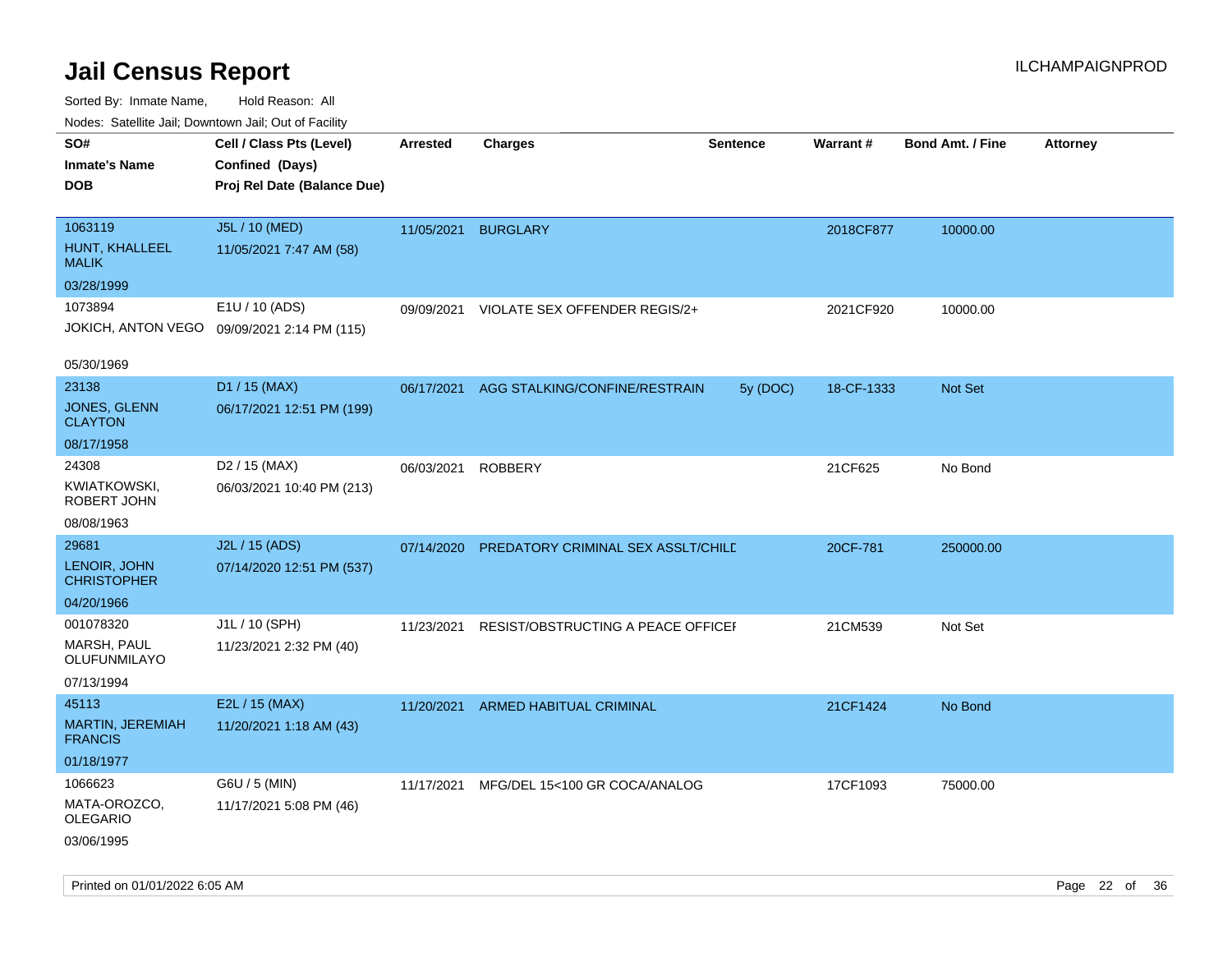Sorted By: Inmate Name, Hold Reason: All Nodes: Satellite Jail; Downtown Jail; Out of Facility

| Nudes. Satellite Jali, Downtown Jali, Out of Facility |                                             |                 |                                    |                 |            |                         |                 |
|-------------------------------------------------------|---------------------------------------------|-----------------|------------------------------------|-----------------|------------|-------------------------|-----------------|
| SO#                                                   | Cell / Class Pts (Level)                    | <b>Arrested</b> | <b>Charges</b>                     | <b>Sentence</b> | Warrant#   | <b>Bond Amt. / Fine</b> | <b>Attorney</b> |
| Inmate's Name                                         | Confined (Days)                             |                 |                                    |                 |            |                         |                 |
| <b>DOB</b>                                            | Proj Rel Date (Balance Due)                 |                 |                                    |                 |            |                         |                 |
|                                                       |                                             |                 |                                    |                 |            |                         |                 |
| 1063119                                               | J5L / 10 (MED)                              | 11/05/2021      | <b>BURGLARY</b>                    |                 | 2018CF877  | 10000.00                |                 |
| HUNT, KHALLEEL<br>MALIK                               | 11/05/2021 7:47 AM (58)                     |                 |                                    |                 |            |                         |                 |
| 03/28/1999                                            |                                             |                 |                                    |                 |            |                         |                 |
| 1073894                                               | E1U / 10 (ADS)                              | 09/09/2021      | VIOLATE SEX OFFENDER REGIS/2+      |                 | 2021CF920  | 10000.00                |                 |
|                                                       | JOKICH, ANTON VEGO 09/09/2021 2:14 PM (115) |                 |                                    |                 |            |                         |                 |
| 05/30/1969                                            |                                             |                 |                                    |                 |            |                         |                 |
| 23138                                                 | D1 / 15 (MAX)                               | 06/17/2021      | AGG STALKING/CONFINE/RESTRAIN      | 5y (DOC)        | 18-CF-1333 | <b>Not Set</b>          |                 |
| JONES, GLENN<br><b>CLAYTON</b>                        | 06/17/2021 12:51 PM (199)                   |                 |                                    |                 |            |                         |                 |
| 08/17/1958                                            |                                             |                 |                                    |                 |            |                         |                 |
| 24308                                                 | D <sub>2</sub> / 15 (MAX)                   | 06/03/2021      | ROBBERY                            |                 | 21CF625    | No Bond                 |                 |
| KWIATKOWSKI,<br>ROBERT JOHN                           | 06/03/2021 10:40 PM (213)                   |                 |                                    |                 |            |                         |                 |
| 08/08/1963                                            |                                             |                 |                                    |                 |            |                         |                 |
| 29681                                                 | J2L / 15 (ADS)                              | 07/14/2020      | PREDATORY CRIMINAL SEX ASSLT/CHILD |                 | 20CF-781   | 250000.00               |                 |
| LENOIR, JOHN<br>CHRISTOPHER                           | 07/14/2020 12:51 PM (537)                   |                 |                                    |                 |            |                         |                 |
| 04/20/1966                                            |                                             |                 |                                    |                 |            |                         |                 |
| 001078320                                             | J1L / 10 (SPH)                              | 11/23/2021      | RESIST/OBSTRUCTING A PEACE OFFICEI |                 | 21CM539    | Not Set                 |                 |
| MARSH, PAUL<br>OLUFUNMILAYO                           | 11/23/2021 2:32 PM (40)                     |                 |                                    |                 |            |                         |                 |
| 07/13/1994                                            |                                             |                 |                                    |                 |            |                         |                 |
| 45113                                                 | E2L / 15 (MAX)                              | 11/20/2021      | ARMED HABITUAL CRIMINAL            |                 | 21CF1424   | No Bond                 |                 |
| <b>MARTIN, JEREMIAH</b><br><b>FRANCIS</b>             | 11/20/2021 1:18 AM (43)                     |                 |                                    |                 |            |                         |                 |
| 01/18/1977                                            |                                             |                 |                                    |                 |            |                         |                 |
| 1066623                                               | G6U / 5 (MIN)                               | 11/17/2021      | MFG/DEL 15<100 GR COCA/ANALOG      |                 | 17CF1093   | 75000.00                |                 |
| MATA-OROZCO,<br>OLEGARIO                              | 11/17/2021 5:08 PM (46)                     |                 |                                    |                 |            |                         |                 |
| 03/06/1995                                            |                                             |                 |                                    |                 |            |                         |                 |

Printed on 01/01/2022 6:05 AM Page 22 of 36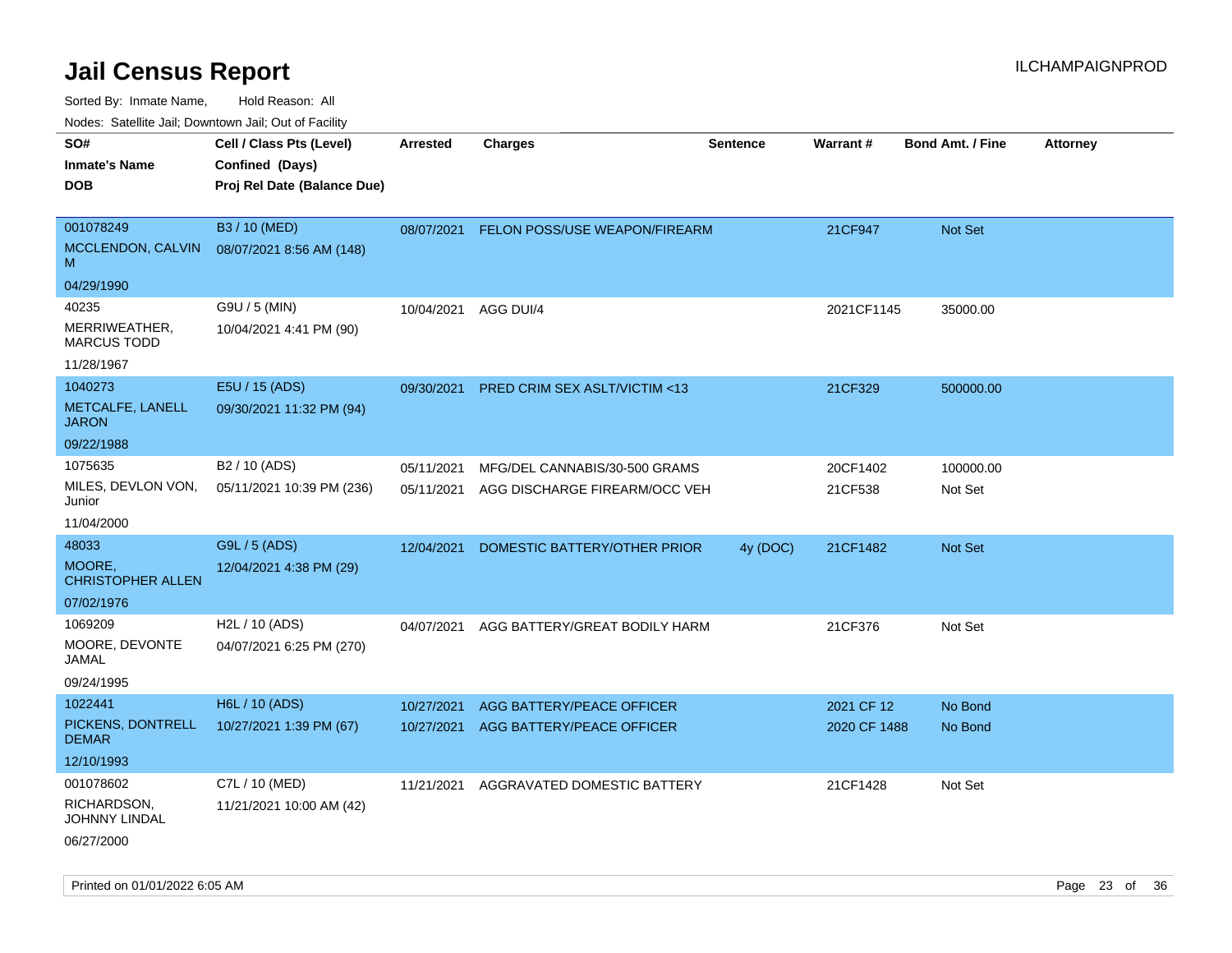Sorted By: Inmate Name, Hold Reason: All

Nodes: Satellite Jail; Downtown Jail; Out of Facility

| roaco. Calcinio dan, Domnomi dan, Cal or Fability |                             |                 |                                         |                 |              |                  |                 |
|---------------------------------------------------|-----------------------------|-----------------|-----------------------------------------|-----------------|--------------|------------------|-----------------|
| SO#                                               | Cell / Class Pts (Level)    | <b>Arrested</b> | <b>Charges</b>                          | <b>Sentence</b> | Warrant#     | Bond Amt. / Fine | <b>Attorney</b> |
| <b>Inmate's Name</b>                              | Confined (Days)             |                 |                                         |                 |              |                  |                 |
| <b>DOB</b>                                        | Proj Rel Date (Balance Due) |                 |                                         |                 |              |                  |                 |
|                                                   |                             |                 |                                         |                 |              |                  |                 |
| 001078249                                         | B3 / 10 (MED)               | 08/07/2021      | FELON POSS/USE WEAPON/FIREARM           |                 | 21CF947      | Not Set          |                 |
| MCCLENDON, CALVIN<br>M                            | 08/07/2021 8:56 AM (148)    |                 |                                         |                 |              |                  |                 |
| 04/29/1990                                        |                             |                 |                                         |                 |              |                  |                 |
| 40235                                             | G9U / 5 (MIN)               | 10/04/2021      | AGG DUI/4                               |                 | 2021CF1145   | 35000.00         |                 |
| MERRIWEATHER,<br><b>MARCUS TODD</b>               | 10/04/2021 4:41 PM (90)     |                 |                                         |                 |              |                  |                 |
| 11/28/1967                                        |                             |                 |                                         |                 |              |                  |                 |
| 1040273                                           | E5U / 15 (ADS)              | 09/30/2021      | <b>PRED CRIM SEX ASLT/VICTIM &lt;13</b> |                 | 21CF329      | 500000.00        |                 |
| METCALFE, LANELL<br><b>JARON</b>                  | 09/30/2021 11:32 PM (94)    |                 |                                         |                 |              |                  |                 |
| 09/22/1988                                        |                             |                 |                                         |                 |              |                  |                 |
| 1075635                                           | B <sub>2</sub> / 10 (ADS)   | 05/11/2021      | MFG/DEL CANNABIS/30-500 GRAMS           |                 | 20CF1402     | 100000.00        |                 |
| MILES, DEVLON VON,<br>Junior                      | 05/11/2021 10:39 PM (236)   | 05/11/2021      | AGG DISCHARGE FIREARM/OCC VEH           |                 | 21CF538      | Not Set          |                 |
| 11/04/2000                                        |                             |                 |                                         |                 |              |                  |                 |
| 48033                                             | G9L / 5 (ADS)               | 12/04/2021      | DOMESTIC BATTERY/OTHER PRIOR            | 4y (DOC)        | 21CF1482     | <b>Not Set</b>   |                 |
| MOORE,<br><b>CHRISTOPHER ALLEN</b>                | 12/04/2021 4:38 PM (29)     |                 |                                         |                 |              |                  |                 |
| 07/02/1976                                        |                             |                 |                                         |                 |              |                  |                 |
| 1069209                                           | H2L / 10 (ADS)              | 04/07/2021      | AGG BATTERY/GREAT BODILY HARM           |                 | 21CF376      | Not Set          |                 |
| MOORE, DEVONTE<br>JAMAL                           | 04/07/2021 6:25 PM (270)    |                 |                                         |                 |              |                  |                 |
| 09/24/1995                                        |                             |                 |                                         |                 |              |                  |                 |
| 1022441                                           | <b>H6L / 10 (ADS)</b>       | 10/27/2021      | AGG BATTERY/PEACE OFFICER               |                 | 2021 CF 12   | No Bond          |                 |
| PICKENS, DONTRELL<br><b>DEMAR</b>                 | 10/27/2021 1:39 PM (67)     | 10/27/2021      | AGG BATTERY/PEACE OFFICER               |                 | 2020 CF 1488 | No Bond          |                 |
| 12/10/1993                                        |                             |                 |                                         |                 |              |                  |                 |
| 001078602                                         | C7L / 10 (MED)              | 11/21/2021      | AGGRAVATED DOMESTIC BATTERY             |                 | 21CF1428     | Not Set          |                 |
| RICHARDSON,<br><b>JOHNNY LINDAL</b>               | 11/21/2021 10:00 AM (42)    |                 |                                         |                 |              |                  |                 |
| 06/27/2000                                        |                             |                 |                                         |                 |              |                  |                 |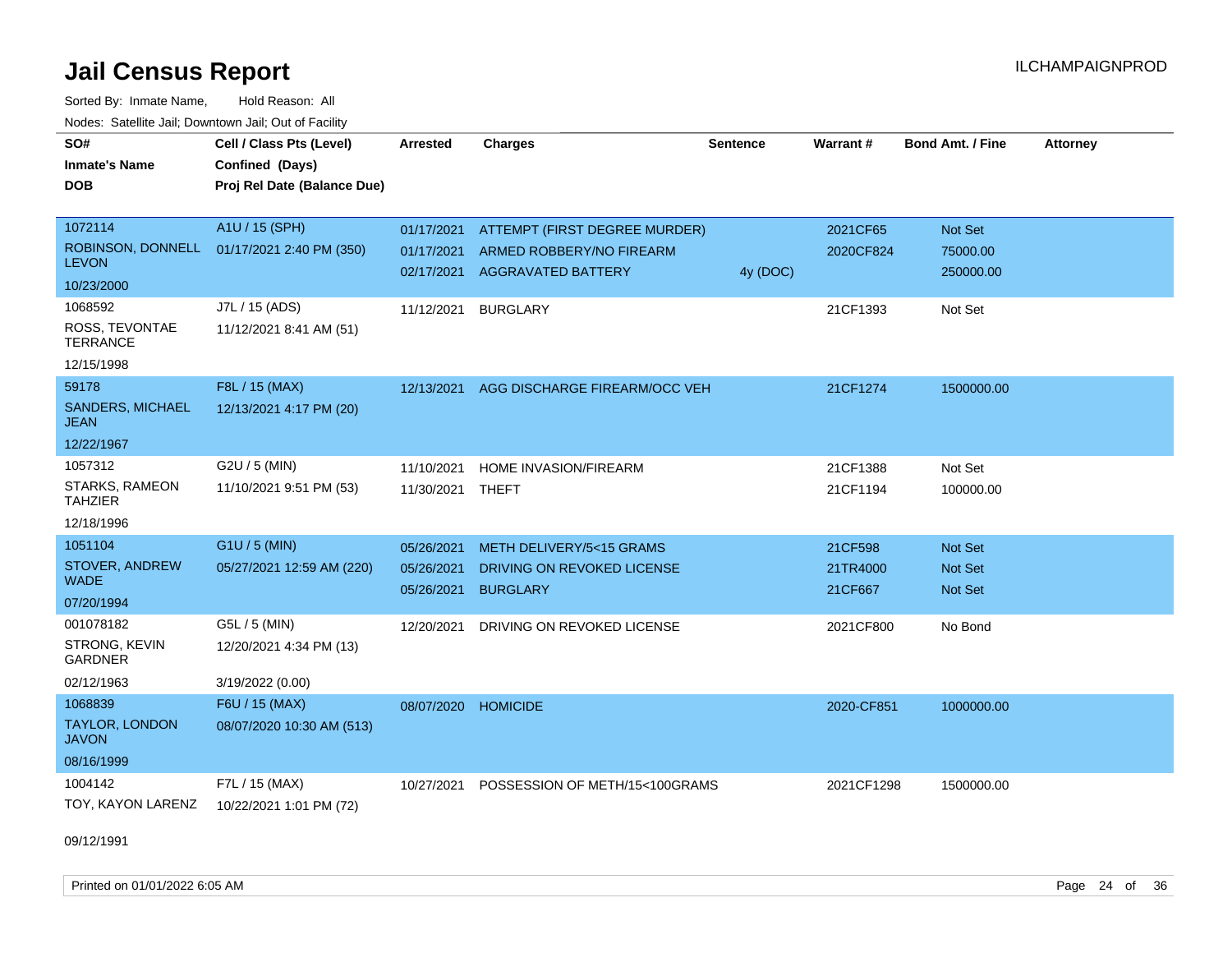Sorted By: Inmate Name, Hold Reason: All Nodes: Satellite Jail; Downtown Jail; Out of Facility

| SO#<br><b>Inmate's Name</b><br><b>DOB</b>    | Cell / Class Pts (Level)<br>Confined (Days)<br>Proj Rel Date (Balance Due) | <b>Arrested</b> | <b>Charges</b>                 | <b>Sentence</b> | Warrant#   | <b>Bond Amt. / Fine</b> | <b>Attorney</b> |
|----------------------------------------------|----------------------------------------------------------------------------|-----------------|--------------------------------|-----------------|------------|-------------------------|-----------------|
| 1072114                                      | A1U / 15 (SPH)                                                             | 01/17/2021      | ATTEMPT (FIRST DEGREE MURDER)  |                 | 2021CF65   | Not Set                 |                 |
| ROBINSON, DONNELL<br><b>LEVON</b>            | 01/17/2021 2:40 PM (350)                                                   | 01/17/2021      | ARMED ROBBERY/NO FIREARM       |                 | 2020CF824  | 75000.00                |                 |
| 10/23/2000                                   |                                                                            | 02/17/2021      | <b>AGGRAVATED BATTERY</b>      | 4y (DOC)        |            | 250000.00               |                 |
| 1068592                                      | J7L / 15 (ADS)                                                             | 11/12/2021      | <b>BURGLARY</b>                |                 | 21CF1393   | Not Set                 |                 |
| ROSS, TEVONTAE<br><b>TERRANCE</b>            | 11/12/2021 8:41 AM (51)                                                    |                 |                                |                 |            |                         |                 |
| 12/15/1998                                   |                                                                            |                 |                                |                 |            |                         |                 |
| 59178                                        | F8L / 15 (MAX)                                                             | 12/13/2021      | AGG DISCHARGE FIREARM/OCC VEH  |                 | 21CF1274   | 1500000.00              |                 |
| <b>SANDERS, MICHAEL</b><br><b>JEAN</b>       | 12/13/2021 4:17 PM (20)                                                    |                 |                                |                 |            |                         |                 |
| 12/22/1967                                   |                                                                            |                 |                                |                 |            |                         |                 |
| 1057312                                      | G2U / 5 (MIN)                                                              | 11/10/2021      | HOME INVASION/FIREARM          |                 | 21CF1388   | Not Set                 |                 |
| STARKS, RAMEON<br><b>TAHZIER</b>             | 11/10/2021 9:51 PM (53)                                                    | 11/30/2021      | THEFT                          |                 | 21CF1194   | 100000.00               |                 |
| 12/18/1996                                   |                                                                            |                 |                                |                 |            |                         |                 |
| 1051104                                      | G1U / 5 (MIN)                                                              | 05/26/2021      | METH DELIVERY/5<15 GRAMS       |                 | 21CF598    | Not Set                 |                 |
| STOVER, ANDREW                               | 05/27/2021 12:59 AM (220)                                                  | 05/26/2021      | DRIVING ON REVOKED LICENSE     |                 | 21TR4000   | <b>Not Set</b>          |                 |
| <b>WADE</b>                                  |                                                                            | 05/26/2021      | <b>BURGLARY</b>                |                 | 21CF667    | <b>Not Set</b>          |                 |
| 07/20/1994                                   |                                                                            |                 |                                |                 |            |                         |                 |
| 001078182<br>STRONG, KEVIN<br><b>GARDNER</b> | G5L / 5 (MIN)<br>12/20/2021 4:34 PM (13)                                   | 12/20/2021      | DRIVING ON REVOKED LICENSE     |                 | 2021CF800  | No Bond                 |                 |
| 02/12/1963                                   | 3/19/2022 (0.00)                                                           |                 |                                |                 |            |                         |                 |
| 1068839                                      | F6U / 15 (MAX)                                                             | 08/07/2020      | <b>HOMICIDE</b>                |                 | 2020-CF851 | 1000000.00              |                 |
| <b>TAYLOR, LONDON</b><br><b>JAVON</b>        | 08/07/2020 10:30 AM (513)                                                  |                 |                                |                 |            |                         |                 |
| 08/16/1999                                   |                                                                            |                 |                                |                 |            |                         |                 |
| 1004142                                      | F7L / 15 (MAX)                                                             | 10/27/2021      | POSSESSION OF METH/15<100GRAMS |                 | 2021CF1298 | 1500000.00              |                 |
| TOY, KAYON LARENZ                            | 10/22/2021 1:01 PM (72)                                                    |                 |                                |                 |            |                         |                 |

09/12/1991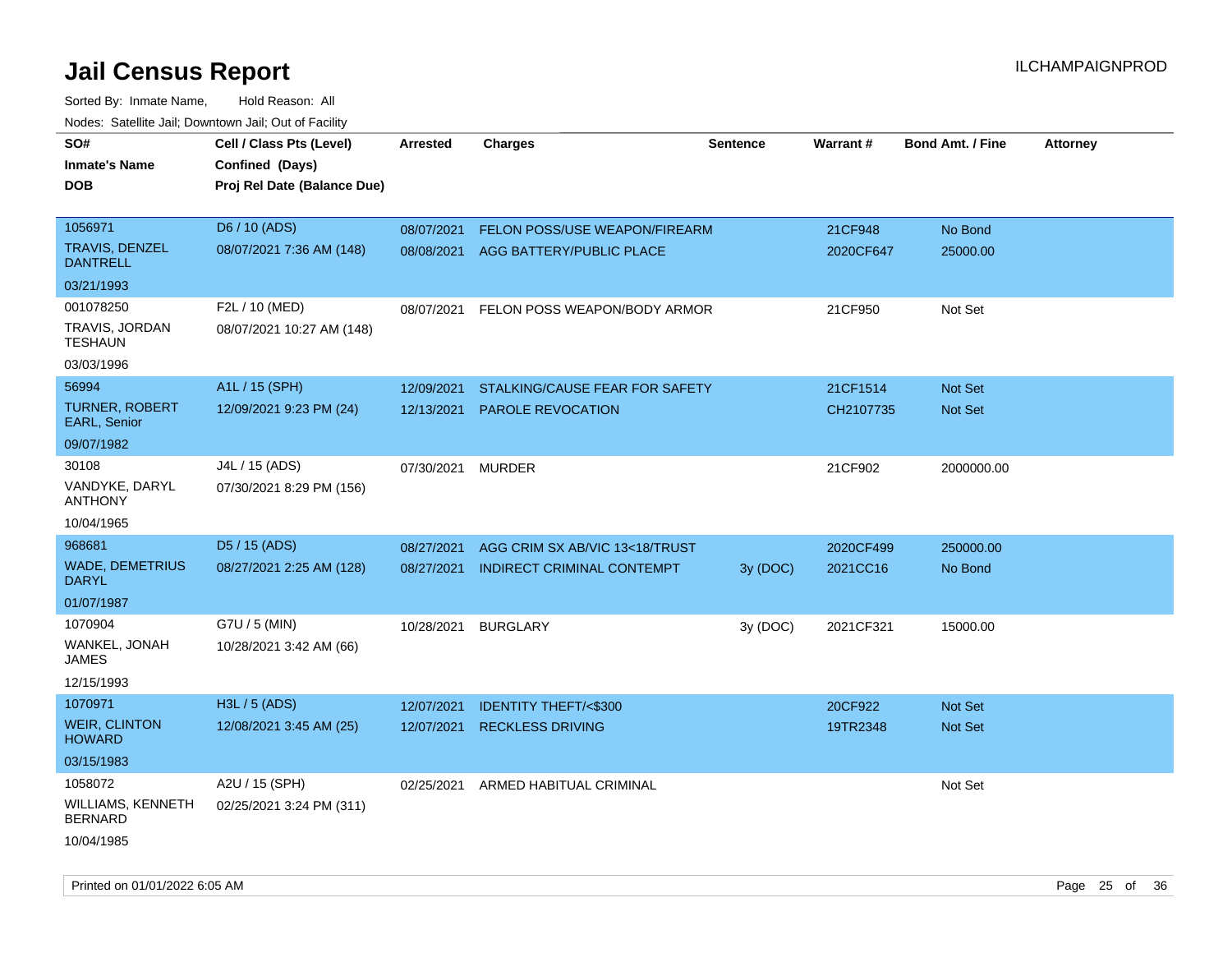| noaco. Catomto can, Domntonn can, Cat or I domt<br>SO#<br><b>Inmate's Name</b><br><b>DOB</b> | Cell / Class Pts (Level)<br>Confined (Days)<br>Proj Rel Date (Balance Due) | Arrested   | <b>Charges</b>                      | <b>Sentence</b> | <b>Warrant#</b> | <b>Bond Amt. / Fine</b> | <b>Attorney</b> |
|----------------------------------------------------------------------------------------------|----------------------------------------------------------------------------|------------|-------------------------------------|-----------------|-----------------|-------------------------|-----------------|
| 1056971                                                                                      | D6 / 10 (ADS)                                                              | 08/07/2021 | FELON POSS/USE WEAPON/FIREARM       |                 | 21CF948         | No Bond                 |                 |
| <b>TRAVIS, DENZEL</b><br><b>DANTRELL</b>                                                     | 08/07/2021 7:36 AM (148)                                                   |            | 08/08/2021 AGG BATTERY/PUBLIC PLACE |                 | 2020CF647       | 25000.00                |                 |
| 03/21/1993                                                                                   |                                                                            |            |                                     |                 |                 |                         |                 |
| 001078250                                                                                    | F2L / 10 (MED)                                                             | 08/07/2021 | FELON POSS WEAPON/BODY ARMOR        |                 | 21CF950         | Not Set                 |                 |
| TRAVIS, JORDAN<br><b>TESHAUN</b>                                                             | 08/07/2021 10:27 AM (148)                                                  |            |                                     |                 |                 |                         |                 |
| 03/03/1996                                                                                   |                                                                            |            |                                     |                 |                 |                         |                 |
| 56994                                                                                        | A1L / 15 (SPH)                                                             | 12/09/2021 | STALKING/CAUSE FEAR FOR SAFETY      |                 | 21CF1514        | <b>Not Set</b>          |                 |
| <b>TURNER, ROBERT</b><br>EARL, Senior                                                        | 12/09/2021 9:23 PM (24)                                                    | 12/13/2021 | <b>PAROLE REVOCATION</b>            |                 | CH2107735       | Not Set                 |                 |
| 09/07/1982                                                                                   |                                                                            |            |                                     |                 |                 |                         |                 |
| 30108                                                                                        | J4L / 15 (ADS)                                                             | 07/30/2021 | <b>MURDER</b>                       |                 | 21CF902         | 2000000.00              |                 |
| VANDYKE, DARYL<br><b>ANTHONY</b>                                                             | 07/30/2021 8:29 PM (156)                                                   |            |                                     |                 |                 |                         |                 |
| 10/04/1965                                                                                   |                                                                            |            |                                     |                 |                 |                         |                 |
| 968681                                                                                       | D5 / 15 (ADS)                                                              | 08/27/2021 | AGG CRIM SX AB/VIC 13<18/TRUST      |                 | 2020CF499       | 250000.00               |                 |
| <b>WADE, DEMETRIUS</b><br><b>DARYL</b>                                                       | 08/27/2021 2:25 AM (128)                                                   | 08/27/2021 | <b>INDIRECT CRIMINAL CONTEMPT</b>   | 3y (DOC)        | 2021CC16        | No Bond                 |                 |
| 01/07/1987                                                                                   |                                                                            |            |                                     |                 |                 |                         |                 |
| 1070904                                                                                      | G7U / 5 (MIN)                                                              | 10/28/2021 | <b>BURGLARY</b>                     | 3y (DOC)        | 2021CF321       | 15000.00                |                 |
| WANKEL, JONAH<br>JAMES                                                                       | 10/28/2021 3:42 AM (66)                                                    |            |                                     |                 |                 |                         |                 |
| 12/15/1993                                                                                   |                                                                            |            |                                     |                 |                 |                         |                 |
| 1070971                                                                                      | H3L / 5 (ADS)                                                              | 12/07/2021 | <b>IDENTITY THEFT/&lt;\$300</b>     |                 | 20CF922         | Not Set                 |                 |
| <b>WEIR, CLINTON</b><br><b>HOWARD</b>                                                        | 12/08/2021 3:45 AM (25)                                                    | 12/07/2021 | <b>RECKLESS DRIVING</b>             |                 | 19TR2348        | <b>Not Set</b>          |                 |
| 03/15/1983                                                                                   |                                                                            |            |                                     |                 |                 |                         |                 |
| 1058072                                                                                      | A2U / 15 (SPH)                                                             | 02/25/2021 | ARMED HABITUAL CRIMINAL             |                 |                 | Not Set                 |                 |
| WILLIAMS, KENNETH<br><b>BERNARD</b>                                                          | 02/25/2021 3:24 PM (311)                                                   |            |                                     |                 |                 |                         |                 |
| 10/04/1985                                                                                   |                                                                            |            |                                     |                 |                 |                         |                 |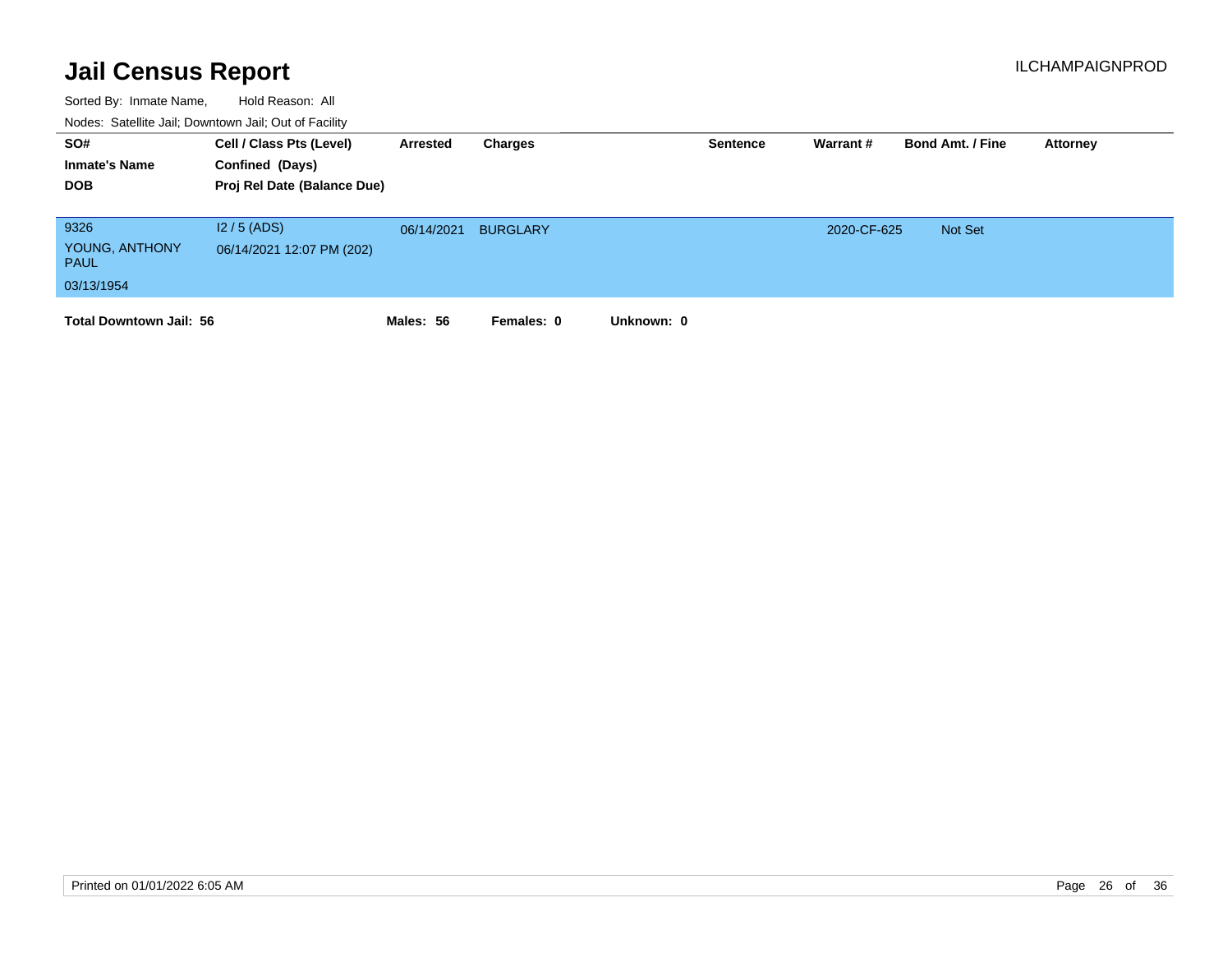| SO#<br><b>Inmate's Name</b><br><b>DOB</b>           | Cell / Class Pts (Level)<br>Confined (Days)<br>Proj Rel Date (Balance Due) | Arrested   | Charges         |            | <b>Sentence</b> | Warrant #   | <b>Bond Amt. / Fine</b> | Attorney |
|-----------------------------------------------------|----------------------------------------------------------------------------|------------|-----------------|------------|-----------------|-------------|-------------------------|----------|
| 9326<br>YOUNG, ANTHONY<br><b>PAUL</b><br>03/13/1954 | $12/5$ (ADS)<br>06/14/2021 12:07 PM (202)                                  | 06/14/2021 | <b>BURGLARY</b> |            |                 | 2020-CF-625 | <b>Not Set</b>          |          |
| <b>Total Downtown Jail: 56</b>                      |                                                                            | Males: 56  | Females: 0      | Unknown: 0 |                 |             |                         |          |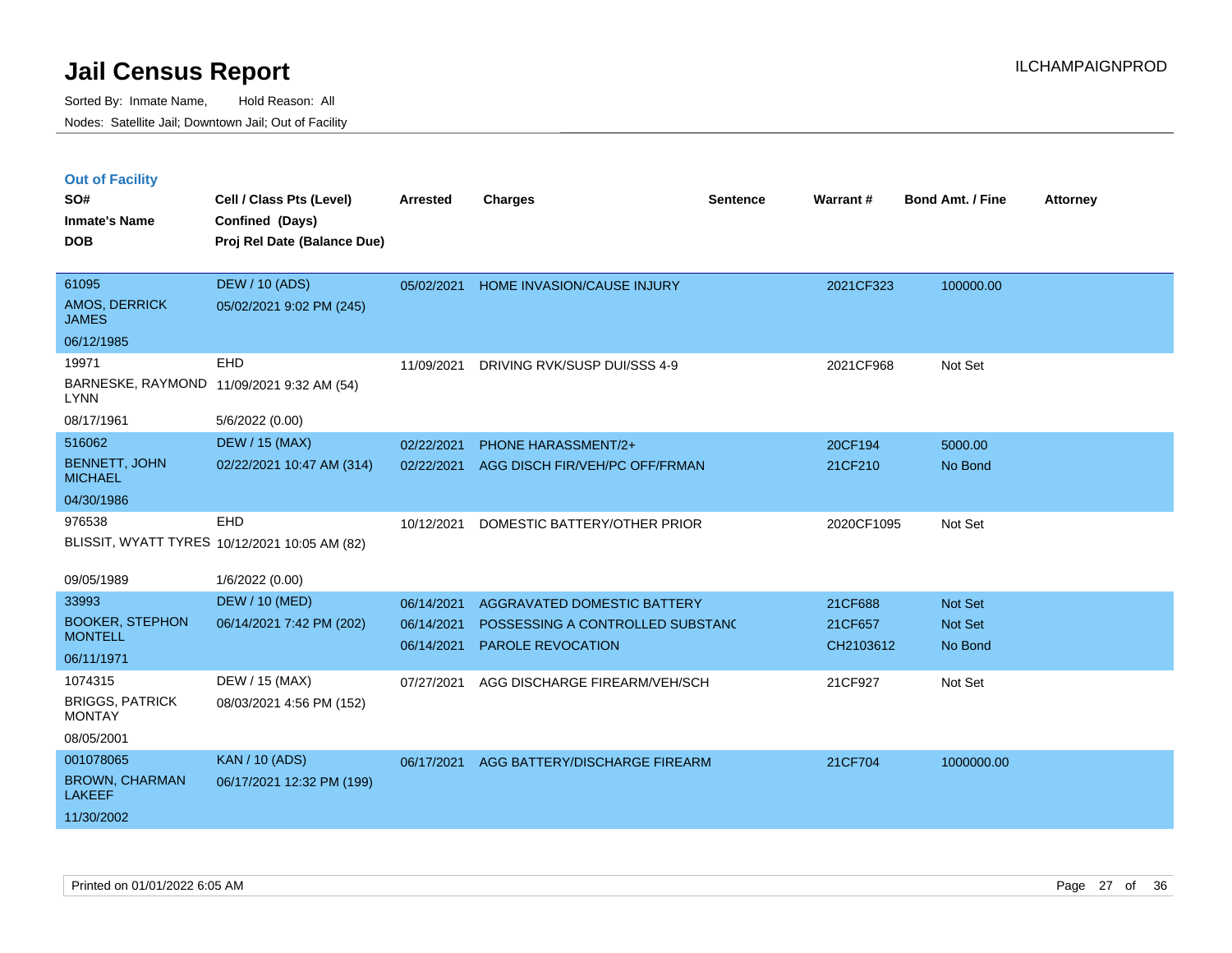|  | <b>Out of Facility</b> |  |
|--|------------------------|--|

| SO#<br><b>Inmate's Name</b>             | Cell / Class Pts (Level)<br>Confined (Days)   | <b>Arrested</b> | <b>Charges</b>                   | <b>Sentence</b> | <b>Warrant#</b> | <b>Bond Amt. / Fine</b> | <b>Attorney</b> |
|-----------------------------------------|-----------------------------------------------|-----------------|----------------------------------|-----------------|-----------------|-------------------------|-----------------|
| <b>DOB</b>                              | Proj Rel Date (Balance Due)                   |                 |                                  |                 |                 |                         |                 |
| 61095                                   | <b>DEW / 10 (ADS)</b>                         | 05/02/2021      | HOME INVASION/CAUSE INJURY       |                 | 2021CF323       | 100000.00               |                 |
| AMOS, DERRICK<br><b>JAMES</b>           | 05/02/2021 9:02 PM (245)                      |                 |                                  |                 |                 |                         |                 |
| 06/12/1985                              |                                               |                 |                                  |                 |                 |                         |                 |
| 19971                                   | EHD                                           | 11/09/2021      | DRIVING RVK/SUSP DUI/SSS 4-9     |                 | 2021CF968       | Not Set                 |                 |
| <b>LYNN</b>                             | BARNESKE, RAYMOND 11/09/2021 9:32 AM (54)     |                 |                                  |                 |                 |                         |                 |
| 08/17/1961                              | 5/6/2022 (0.00)                               |                 |                                  |                 |                 |                         |                 |
| 516062                                  | <b>DEW / 15 (MAX)</b>                         | 02/22/2021      | PHONE HARASSMENT/2+              |                 | 20CF194         | 5000.00                 |                 |
| <b>BENNETT, JOHN</b><br><b>MICHAEL</b>  | 02/22/2021 10:47 AM (314)                     | 02/22/2021      | AGG DISCH FIR/VEH/PC OFF/FRMAN   |                 | 21CF210         | No Bond                 |                 |
| 04/30/1986                              |                                               |                 |                                  |                 |                 |                         |                 |
| 976538                                  | EHD                                           | 10/12/2021      | DOMESTIC BATTERY/OTHER PRIOR     |                 | 2020CF1095      | Not Set                 |                 |
|                                         | BLISSIT, WYATT TYRES 10/12/2021 10:05 AM (82) |                 |                                  |                 |                 |                         |                 |
| 09/05/1989                              | 1/6/2022 (0.00)                               |                 |                                  |                 |                 |                         |                 |
| 33993                                   | <b>DEW / 10 (MED)</b>                         | 06/14/2021      | AGGRAVATED DOMESTIC BATTERY      |                 | 21CF688         | Not Set                 |                 |
| <b>BOOKER, STEPHON</b>                  | 06/14/2021 7:42 PM (202)                      | 06/14/2021      | POSSESSING A CONTROLLED SUBSTANC |                 | 21CF657         | Not Set                 |                 |
| <b>MONTELL</b>                          |                                               | 06/14/2021      | <b>PAROLE REVOCATION</b>         |                 | CH2103612       | No Bond                 |                 |
| 06/11/1971                              |                                               |                 |                                  |                 |                 |                         |                 |
| 1074315                                 | DEW / 15 (MAX)                                | 07/27/2021      | AGG DISCHARGE FIREARM/VEH/SCH    |                 | 21CF927         | Not Set                 |                 |
| <b>BRIGGS, PATRICK</b><br><b>MONTAY</b> | 08/03/2021 4:56 PM (152)                      |                 |                                  |                 |                 |                         |                 |
| 08/05/2001                              |                                               |                 |                                  |                 |                 |                         |                 |
| 001078065                               | <b>KAN / 10 (ADS)</b>                         | 06/17/2021      | AGG BATTERY/DISCHARGE FIREARM    |                 | 21CF704         | 1000000.00              |                 |
| <b>BROWN, CHARMAN</b><br><b>LAKEEF</b>  | 06/17/2021 12:32 PM (199)                     |                 |                                  |                 |                 |                         |                 |
| 11/30/2002                              |                                               |                 |                                  |                 |                 |                         |                 |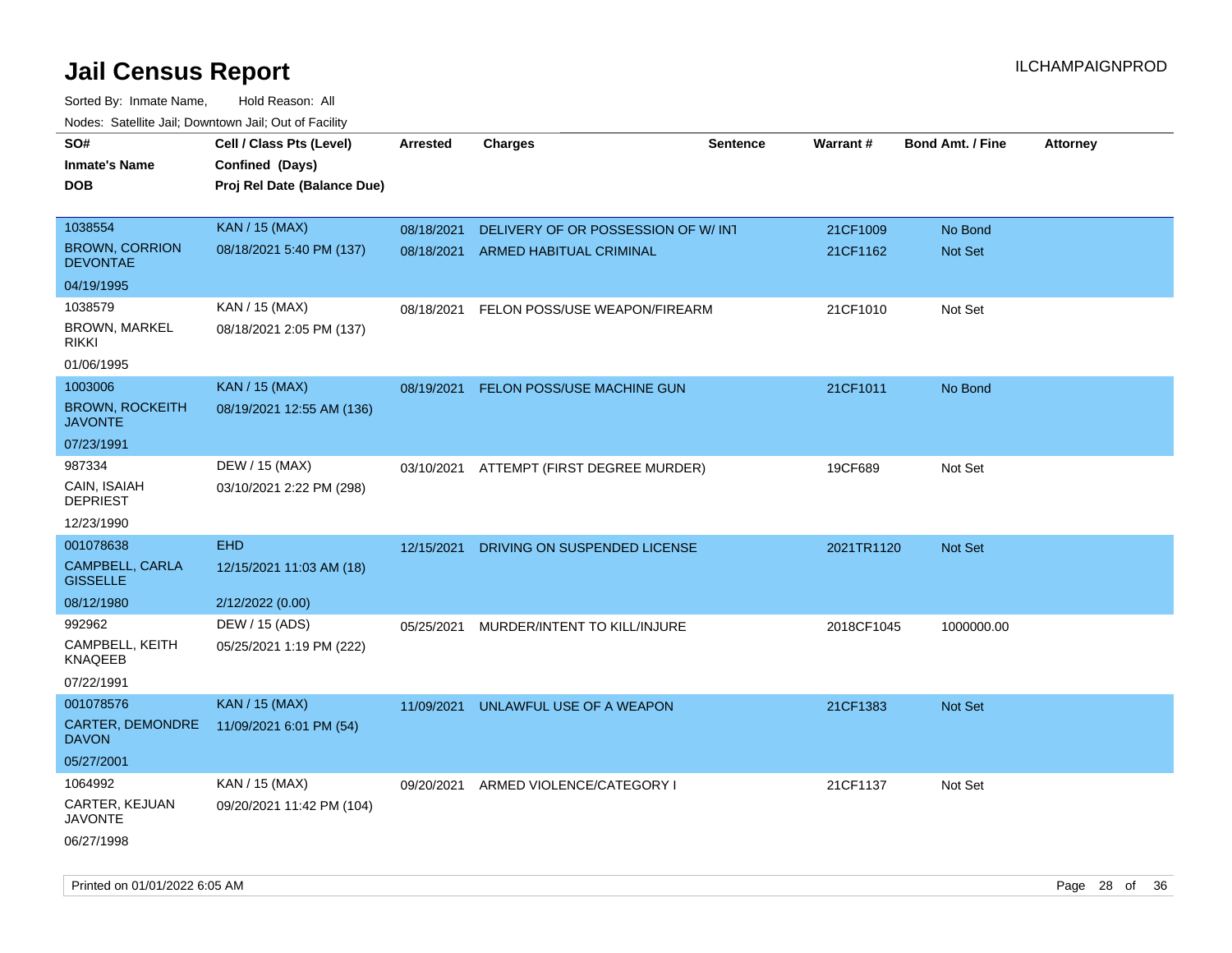| roaco. Catolino dall, Downtown dall, Out of Fability |                             |            |                                          |                 |            |                         |                 |
|------------------------------------------------------|-----------------------------|------------|------------------------------------------|-----------------|------------|-------------------------|-----------------|
| SO#                                                  | Cell / Class Pts (Level)    | Arrested   | Charges                                  | <b>Sentence</b> | Warrant#   | <b>Bond Amt. / Fine</b> | <b>Attorney</b> |
| <b>Inmate's Name</b>                                 | Confined (Days)             |            |                                          |                 |            |                         |                 |
| <b>DOB</b>                                           | Proj Rel Date (Balance Due) |            |                                          |                 |            |                         |                 |
|                                                      |                             |            |                                          |                 |            |                         |                 |
| 1038554                                              | <b>KAN / 15 (MAX)</b>       | 08/18/2021 | DELIVERY OF OR POSSESSION OF W/INT       |                 | 21CF1009   | No Bond                 |                 |
| <b>BROWN, CORRION</b><br><b>DEVONTAE</b>             | 08/18/2021 5:40 PM (137)    | 08/18/2021 | ARMED HABITUAL CRIMINAL                  |                 | 21CF1162   | Not Set                 |                 |
| 04/19/1995                                           |                             |            |                                          |                 |            |                         |                 |
| 1038579                                              | KAN / 15 (MAX)              | 08/18/2021 | FELON POSS/USE WEAPON/FIREARM            |                 | 21CF1010   | Not Set                 |                 |
| <b>BROWN, MARKEL</b><br><b>RIKKI</b>                 | 08/18/2021 2:05 PM (137)    |            |                                          |                 |            |                         |                 |
| 01/06/1995                                           |                             |            |                                          |                 |            |                         |                 |
| 1003006                                              | <b>KAN / 15 (MAX)</b>       | 08/19/2021 | FELON POSS/USE MACHINE GUN               |                 | 21CF1011   | No Bond                 |                 |
| <b>BROWN, ROCKEITH</b><br><b>JAVONTE</b>             | 08/19/2021 12:55 AM (136)   |            |                                          |                 |            |                         |                 |
| 07/23/1991                                           |                             |            |                                          |                 |            |                         |                 |
| 987334                                               | DEW / 15 (MAX)              |            | 03/10/2021 ATTEMPT (FIRST DEGREE MURDER) |                 | 19CF689    | Not Set                 |                 |
| CAIN, ISAIAH<br><b>DEPRIEST</b>                      | 03/10/2021 2:22 PM (298)    |            |                                          |                 |            |                         |                 |
| 12/23/1990                                           |                             |            |                                          |                 |            |                         |                 |
| 001078638                                            | <b>EHD</b>                  | 12/15/2021 | DRIVING ON SUSPENDED LICENSE             |                 | 2021TR1120 | <b>Not Set</b>          |                 |
| CAMPBELL, CARLA<br><b>GISSELLE</b>                   | 12/15/2021 11:03 AM (18)    |            |                                          |                 |            |                         |                 |
| 08/12/1980                                           | 2/12/2022 (0.00)            |            |                                          |                 |            |                         |                 |
| 992962                                               | DEW / 15 (ADS)              | 05/25/2021 | MURDER/INTENT TO KILL/INJURE             |                 | 2018CF1045 | 1000000.00              |                 |
| CAMPBELL, KEITH<br>KNAQEEB                           | 05/25/2021 1:19 PM (222)    |            |                                          |                 |            |                         |                 |
| 07/22/1991                                           |                             |            |                                          |                 |            |                         |                 |
| 001078576                                            | <b>KAN / 15 (MAX)</b>       | 11/09/2021 | UNLAWFUL USE OF A WEAPON                 |                 | 21CF1383   | <b>Not Set</b>          |                 |
| CARTER, DEMONDRE<br><b>DAVON</b>                     | 11/09/2021 6:01 PM (54)     |            |                                          |                 |            |                         |                 |
| 05/27/2001                                           |                             |            |                                          |                 |            |                         |                 |
| 1064992                                              | KAN / 15 (MAX)              | 09/20/2021 | ARMED VIOLENCE/CATEGORY I                |                 | 21CF1137   | Not Set                 |                 |
| CARTER, KEJUAN<br>JAVONTE                            | 09/20/2021 11:42 PM (104)   |            |                                          |                 |            |                         |                 |
| 06/27/1998                                           |                             |            |                                          |                 |            |                         |                 |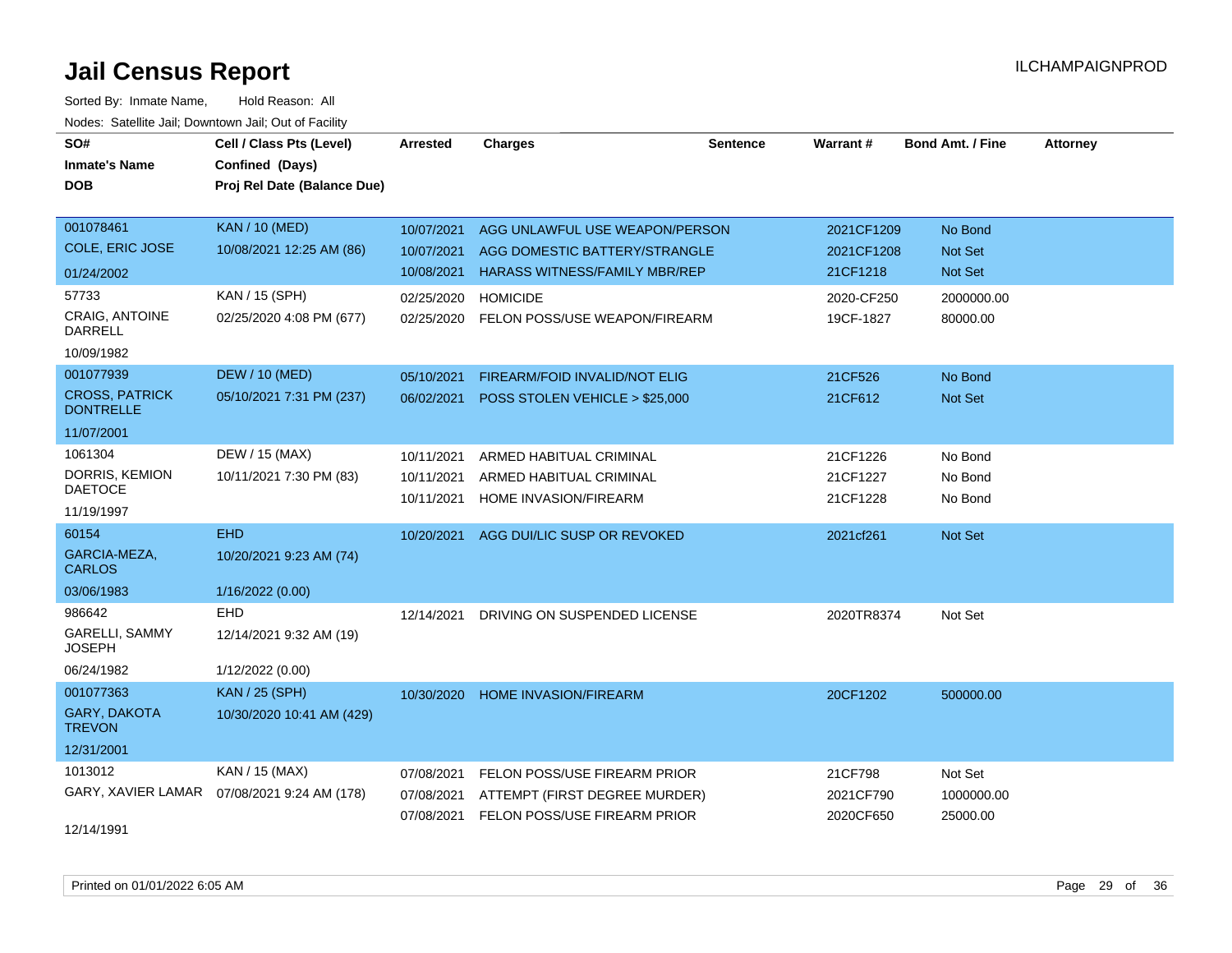| SO#                                       | Cell / Class Pts (Level)    | <b>Arrested</b> | <b>Charges</b>                       | <b>Sentence</b> | <b>Warrant#</b> | <b>Bond Amt. / Fine</b> | <b>Attorney</b> |
|-------------------------------------------|-----------------------------|-----------------|--------------------------------------|-----------------|-----------------|-------------------------|-----------------|
| <b>Inmate's Name</b>                      | Confined (Days)             |                 |                                      |                 |                 |                         |                 |
| <b>DOB</b>                                | Proj Rel Date (Balance Due) |                 |                                      |                 |                 |                         |                 |
|                                           |                             |                 |                                      |                 |                 |                         |                 |
| 001078461                                 | <b>KAN / 10 (MED)</b>       | 10/07/2021      | AGG UNLAWFUL USE WEAPON/PERSON       |                 | 2021CF1209      | No Bond                 |                 |
| <b>COLE, ERIC JOSE</b>                    | 10/08/2021 12:25 AM (86)    | 10/07/2021      | AGG DOMESTIC BATTERY/STRANGLE        |                 | 2021CF1208      | Not Set                 |                 |
| 01/24/2002                                |                             | 10/08/2021      | <b>HARASS WITNESS/FAMILY MBR/REP</b> |                 | 21CF1218        | Not Set                 |                 |
| 57733                                     | KAN / 15 (SPH)              | 02/25/2020      | <b>HOMICIDE</b>                      |                 | 2020-CF250      | 2000000.00              |                 |
| <b>CRAIG, ANTOINE</b><br><b>DARRELL</b>   | 02/25/2020 4:08 PM (677)    | 02/25/2020      | FELON POSS/USE WEAPON/FIREARM        |                 | 19CF-1827       | 80000.00                |                 |
| 10/09/1982                                |                             |                 |                                      |                 |                 |                         |                 |
| 001077939                                 | <b>DEW / 10 (MED)</b>       | 05/10/2021      | FIREARM/FOID INVALID/NOT ELIG        |                 | 21CF526         | No Bond                 |                 |
| <b>CROSS, PATRICK</b><br><b>DONTRELLE</b> | 05/10/2021 7:31 PM (237)    | 06/02/2021      | POSS STOLEN VEHICLE > \$25,000       |                 | 21CF612         | Not Set                 |                 |
| 11/07/2001                                |                             |                 |                                      |                 |                 |                         |                 |
| 1061304                                   | DEW / 15 (MAX)              | 10/11/2021      | ARMED HABITUAL CRIMINAL              |                 | 21CF1226        | No Bond                 |                 |
| DORRIS, KEMION                            | 10/11/2021 7:30 PM (83)     | 10/11/2021      | ARMED HABITUAL CRIMINAL              |                 | 21CF1227        | No Bond                 |                 |
| <b>DAETOCE</b>                            |                             | 10/11/2021      | HOME INVASION/FIREARM                |                 | 21CF1228        | No Bond                 |                 |
| 11/19/1997                                |                             |                 |                                      |                 |                 |                         |                 |
| 60154                                     | <b>EHD</b>                  | 10/20/2021      | AGG DUI/LIC SUSP OR REVOKED          |                 | 2021cf261       | Not Set                 |                 |
| GARCIA-MEZA,<br><b>CARLOS</b>             | 10/20/2021 9:23 AM (74)     |                 |                                      |                 |                 |                         |                 |
| 03/06/1983                                | 1/16/2022 (0.00)            |                 |                                      |                 |                 |                         |                 |
| 986642                                    | <b>EHD</b>                  | 12/14/2021      | DRIVING ON SUSPENDED LICENSE         |                 | 2020TR8374      | Not Set                 |                 |
| <b>GARELLI, SAMMY</b><br><b>JOSEPH</b>    | 12/14/2021 9:32 AM (19)     |                 |                                      |                 |                 |                         |                 |
| 06/24/1982                                | 1/12/2022 (0.00)            |                 |                                      |                 |                 |                         |                 |
| 001077363                                 | <b>KAN / 25 (SPH)</b>       | 10/30/2020      | <b>HOME INVASION/FIREARM</b>         |                 | 20CF1202        | 500000.00               |                 |
| GARY, DAKOTA<br><b>TREVON</b>             | 10/30/2020 10:41 AM (429)   |                 |                                      |                 |                 |                         |                 |
| 12/31/2001                                |                             |                 |                                      |                 |                 |                         |                 |
| 1013012                                   | KAN / 15 (MAX)              | 07/08/2021      | FELON POSS/USE FIREARM PRIOR         |                 | 21CF798         | Not Set                 |                 |
| GARY, XAVIER LAMAR                        | 07/08/2021 9:24 AM (178)    | 07/08/2021      | ATTEMPT (FIRST DEGREE MURDER)        |                 | 2021CF790       | 1000000.00              |                 |
|                                           |                             | 07/08/2021      | FELON POSS/USE FIREARM PRIOR         |                 | 2020CF650       | 25000.00                |                 |
| 12/14/1991                                |                             |                 |                                      |                 |                 |                         |                 |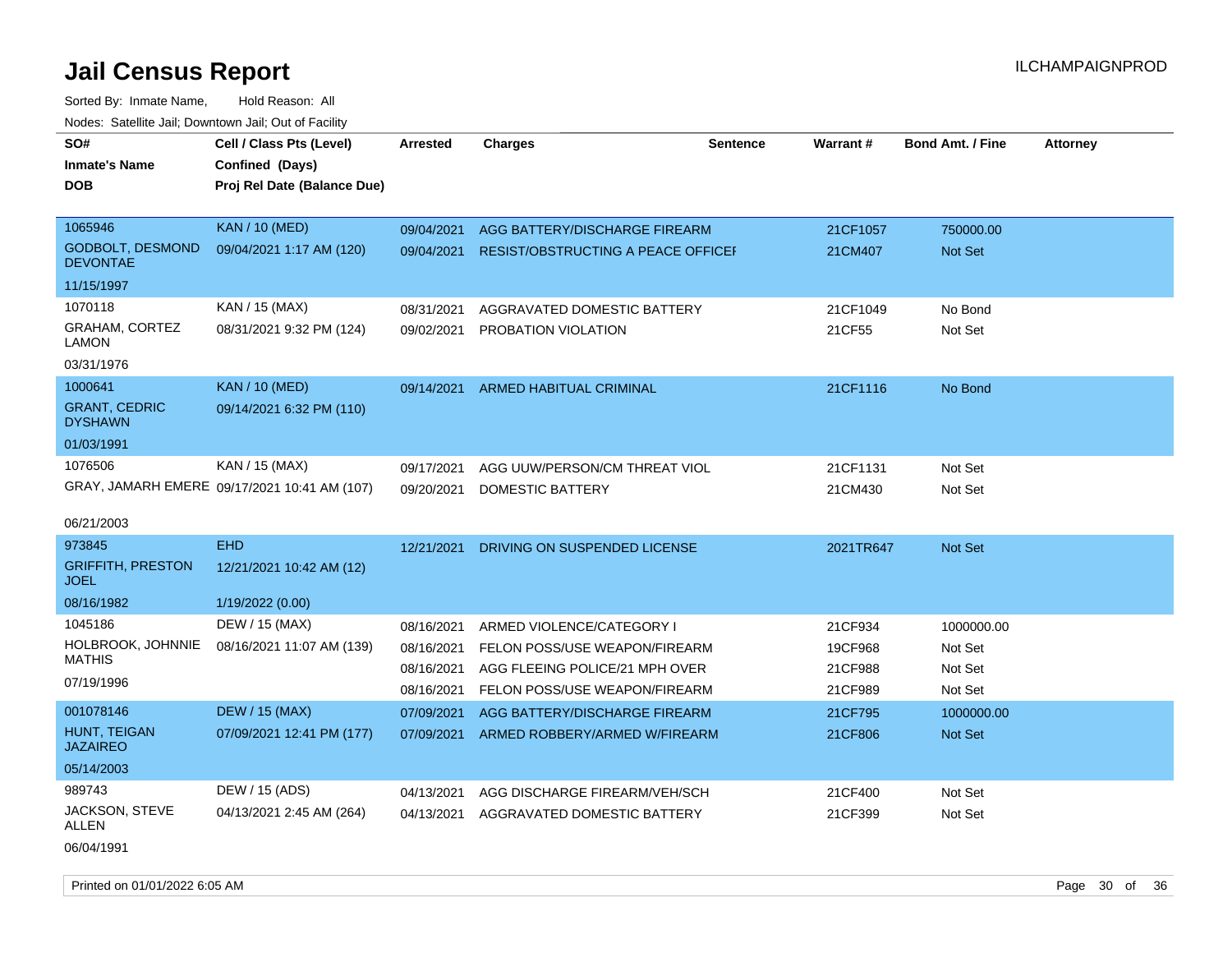| SO#<br><b>Inmate's Name</b><br><b>DOB</b>  | Cell / Class Pts (Level)<br>Confined (Days)<br>Proj Rel Date (Balance Due) | Arrested   | <b>Charges</b>                            | Sentence | Warrant#  | <b>Bond Amt. / Fine</b> | <b>Attorney</b> |
|--------------------------------------------|----------------------------------------------------------------------------|------------|-------------------------------------------|----------|-----------|-------------------------|-----------------|
|                                            |                                                                            |            |                                           |          |           |                         |                 |
| 1065946                                    | <b>KAN / 10 (MED)</b>                                                      | 09/04/2021 | AGG BATTERY/DISCHARGE FIREARM             |          | 21CF1057  | 750000.00               |                 |
| <b>GODBOLT, DESMOND</b><br><b>DEVONTAE</b> | 09/04/2021 1:17 AM (120)                                                   | 09/04/2021 | <b>RESIST/OBSTRUCTING A PEACE OFFICEF</b> |          | 21CM407   | Not Set                 |                 |
| 11/15/1997                                 |                                                                            |            |                                           |          |           |                         |                 |
| 1070118                                    | KAN / 15 (MAX)                                                             | 08/31/2021 | AGGRAVATED DOMESTIC BATTERY               |          | 21CF1049  | No Bond                 |                 |
| GRAHAM, CORTEZ<br>LAMON                    | 08/31/2021 9:32 PM (124)                                                   | 09/02/2021 | PROBATION VIOLATION                       |          | 21CF55    | Not Set                 |                 |
| 03/31/1976                                 |                                                                            |            |                                           |          |           |                         |                 |
| 1000641                                    | <b>KAN / 10 (MED)</b>                                                      | 09/14/2021 | ARMED HABITUAL CRIMINAL                   |          | 21CF1116  | No Bond                 |                 |
| <b>GRANT, CEDRIC</b><br><b>DYSHAWN</b>     | 09/14/2021 6:32 PM (110)                                                   |            |                                           |          |           |                         |                 |
| 01/03/1991                                 |                                                                            |            |                                           |          |           |                         |                 |
| 1076506                                    | KAN / 15 (MAX)                                                             | 09/17/2021 | AGG UUW/PERSON/CM THREAT VIOL             |          | 21CF1131  | Not Set                 |                 |
|                                            | GRAY, JAMARH EMERE 09/17/2021 10:41 AM (107)                               | 09/20/2021 | DOMESTIC BATTERY                          |          | 21CM430   | Not Set                 |                 |
| 06/21/2003                                 |                                                                            |            |                                           |          |           |                         |                 |
| 973845                                     | <b>EHD</b>                                                                 | 12/21/2021 | DRIVING ON SUSPENDED LICENSE              |          | 2021TR647 | Not Set                 |                 |
| <b>GRIFFITH, PRESTON</b><br><b>JOEL</b>    | 12/21/2021 10:42 AM (12)                                                   |            |                                           |          |           |                         |                 |
| 08/16/1982                                 | 1/19/2022 (0.00)                                                           |            |                                           |          |           |                         |                 |
| 1045186                                    | DEW / 15 (MAX)                                                             | 08/16/2021 | ARMED VIOLENCE/CATEGORY I                 |          | 21CF934   | 1000000.00              |                 |
| HOLBROOK, JOHNNIE                          | 08/16/2021 11:07 AM (139)                                                  | 08/16/2021 | FELON POSS/USE WEAPON/FIREARM             |          | 19CF968   | Not Set                 |                 |
| <b>MATHIS</b>                              |                                                                            | 08/16/2021 | AGG FLEEING POLICE/21 MPH OVER            |          | 21CF988   | Not Set                 |                 |
| 07/19/1996                                 |                                                                            | 08/16/2021 | FELON POSS/USE WEAPON/FIREARM             |          | 21CF989   | Not Set                 |                 |
| 001078146                                  | <b>DEW / 15 (MAX)</b>                                                      | 07/09/2021 | AGG BATTERY/DISCHARGE FIREARM             |          | 21CF795   | 1000000.00              |                 |
| <b>HUNT, TEIGAN</b><br><b>JAZAIREO</b>     | 07/09/2021 12:41 PM (177)                                                  | 07/09/2021 | ARMED ROBBERY/ARMED W/FIREARM             |          | 21CF806   | <b>Not Set</b>          |                 |
| 05/14/2003                                 |                                                                            |            |                                           |          |           |                         |                 |
| 989743                                     | DEW / 15 (ADS)                                                             | 04/13/2021 | AGG DISCHARGE FIREARM/VEH/SCH             |          | 21CF400   | Not Set                 |                 |
| JACKSON, STEVE<br>ALLEN                    | 04/13/2021 2:45 AM (264)                                                   | 04/13/2021 | AGGRAVATED DOMESTIC BATTERY               |          | 21CF399   | Not Set                 |                 |
| 06/04/1991                                 |                                                                            |            |                                           |          |           |                         |                 |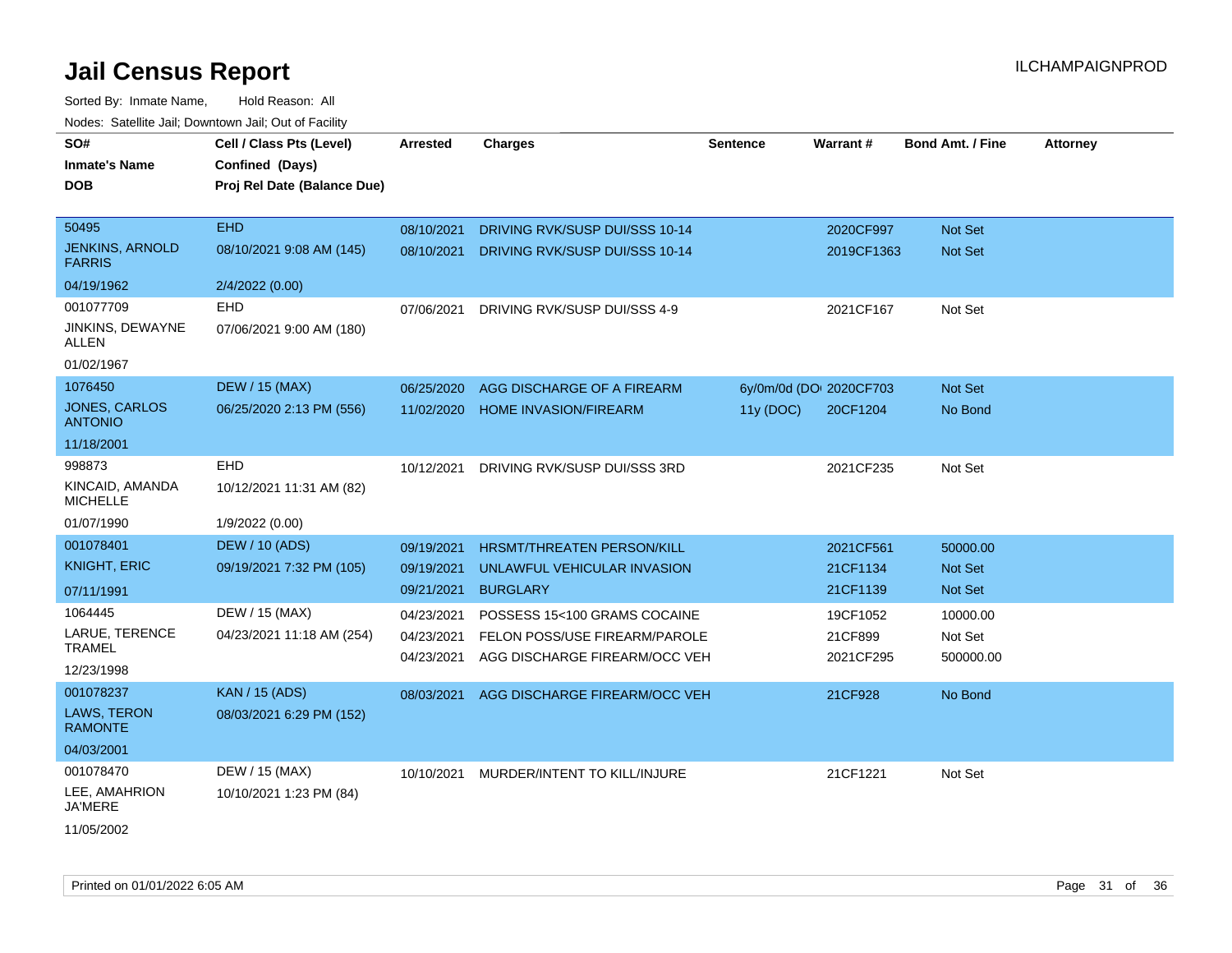| roacs. Catellite Jall, Downtown Jall, Out of Facility |                                                                            |                 |                                   |                 |                         |                         |                 |
|-------------------------------------------------------|----------------------------------------------------------------------------|-----------------|-----------------------------------|-----------------|-------------------------|-------------------------|-----------------|
| SO#<br><b>Inmate's Name</b><br><b>DOB</b>             | Cell / Class Pts (Level)<br>Confined (Days)<br>Proj Rel Date (Balance Due) | <b>Arrested</b> | <b>Charges</b>                    | <b>Sentence</b> | <b>Warrant#</b>         | <b>Bond Amt. / Fine</b> | <b>Attorney</b> |
|                                                       |                                                                            |                 |                                   |                 |                         |                         |                 |
| 50495                                                 | <b>EHD</b>                                                                 | 08/10/2021      | DRIVING RVK/SUSP DUI/SSS 10-14    |                 | 2020CF997               | Not Set                 |                 |
| <b>JENKINS, ARNOLD</b><br><b>FARRIS</b>               | 08/10/2021 9:08 AM (145)                                                   | 08/10/2021      | DRIVING RVK/SUSP DUI/SSS 10-14    |                 | 2019CF1363              | Not Set                 |                 |
| 04/19/1962                                            | 2/4/2022 (0.00)                                                            |                 |                                   |                 |                         |                         |                 |
| 001077709                                             | <b>EHD</b>                                                                 | 07/06/2021      | DRIVING RVK/SUSP DUI/SSS 4-9      |                 | 2021CF167               | Not Set                 |                 |
| JINKINS, DEWAYNE<br>ALLEN                             | 07/06/2021 9:00 AM (180)                                                   |                 |                                   |                 |                         |                         |                 |
| 01/02/1967                                            |                                                                            |                 |                                   |                 |                         |                         |                 |
| 1076450                                               | <b>DEW / 15 (MAX)</b>                                                      | 06/25/2020      | AGG DISCHARGE OF A FIREARM        |                 | 6y/0m/0d (DOI 2020CF703 | Not Set                 |                 |
| <b>JONES, CARLOS</b><br><b>ANTONIO</b>                | 06/25/2020 2:13 PM (556)                                                   | 11/02/2020      | <b>HOME INVASION/FIREARM</b>      | 11y (DOC)       | 20CF1204                | No Bond                 |                 |
| 11/18/2001                                            |                                                                            |                 |                                   |                 |                         |                         |                 |
| 998873                                                | <b>EHD</b>                                                                 | 10/12/2021      | DRIVING RVK/SUSP DUI/SSS 3RD      |                 | 2021CF235               | Not Set                 |                 |
| KINCAID, AMANDA<br><b>MICHELLE</b>                    | 10/12/2021 11:31 AM (82)                                                   |                 |                                   |                 |                         |                         |                 |
| 01/07/1990                                            | 1/9/2022 (0.00)                                                            |                 |                                   |                 |                         |                         |                 |
| 001078401                                             | <b>DEW / 10 (ADS)</b>                                                      | 09/19/2021      | <b>HRSMT/THREATEN PERSON/KILL</b> |                 | 2021CF561               | 50000.00                |                 |
| <b>KNIGHT, ERIC</b>                                   | 09/19/2021 7:32 PM (105)                                                   | 09/19/2021      | UNLAWFUL VEHICULAR INVASION       |                 | 21CF1134                | Not Set                 |                 |
| 07/11/1991                                            |                                                                            | 09/21/2021      | <b>BURGLARY</b>                   |                 | 21CF1139                | Not Set                 |                 |
| 1064445                                               | DEW / 15 (MAX)                                                             | 04/23/2021      | POSSESS 15<100 GRAMS COCAINE      |                 | 19CF1052                | 10000.00                |                 |
| LARUE, TERENCE                                        | 04/23/2021 11:18 AM (254)                                                  | 04/23/2021      | FELON POSS/USE FIREARM/PAROLE     |                 | 21CF899                 | Not Set                 |                 |
| TRAMEL                                                |                                                                            | 04/23/2021      | AGG DISCHARGE FIREARM/OCC VEH     |                 | 2021CF295               | 500000.00               |                 |
| 12/23/1998                                            |                                                                            |                 |                                   |                 |                         |                         |                 |
| 001078237                                             | <b>KAN / 15 (ADS)</b>                                                      | 08/03/2021      | AGG DISCHARGE FIREARM/OCC VEH     |                 | 21CF928                 | No Bond                 |                 |
| LAWS, TERON<br><b>RAMONTE</b>                         | 08/03/2021 6:29 PM (152)                                                   |                 |                                   |                 |                         |                         |                 |
| 04/03/2001                                            |                                                                            |                 |                                   |                 |                         |                         |                 |
| 001078470                                             | DEW / 15 (MAX)                                                             | 10/10/2021      | MURDER/INTENT TO KILL/INJURE      |                 | 21CF1221                | Not Set                 |                 |
| LEE, AMAHRION<br><b>JA'MERE</b>                       | 10/10/2021 1:23 PM (84)                                                    |                 |                                   |                 |                         |                         |                 |
| 11/05/2002                                            |                                                                            |                 |                                   |                 |                         |                         |                 |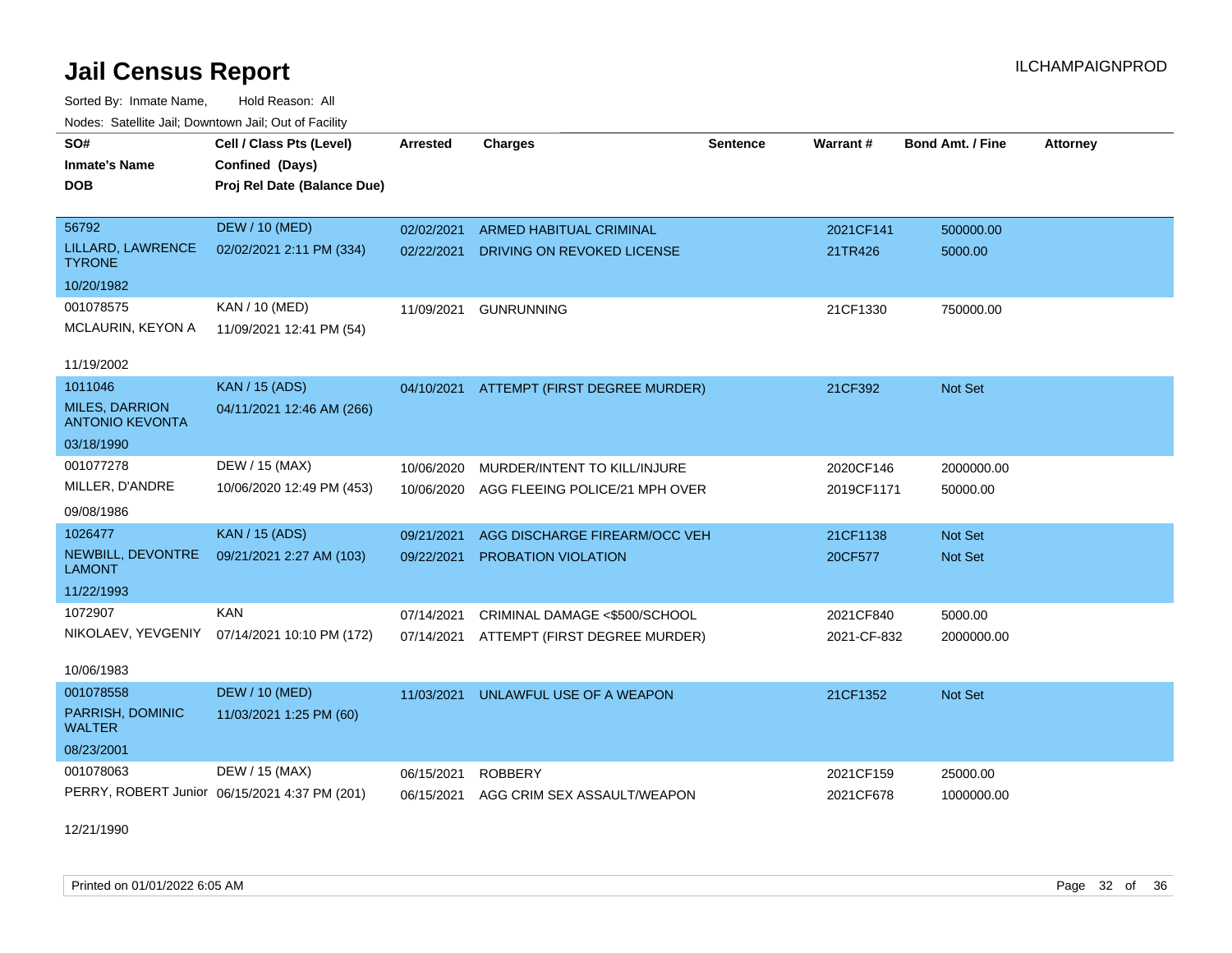Sorted By: Inmate Name, Hold Reason: All Nodes: Satellite Jail; Downtown Jail; Out of Facility

| SO#                                             | Cell / Class Pts (Level)                      | <b>Arrested</b> | <b>Charges</b>                           | <b>Sentence</b> | <b>Warrant#</b> | <b>Bond Amt. / Fine</b> | <b>Attorney</b> |
|-------------------------------------------------|-----------------------------------------------|-----------------|------------------------------------------|-----------------|-----------------|-------------------------|-----------------|
| <b>Inmate's Name</b>                            | Confined (Days)                               |                 |                                          |                 |                 |                         |                 |
| <b>DOB</b>                                      | Proj Rel Date (Balance Due)                   |                 |                                          |                 |                 |                         |                 |
|                                                 |                                               |                 |                                          |                 |                 |                         |                 |
| 56792                                           | <b>DEW / 10 (MED)</b>                         | 02/02/2021      | <b>ARMED HABITUAL CRIMINAL</b>           |                 | 2021CF141       | 500000.00               |                 |
| LILLARD, LAWRENCE<br><b>TYRONE</b>              | 02/02/2021 2:11 PM (334)                      | 02/22/2021      | DRIVING ON REVOKED LICENSE               |                 | 21TR426         | 5000.00                 |                 |
| 10/20/1982                                      |                                               |                 |                                          |                 |                 |                         |                 |
| 001078575                                       | <b>KAN / 10 (MED)</b>                         | 11/09/2021      | <b>GUNRUNNING</b>                        |                 | 21CF1330        | 750000.00               |                 |
| MCLAURIN, KEYON A                               | 11/09/2021 12:41 PM (54)                      |                 |                                          |                 |                 |                         |                 |
|                                                 |                                               |                 |                                          |                 |                 |                         |                 |
| 11/19/2002                                      |                                               |                 |                                          |                 |                 |                         |                 |
| 1011046                                         | <b>KAN / 15 (ADS)</b>                         |                 | 04/10/2021 ATTEMPT (FIRST DEGREE MURDER) |                 | 21CF392         | <b>Not Set</b>          |                 |
| <b>MILES, DARRION</b><br><b>ANTONIO KEVONTA</b> | 04/11/2021 12:46 AM (266)                     |                 |                                          |                 |                 |                         |                 |
| 03/18/1990                                      |                                               |                 |                                          |                 |                 |                         |                 |
| 001077278                                       | DEW / 15 (MAX)                                | 10/06/2020      | MURDER/INTENT TO KILL/INJURE             |                 | 2020CF146       | 2000000.00              |                 |
| MILLER, D'ANDRE                                 | 10/06/2020 12:49 PM (453)                     | 10/06/2020      | AGG FLEEING POLICE/21 MPH OVER           |                 | 2019CF1171      | 50000.00                |                 |
| 09/08/1986                                      |                                               |                 |                                          |                 |                 |                         |                 |
| 1026477                                         | <b>KAN / 15 (ADS)</b>                         | 09/21/2021      | AGG DISCHARGE FIREARM/OCC VEH            |                 | 21CF1138        | Not Set                 |                 |
| NEWBILL, DEVONTRE<br><b>LAMONT</b>              | 09/21/2021 2:27 AM (103)                      | 09/22/2021      | PROBATION VIOLATION                      |                 | 20CF577         | Not Set                 |                 |
| 11/22/1993                                      |                                               |                 |                                          |                 |                 |                         |                 |
| 1072907                                         | <b>KAN</b>                                    | 07/14/2021      | CRIMINAL DAMAGE <\$500/SCHOOL            |                 | 2021CF840       | 5000.00                 |                 |
|                                                 | NIKOLAEV, YEVGENIY 07/14/2021 10:10 PM (172)  |                 | 07/14/2021 ATTEMPT (FIRST DEGREE MURDER) |                 | 2021-CF-832     | 2000000.00              |                 |
|                                                 |                                               |                 |                                          |                 |                 |                         |                 |
| 10/06/1983                                      |                                               |                 |                                          |                 |                 |                         |                 |
| 001078558                                       | <b>DEW / 10 (MED)</b>                         | 11/03/2021      | UNLAWFUL USE OF A WEAPON                 |                 | 21CF1352        | <b>Not Set</b>          |                 |
| PARRISH, DOMINIC<br><b>WALTER</b>               | 11/03/2021 1:25 PM (60)                       |                 |                                          |                 |                 |                         |                 |
| 08/23/2001                                      |                                               |                 |                                          |                 |                 |                         |                 |
| 001078063                                       | DEW / 15 (MAX)                                | 06/15/2021      | <b>ROBBERY</b>                           |                 | 2021CF159       | 25000.00                |                 |
|                                                 | PERRY, ROBERT Junior 06/15/2021 4:37 PM (201) | 06/15/2021      | AGG CRIM SEX ASSAULT/WEAPON              |                 | 2021CF678       | 1000000.00              |                 |
|                                                 |                                               |                 |                                          |                 |                 |                         |                 |

12/21/1990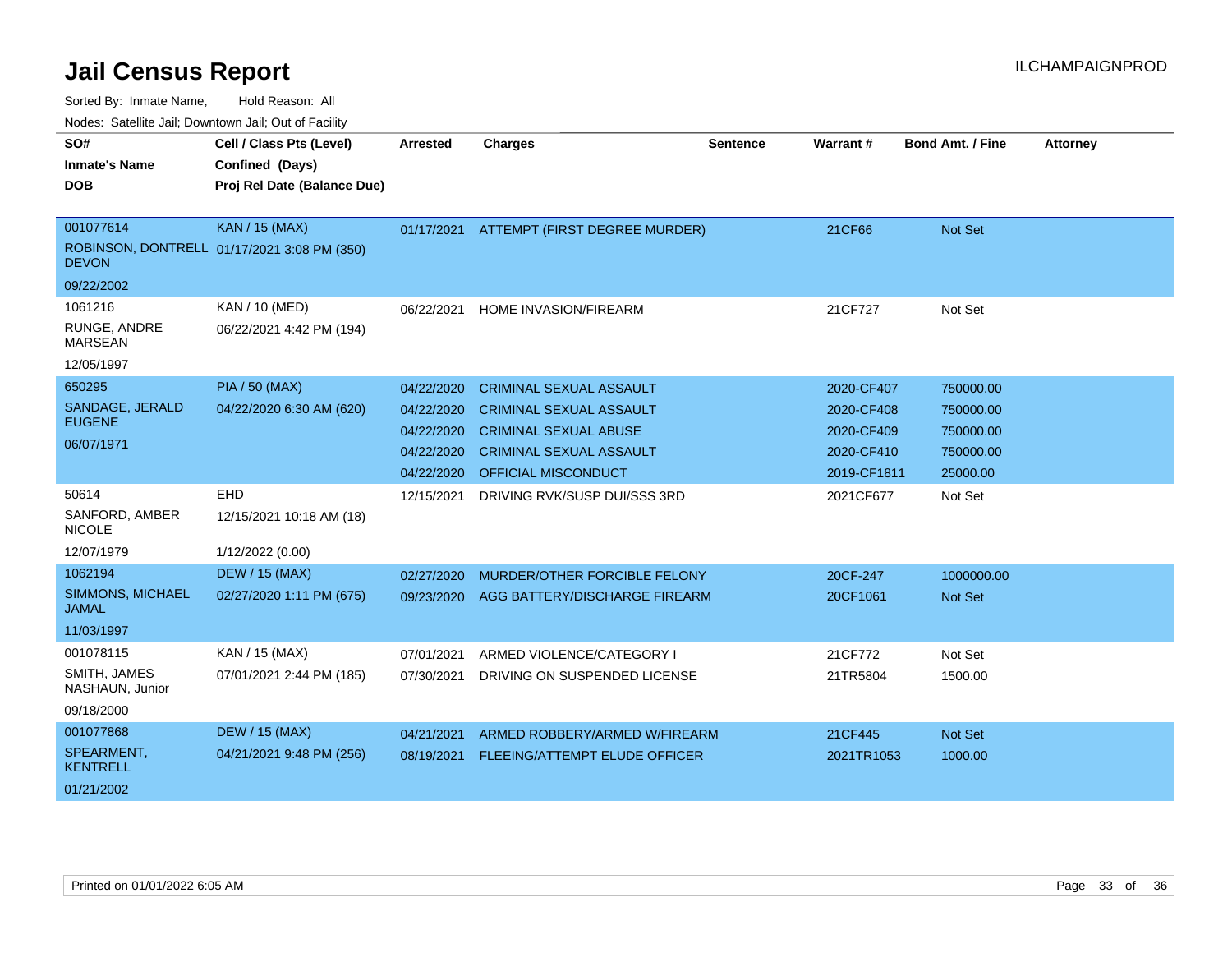Sorted By: Inmate Name, Hold Reason: All

| Nodes: Satellite Jail; Downtown Jail; Out of Facility |  |
|-------------------------------------------------------|--|
|                                                       |  |

| SO#                                     | Cell / Class Pts (Level)                    | <b>Arrested</b> | <b>Charges</b>                           | <b>Sentence</b> | Warrant#    | <b>Bond Amt. / Fine</b> | <b>Attorney</b> |
|-----------------------------------------|---------------------------------------------|-----------------|------------------------------------------|-----------------|-------------|-------------------------|-----------------|
| <b>Inmate's Name</b>                    | Confined (Days)                             |                 |                                          |                 |             |                         |                 |
| <b>DOB</b>                              | Proj Rel Date (Balance Due)                 |                 |                                          |                 |             |                         |                 |
|                                         |                                             |                 |                                          |                 |             |                         |                 |
| 001077614                               | <b>KAN / 15 (MAX)</b>                       |                 | 01/17/2021 ATTEMPT (FIRST DEGREE MURDER) |                 | 21CF66      | Not Set                 |                 |
| <b>DEVON</b>                            | ROBINSON, DONTRELL 01/17/2021 3:08 PM (350) |                 |                                          |                 |             |                         |                 |
| 09/22/2002                              |                                             |                 |                                          |                 |             |                         |                 |
| 1061216                                 | KAN / 10 (MED)                              | 06/22/2021      | HOME INVASION/FIREARM                    |                 | 21CF727     | Not Set                 |                 |
| RUNGE, ANDRE<br><b>MARSEAN</b>          | 06/22/2021 4:42 PM (194)                    |                 |                                          |                 |             |                         |                 |
| 12/05/1997                              |                                             |                 |                                          |                 |             |                         |                 |
| 650295                                  | <b>PIA / 50 (MAX)</b>                       | 04/22/2020      | <b>CRIMINAL SEXUAL ASSAULT</b>           |                 | 2020-CF407  | 750000.00               |                 |
| SANDAGE, JERALD                         | 04/22/2020 6:30 AM (620)                    | 04/22/2020      | <b>CRIMINAL SEXUAL ASSAULT</b>           |                 | 2020-CF408  | 750000.00               |                 |
| <b>EUGENE</b>                           |                                             | 04/22/2020      | <b>CRIMINAL SEXUAL ABUSE</b>             |                 | 2020-CF409  | 750000.00               |                 |
| 06/07/1971                              |                                             | 04/22/2020      | <b>CRIMINAL SEXUAL ASSAULT</b>           |                 | 2020-CF410  | 750000.00               |                 |
|                                         |                                             | 04/22/2020      | OFFICIAL MISCONDUCT                      |                 | 2019-CF1811 | 25000.00                |                 |
| 50614                                   | EHD                                         | 12/15/2021      | DRIVING RVK/SUSP DUI/SSS 3RD             |                 | 2021CF677   | Not Set                 |                 |
| SANFORD, AMBER<br><b>NICOLE</b>         | 12/15/2021 10:18 AM (18)                    |                 |                                          |                 |             |                         |                 |
| 12/07/1979                              | 1/12/2022 (0.00)                            |                 |                                          |                 |             |                         |                 |
| 1062194                                 | <b>DEW / 15 (MAX)</b>                       | 02/27/2020      | MURDER/OTHER FORCIBLE FELONY             |                 | 20CF-247    | 1000000.00              |                 |
| <b>SIMMONS, MICHAEL</b><br><b>JAMAL</b> | 02/27/2020 1:11 PM (675)                    | 09/23/2020      | AGG BATTERY/DISCHARGE FIREARM            |                 | 20CF1061    | Not Set                 |                 |
| 11/03/1997                              |                                             |                 |                                          |                 |             |                         |                 |
| 001078115                               | KAN / 15 (MAX)                              | 07/01/2021      | ARMED VIOLENCE/CATEGORY I                |                 | 21CF772     | Not Set                 |                 |
| SMITH, JAMES<br>NASHAUN, Junior         | 07/01/2021 2:44 PM (185)                    | 07/30/2021      | DRIVING ON SUSPENDED LICENSE             |                 | 21TR5804    | 1500.00                 |                 |
| 09/18/2000                              |                                             |                 |                                          |                 |             |                         |                 |
| 001077868                               | <b>DEW / 15 (MAX)</b>                       | 04/21/2021      | ARMED ROBBERY/ARMED W/FIREARM            |                 | 21CF445     | Not Set                 |                 |
| SPEARMENT,<br><b>KENTRELL</b>           | 04/21/2021 9:48 PM (256)                    | 08/19/2021      | FLEEING/ATTEMPT ELUDE OFFICER            |                 | 2021TR1053  | 1000.00                 |                 |
| 01/21/2002                              |                                             |                 |                                          |                 |             |                         |                 |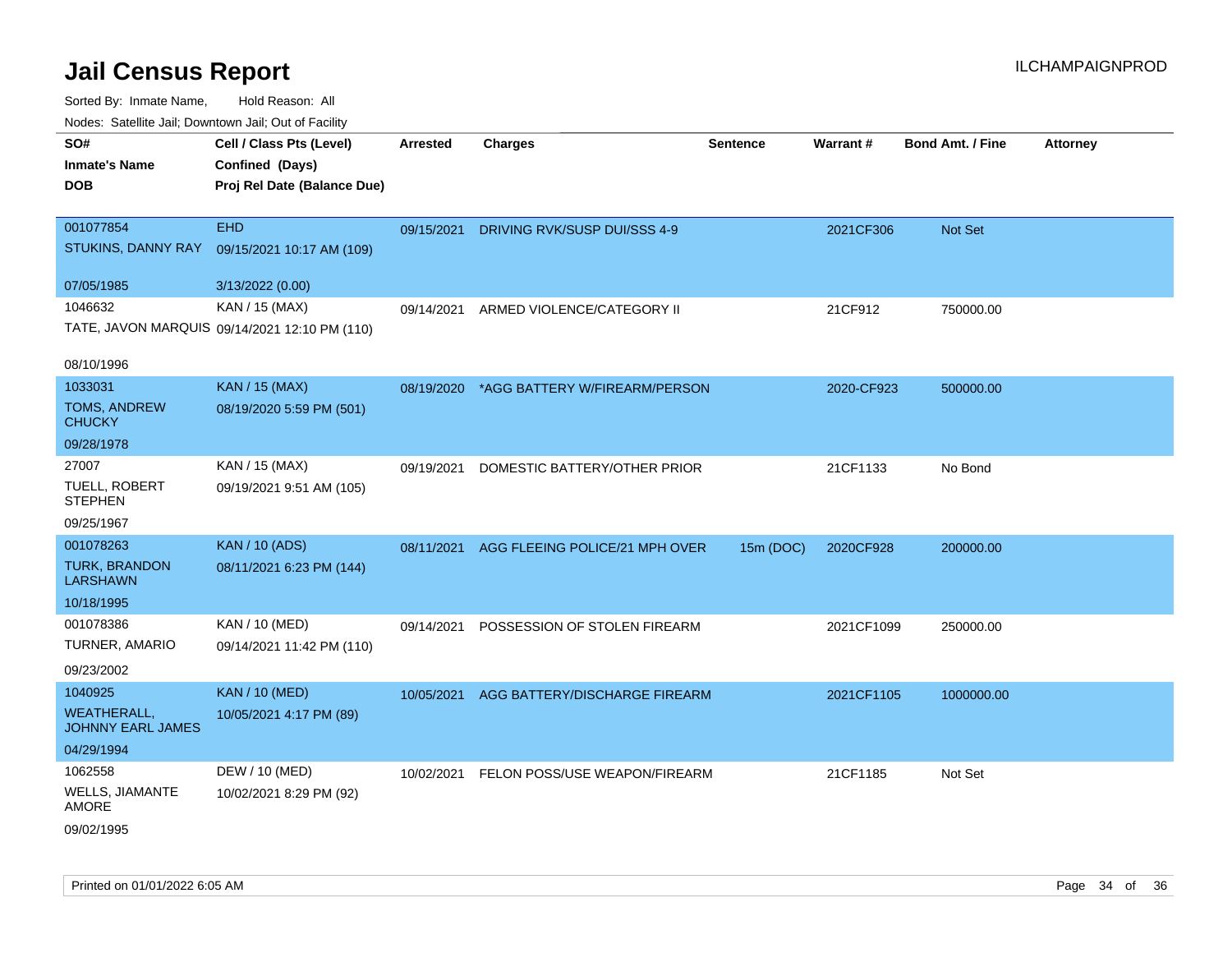| rouce. Calcinic Jan, Downtown Jan, Out or Facility |                                                                            |            |                                          |                 |                 |                         |                 |
|----------------------------------------------------|----------------------------------------------------------------------------|------------|------------------------------------------|-----------------|-----------------|-------------------------|-----------------|
| SO#<br><b>Inmate's Name</b><br><b>DOB</b>          | Cell / Class Pts (Level)<br>Confined (Days)<br>Proj Rel Date (Balance Due) | Arrested   | <b>Charges</b>                           | <b>Sentence</b> | <b>Warrant#</b> | <b>Bond Amt. / Fine</b> | <b>Attorney</b> |
|                                                    |                                                                            |            |                                          |                 |                 |                         |                 |
| 001077854                                          | <b>EHD</b>                                                                 | 09/15/2021 | DRIVING RVK/SUSP DUI/SSS 4-9             |                 | 2021CF306       | Not Set                 |                 |
| STUKINS, DANNY RAY                                 | 09/15/2021 10:17 AM (109)                                                  |            |                                          |                 |                 |                         |                 |
| 07/05/1985                                         | 3/13/2022 (0.00)                                                           |            |                                          |                 |                 |                         |                 |
| 1046632                                            | KAN / 15 (MAX)                                                             | 09/14/2021 | ARMED VIOLENCE/CATEGORY II               |                 | 21CF912         | 750000.00               |                 |
|                                                    | TATE, JAVON MARQUIS 09/14/2021 12:10 PM (110)                              |            |                                          |                 |                 |                         |                 |
| 08/10/1996                                         |                                                                            |            |                                          |                 |                 |                         |                 |
| 1033031                                            | <b>KAN / 15 (MAX)</b>                                                      |            | 08/19/2020 *AGG BATTERY W/FIREARM/PERSON |                 | 2020-CF923      | 500000.00               |                 |
| <b>TOMS, ANDREW</b><br><b>CHUCKY</b>               | 08/19/2020 5:59 PM (501)                                                   |            |                                          |                 |                 |                         |                 |
| 09/28/1978                                         |                                                                            |            |                                          |                 |                 |                         |                 |
| 27007                                              | KAN / 15 (MAX)                                                             | 09/19/2021 | DOMESTIC BATTERY/OTHER PRIOR             |                 | 21CF1133        | No Bond                 |                 |
| TUELL, ROBERT<br><b>STEPHEN</b>                    | 09/19/2021 9:51 AM (105)                                                   |            |                                          |                 |                 |                         |                 |
| 09/25/1967                                         |                                                                            |            |                                          |                 |                 |                         |                 |
| 001078263                                          | <b>KAN / 10 (ADS)</b>                                                      | 08/11/2021 | AGG FLEEING POLICE/21 MPH OVER           | 15m (DOC)       | 2020CF928       | 200000.00               |                 |
| <b>TURK, BRANDON</b><br><b>LARSHAWN</b>            | 08/11/2021 6:23 PM (144)                                                   |            |                                          |                 |                 |                         |                 |
| 10/18/1995                                         |                                                                            |            |                                          |                 |                 |                         |                 |
| 001078386                                          | KAN / 10 (MED)                                                             | 09/14/2021 | POSSESSION OF STOLEN FIREARM             |                 | 2021CF1099      | 250000.00               |                 |
| <b>TURNER, AMARIO</b>                              | 09/14/2021 11:42 PM (110)                                                  |            |                                          |                 |                 |                         |                 |
| 09/23/2002                                         |                                                                            |            |                                          |                 |                 |                         |                 |
| 1040925                                            | <b>KAN / 10 (MED)</b>                                                      | 10/05/2021 | AGG BATTERY/DISCHARGE FIREARM            |                 | 2021CF1105      | 1000000.00              |                 |
| <b>WEATHERALL,</b><br><b>JOHNNY EARL JAMES</b>     | 10/05/2021 4:17 PM (89)                                                    |            |                                          |                 |                 |                         |                 |
| 04/29/1994                                         |                                                                            |            |                                          |                 |                 |                         |                 |
| 1062558                                            | DEW / 10 (MED)                                                             |            | 10/02/2021 FELON POSS/USE WEAPON/FIREARM |                 | 21CF1185        | Not Set                 |                 |
| WELLS, JIAMANTE<br>AMORE                           | 10/02/2021 8:29 PM (92)                                                    |            |                                          |                 |                 |                         |                 |
| 09/02/1995                                         |                                                                            |            |                                          |                 |                 |                         |                 |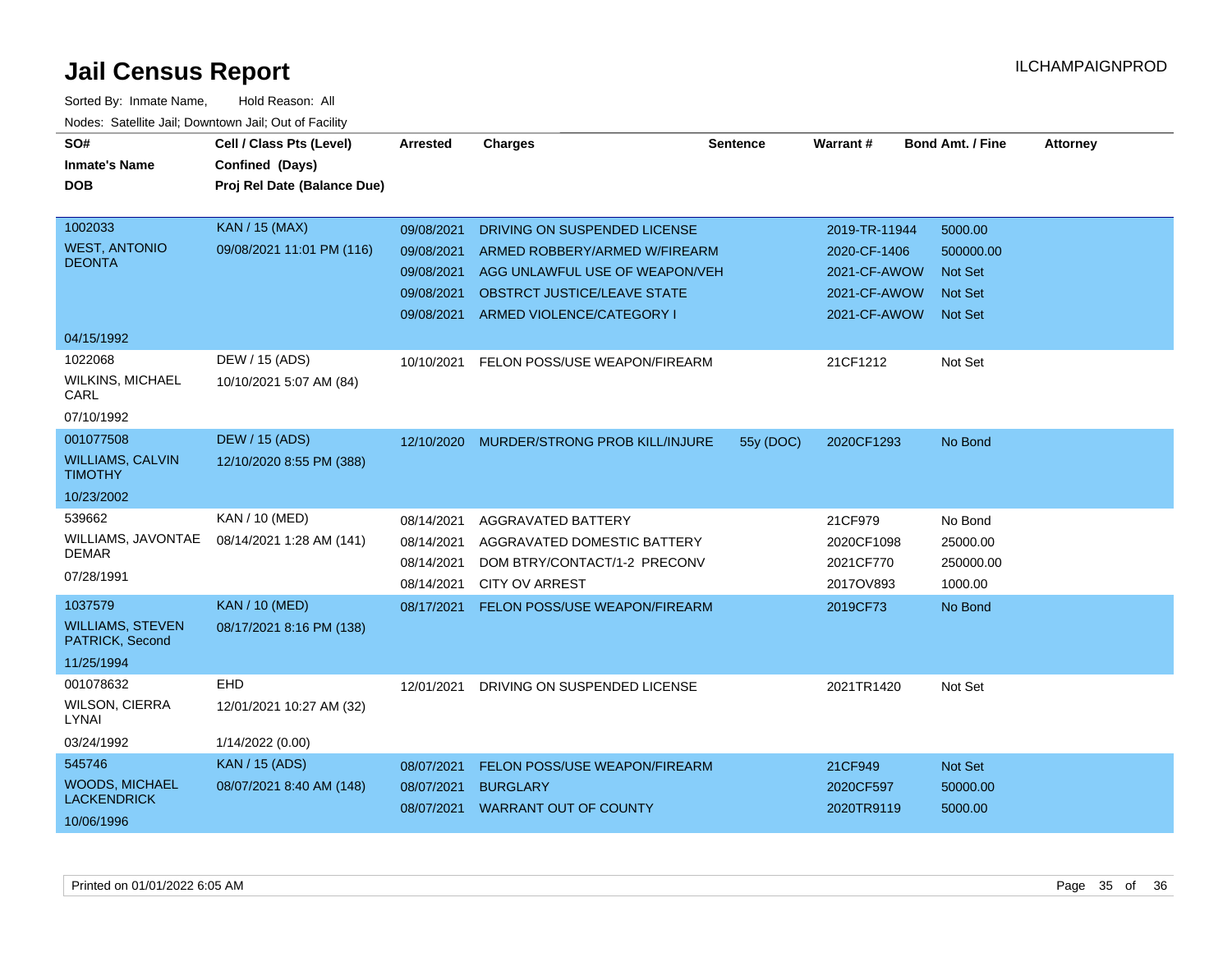| SO#                                        | Cell / Class Pts (Level)    | <b>Arrested</b> | <b>Charges</b>                     | <b>Sentence</b> | <b>Warrant#</b> | <b>Bond Amt. / Fine</b> | <b>Attorney</b> |
|--------------------------------------------|-----------------------------|-----------------|------------------------------------|-----------------|-----------------|-------------------------|-----------------|
| <b>Inmate's Name</b>                       | Confined (Days)             |                 |                                    |                 |                 |                         |                 |
| <b>DOB</b>                                 | Proj Rel Date (Balance Due) |                 |                                    |                 |                 |                         |                 |
|                                            |                             |                 |                                    |                 |                 |                         |                 |
| 1002033                                    | KAN / 15 (MAX)              | 09/08/2021      | DRIVING ON SUSPENDED LICENSE       |                 | 2019-TR-11944   | 5000.00                 |                 |
| <b>WEST, ANTONIO</b>                       | 09/08/2021 11:01 PM (116)   | 09/08/2021      | ARMED ROBBERY/ARMED W/FIREARM      |                 | 2020-CF-1406    | 500000.00               |                 |
| <b>DEONTA</b>                              |                             | 09/08/2021      | AGG UNLAWFUL USE OF WEAPON/VEH     |                 | 2021-CF-AWOW    | <b>Not Set</b>          |                 |
|                                            |                             | 09/08/2021      | <b>OBSTRCT JUSTICE/LEAVE STATE</b> |                 | 2021-CF-AWOW    | <b>Not Set</b>          |                 |
|                                            |                             | 09/08/2021      | ARMED VIOLENCE/CATEGORY I          |                 | 2021-CF-AWOW    | <b>Not Set</b>          |                 |
| 04/15/1992                                 |                             |                 |                                    |                 |                 |                         |                 |
| 1022068                                    | DEW / 15 (ADS)              | 10/10/2021      | FELON POSS/USE WEAPON/FIREARM      |                 | 21CF1212        | Not Set                 |                 |
| <b>WILKINS, MICHAEL</b><br>CARL            | 10/10/2021 5:07 AM (84)     |                 |                                    |                 |                 |                         |                 |
| 07/10/1992                                 |                             |                 |                                    |                 |                 |                         |                 |
| 001077508                                  | <b>DEW / 15 (ADS)</b>       | 12/10/2020      | MURDER/STRONG PROB KILL/INJURE     | 55y (DOC)       | 2020CF1293      | No Bond                 |                 |
| <b>WILLIAMS, CALVIN</b><br><b>TIMOTHY</b>  | 12/10/2020 8:55 PM (388)    |                 |                                    |                 |                 |                         |                 |
| 10/23/2002                                 |                             |                 |                                    |                 |                 |                         |                 |
| 539662                                     | KAN / 10 (MED)              | 08/14/2021      | AGGRAVATED BATTERY                 |                 | 21CF979         | No Bond                 |                 |
| WILLIAMS, JAVONTAE                         | 08/14/2021 1:28 AM (141)    | 08/14/2021      | AGGRAVATED DOMESTIC BATTERY        |                 | 2020CF1098      | 25000.00                |                 |
| <b>DEMAR</b>                               |                             | 08/14/2021      | DOM BTRY/CONTACT/1-2 PRECONV       |                 | 2021CF770       | 250000.00               |                 |
| 07/28/1991                                 |                             | 08/14/2021      | <b>CITY OV ARREST</b>              |                 | 2017OV893       | 1000.00                 |                 |
| 1037579                                    | <b>KAN / 10 (MED)</b>       | 08/17/2021      | FELON POSS/USE WEAPON/FIREARM      |                 | 2019CF73        | No Bond                 |                 |
| <b>WILLIAMS, STEVEN</b><br>PATRICK, Second | 08/17/2021 8:16 PM (138)    |                 |                                    |                 |                 |                         |                 |
| 11/25/1994                                 |                             |                 |                                    |                 |                 |                         |                 |
| 001078632                                  | <b>EHD</b>                  | 12/01/2021      | DRIVING ON SUSPENDED LICENSE       |                 | 2021TR1420      | Not Set                 |                 |
| WILSON, CIERRA<br>LYNAI                    | 12/01/2021 10:27 AM (32)    |                 |                                    |                 |                 |                         |                 |
| 03/24/1992                                 | 1/14/2022 (0.00)            |                 |                                    |                 |                 |                         |                 |
| 545746                                     | <b>KAN</b> / 15 (ADS)       | 08/07/2021      | FELON POSS/USE WEAPON/FIREARM      |                 | 21CF949         | Not Set                 |                 |
| <b>WOODS, MICHAEL</b>                      | 08/07/2021 8:40 AM (148)    | 08/07/2021      | <b>BURGLARY</b>                    |                 | 2020CF597       | 50000.00                |                 |
| <b>LACKENDRICK</b>                         |                             |                 | 08/07/2021 WARRANT OUT OF COUNTY   |                 | 2020TR9119      | 5000.00                 |                 |
| 10/06/1996                                 |                             |                 |                                    |                 |                 |                         |                 |